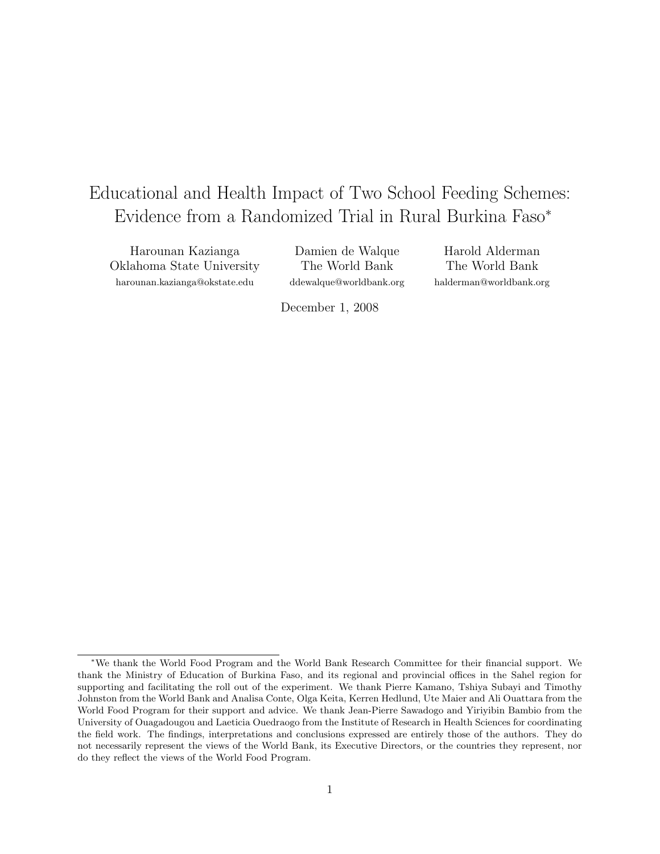# Educational and Health Impact of Two School Feeding Schemes: Evidence from a Randomized Trial in Rural Burkina Faso<sup>∗</sup>

Harounan Kazianga Oklahoma State University harounan.kazianga@okstate.edu

Damien de Walque The World Bank ddewalque@worldbank.org

Harold Alderman The World Bank halderman@worldbank.org

December 1, 2008

<sup>∗</sup>We thank the World Food Program and the World Bank Research Committee for their financial support. We thank the Ministry of Education of Burkina Faso, and its regional and provincial offices in the Sahel region for supporting and facilitating the roll out of the experiment. We thank Pierre Kamano, Tshiya Subayi and Timothy Johnston from the World Bank and Analisa Conte, Olga Keita, Kerren Hedlund, Ute Maier and Ali Ouattara from the World Food Program for their support and advice. We thank Jean-Pierre Sawadogo and Yiriyibin Bambio from the University of Ouagadougou and Laeticia Ouedraogo from the Institute of Research in Health Sciences for coordinating the field work. The findings, interpretations and conclusions expressed are entirely those of the authors. They do not necessarily represent the views of the World Bank, its Executive Directors, or the countries they represent, nor do they reflect the views of the World Food Program.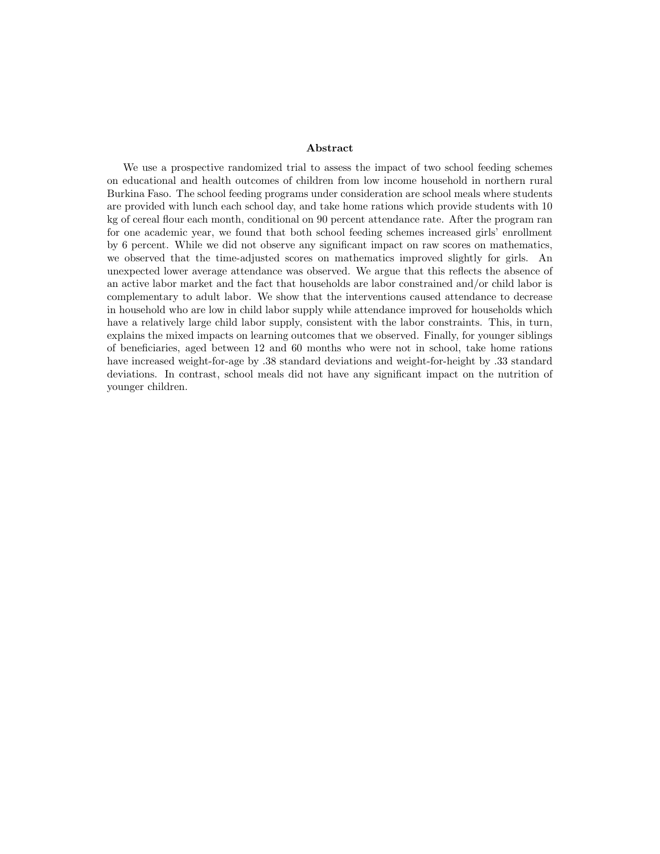#### Abstract

We use a prospective randomized trial to assess the impact of two school feeding schemes on educational and health outcomes of children from low income household in northern rural Burkina Faso. The school feeding programs under consideration are school meals where students are provided with lunch each school day, and take home rations which provide students with 10 kg of cereal flour each month, conditional on 90 percent attendance rate. After the program ran for one academic year, we found that both school feeding schemes increased girls' enrollment by 6 percent. While we did not observe any significant impact on raw scores on mathematics, we observed that the time-adjusted scores on mathematics improved slightly for girls. An unexpected lower average attendance was observed. We argue that this reflects the absence of an active labor market and the fact that households are labor constrained and/or child labor is complementary to adult labor. We show that the interventions caused attendance to decrease in household who are low in child labor supply while attendance improved for households which have a relatively large child labor supply, consistent with the labor constraints. This, in turn, explains the mixed impacts on learning outcomes that we observed. Finally, for younger siblings of beneficiaries, aged between 12 and 60 months who were not in school, take home rations have increased weight-for-age by .38 standard deviations and weight-for-height by .33 standard deviations. In contrast, school meals did not have any significant impact on the nutrition of younger children.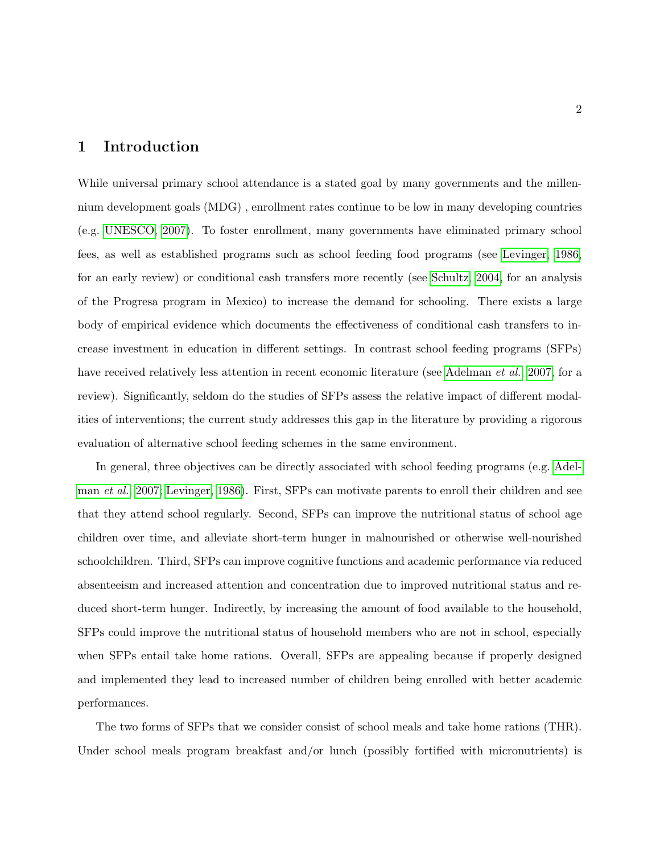## 1 Introduction

While universal primary school attendance is a stated goal by many governments and the millennium development goals (MDG) , enrollment rates continue to be low in many developing countries (e.g. [UNESCO, 2007\)](#page-23-0). To foster enrollment, many governments have eliminated primary school fees, as well as established programs such as school feeding food programs (see [Levinger, 1986,](#page-23-1) for an early review) or conditional cash transfers more recently (see [Schultz, 2004,](#page-23-2) for an analysis of the Progresa program in Mexico) to increase the demand for schooling. There exists a large body of empirical evidence which documents the effectiveness of conditional cash transfers to increase investment in education in different settings. In contrast school feeding programs (SFPs) have received relatively less attention in recent economic literature (see [Adelman](#page-21-0) *et al.*, [2007,](#page-21-0) for a review). Significantly, seldom do the studies of SFPs assess the relative impact of different modalities of interventions; the current study addresses this gap in the literature by providing a rigorous evaluation of alternative school feeding schemes in the same environment.

In general, three objectives can be directly associated with school feeding programs (e.g. [Adel](#page-21-0)man [et al.](#page-21-0), [2007;](#page-21-0) [Levinger, 1986\)](#page-23-1). First, SFPs can motivate parents to enroll their children and see that they attend school regularly. Second, SFPs can improve the nutritional status of school age children over time, and alleviate short-term hunger in malnourished or otherwise well-nourished schoolchildren. Third, SFPs can improve cognitive functions and academic performance via reduced absenteeism and increased attention and concentration due to improved nutritional status and reduced short-term hunger. Indirectly, by increasing the amount of food available to the household, SFPs could improve the nutritional status of household members who are not in school, especially when SFPs entail take home rations. Overall, SFPs are appealing because if properly designed and implemented they lead to increased number of children being enrolled with better academic performances.

The two forms of SFPs that we consider consist of school meals and take home rations (THR). Under school meals program breakfast and/or lunch (possibly fortified with micronutrients) is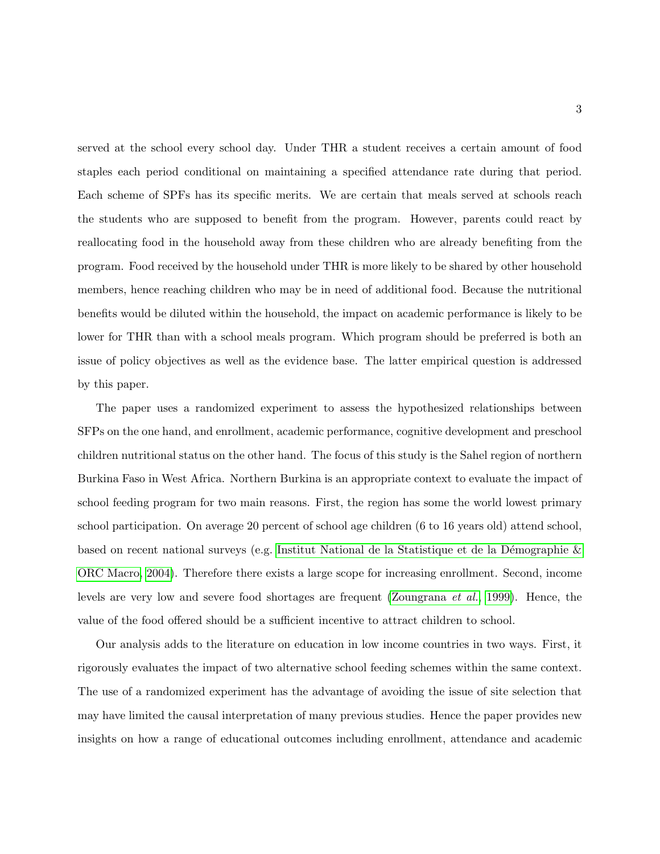served at the school every school day. Under THR a student receives a certain amount of food staples each period conditional on maintaining a specified attendance rate during that period. Each scheme of SPFs has its specific merits. We are certain that meals served at schools reach the students who are supposed to benefit from the program. However, parents could react by reallocating food in the household away from these children who are already benefiting from the program. Food received by the household under THR is more likely to be shared by other household members, hence reaching children who may be in need of additional food. Because the nutritional benefits would be diluted within the household, the impact on academic performance is likely to be lower for THR than with a school meals program. Which program should be preferred is both an issue of policy objectives as well as the evidence base. The latter empirical question is addressed by this paper.

The paper uses a randomized experiment to assess the hypothesized relationships between SFPs on the one hand, and enrollment, academic performance, cognitive development and preschool children nutritional status on the other hand. The focus of this study is the Sahel region of northern Burkina Faso in West Africa. Northern Burkina is an appropriate context to evaluate the impact of school feeding program for two main reasons. First, the region has some the world lowest primary school participation. On average 20 percent of school age children (6 to 16 years old) attend school, based on recent national surveys (e.g. Institut National de la Statistique et de la Démographie  $\&$ [ORC Macro, 2004\)](#page-22-0). Therefore there exists a large scope for increasing enrollment. Second, income levels are very low and severe food shortages are frequent [\(Zoungrana](#page-24-0) et al., [1999\)](#page-24-0). Hence, the value of the food offered should be a sufficient incentive to attract children to school.

Our analysis adds to the literature on education in low income countries in two ways. First, it rigorously evaluates the impact of two alternative school feeding schemes within the same context. The use of a randomized experiment has the advantage of avoiding the issue of site selection that may have limited the causal interpretation of many previous studies. Hence the paper provides new insights on how a range of educational outcomes including enrollment, attendance and academic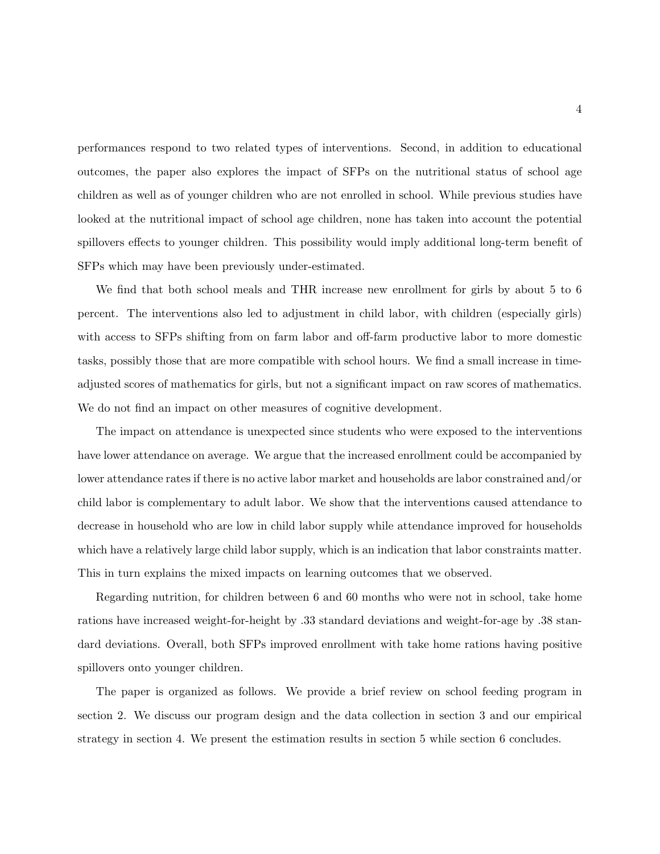performances respond to two related types of interventions. Second, in addition to educational outcomes, the paper also explores the impact of SFPs on the nutritional status of school age children as well as of younger children who are not enrolled in school. While previous studies have looked at the nutritional impact of school age children, none has taken into account the potential spillovers effects to younger children. This possibility would imply additional long-term benefit of SFPs which may have been previously under-estimated.

We find that both school meals and THR increase new enrollment for girls by about 5 to 6 percent. The interventions also led to adjustment in child labor, with children (especially girls) with access to SFPs shifting from on farm labor and off-farm productive labor to more domestic tasks, possibly those that are more compatible with school hours. We find a small increase in timeadjusted scores of mathematics for girls, but not a significant impact on raw scores of mathematics. We do not find an impact on other measures of cognitive development.

The impact on attendance is unexpected since students who were exposed to the interventions have lower attendance on average. We argue that the increased enrollment could be accompanied by lower attendance rates if there is no active labor market and households are labor constrained and/or child labor is complementary to adult labor. We show that the interventions caused attendance to decrease in household who are low in child labor supply while attendance improved for households which have a relatively large child labor supply, which is an indication that labor constraints matter. This in turn explains the mixed impacts on learning outcomes that we observed.

Regarding nutrition, for children between 6 and 60 months who were not in school, take home rations have increased weight-for-height by .33 standard deviations and weight-for-age by .38 standard deviations. Overall, both SFPs improved enrollment with take home rations having positive spillovers onto younger children.

The paper is organized as follows. We provide a brief review on school feeding program in section 2. We discuss our program design and the data collection in section 3 and our empirical strategy in section 4. We present the estimation results in section 5 while section 6 concludes.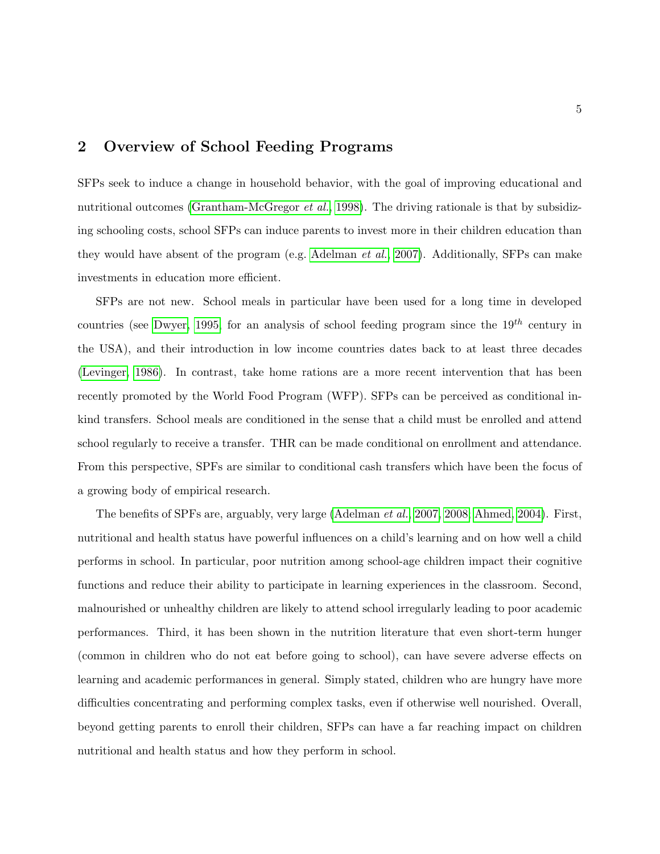### 2 Overview of School Feeding Programs

SFPs seek to induce a change in household behavior, with the goal of improving educational and nutritional outcomes [\(Grantham-McGregor](#page-22-1) *et al.*, [1998\)](#page-22-1). The driving rationale is that by subsidizing schooling costs, school SFPs can induce parents to invest more in their children education than they would have absent of the program (e.g. [Adelman](#page-21-0) *et al.*, [2007\)](#page-21-0). Additionally, SFPs can make investments in education more efficient.

SFPs are not new. School meals in particular have been used for a long time in developed countries (see [Dwyer, 1995,](#page-22-2) for an analysis of school feeding program since the  $19^{th}$  century in the USA), and their introduction in low income countries dates back to at least three decades [\(Levinger, 1986\)](#page-23-1). In contrast, take home rations are a more recent intervention that has been recently promoted by the World Food Program (WFP). SFPs can be perceived as conditional inkind transfers. School meals are conditioned in the sense that a child must be enrolled and attend school regularly to receive a transfer. THR can be made conditional on enrollment and attendance. From this perspective, SPFs are similar to conditional cash transfers which have been the focus of a growing body of empirical research.

The benefits of SPFs are, arguably, very large [\(Adelman](#page-21-0) et al., [2007,](#page-21-0) [2008;](#page-21-1) [Ahmed, 2004\)](#page-21-2). First, nutritional and health status have powerful influences on a child's learning and on how well a child performs in school. In particular, poor nutrition among school-age children impact their cognitive functions and reduce their ability to participate in learning experiences in the classroom. Second, malnourished or unhealthy children are likely to attend school irregularly leading to poor academic performances. Third, it has been shown in the nutrition literature that even short-term hunger (common in children who do not eat before going to school), can have severe adverse effects on learning and academic performances in general. Simply stated, children who are hungry have more difficulties concentrating and performing complex tasks, even if otherwise well nourished. Overall, beyond getting parents to enroll their children, SFPs can have a far reaching impact on children nutritional and health status and how they perform in school.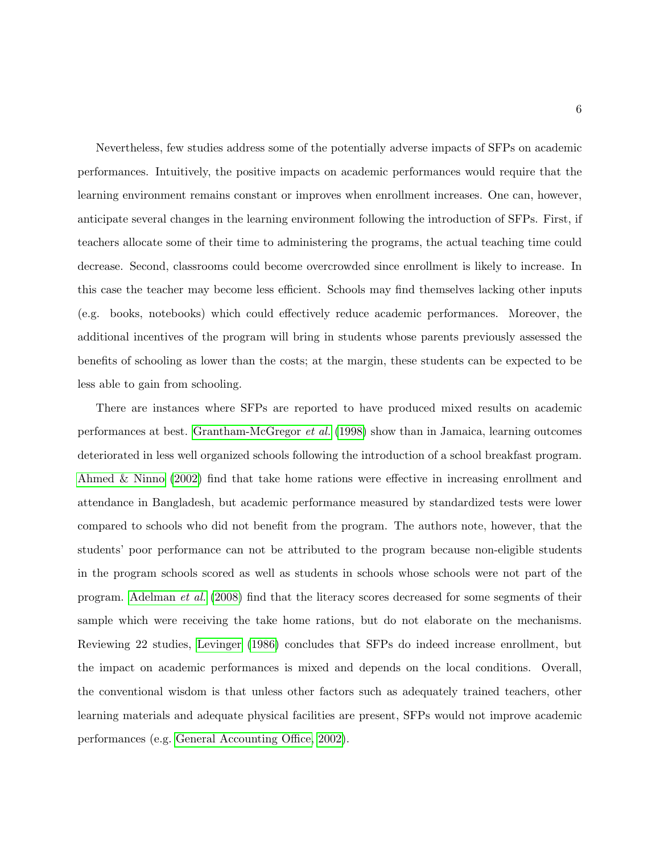Nevertheless, few studies address some of the potentially adverse impacts of SFPs on academic performances. Intuitively, the positive impacts on academic performances would require that the learning environment remains constant or improves when enrollment increases. One can, however, anticipate several changes in the learning environment following the introduction of SFPs. First, if teachers allocate some of their time to administering the programs, the actual teaching time could decrease. Second, classrooms could become overcrowded since enrollment is likely to increase. In this case the teacher may become less efficient. Schools may find themselves lacking other inputs (e.g. books, notebooks) which could effectively reduce academic performances. Moreover, the additional incentives of the program will bring in students whose parents previously assessed the benefits of schooling as lower than the costs; at the margin, these students can be expected to be less able to gain from schooling.

There are instances where SFPs are reported to have produced mixed results on academic performances at best. [Grantham-McGregor](#page-22-1) et al. [\(1998\)](#page-22-1) show than in Jamaica, learning outcomes deteriorated in less well organized schools following the introduction of a school breakfast program. [Ahmed & Ninno](#page-21-3) [\(2002\)](#page-21-3) find that take home rations were effective in increasing enrollment and attendance in Bangladesh, but academic performance measured by standardized tests were lower compared to schools who did not benefit from the program. The authors note, however, that the students' poor performance can not be attributed to the program because non-eligible students in the program schools scored as well as students in schools whose schools were not part of the program. [Adelman](#page-21-1) et al. [\(2008\)](#page-21-1) find that the literacy scores decreased for some segments of their sample which were receiving the take home rations, but do not elaborate on the mechanisms. Reviewing 22 studies, [Levinger](#page-23-1) [\(1986\)](#page-23-1) concludes that SFPs do indeed increase enrollment, but the impact on academic performances is mixed and depends on the local conditions. Overall, the conventional wisdom is that unless other factors such as adequately trained teachers, other learning materials and adequate physical facilities are present, SFPs would not improve academic performances (e.g. [General Accounting Office, 2002\)](#page-22-3).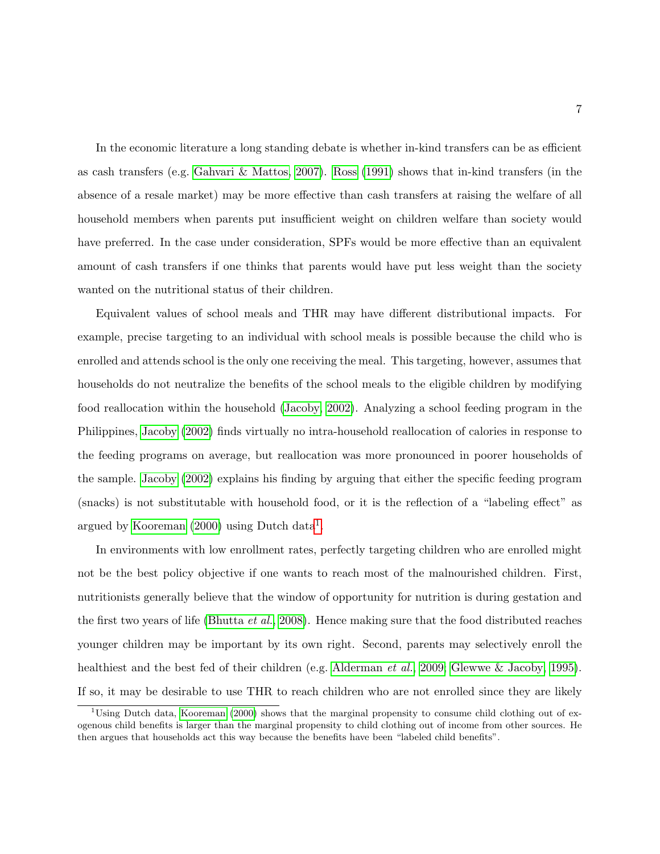In the economic literature a long standing debate is whether in-kind transfers can be as efficient as cash transfers (e.g. [Gahvari & Mattos, 2007\)](#page-22-4). [Ross](#page-23-3) [\(1991\)](#page-23-3) shows that in-kind transfers (in the absence of a resale market) may be more effective than cash transfers at raising the welfare of all household members when parents put insufficient weight on children welfare than society would have preferred. In the case under consideration, SPFs would be more effective than an equivalent amount of cash transfers if one thinks that parents would have put less weight than the society wanted on the nutritional status of their children.

Equivalent values of school meals and THR may have different distributional impacts. For example, precise targeting to an individual with school meals is possible because the child who is enrolled and attends school is the only one receiving the meal. This targeting, however, assumes that households do not neutralize the benefits of the school meals to the eligible children by modifying food reallocation within the household [\(Jacoby, 2002\)](#page-22-5). Analyzing a school feeding program in the Philippines, [Jacoby](#page-22-5) [\(2002\)](#page-22-5) finds virtually no intra-household reallocation of calories in response to the feeding programs on average, but reallocation was more pronounced in poorer households of the sample. [Jacoby](#page-22-5) [\(2002\)](#page-22-5) explains his finding by arguing that either the specific feeding program (snacks) is not substitutable with household food, or it is the reflection of a "labeling effect" as argued by [Kooreman](#page-23-4)  $(2000)$  using Dutch data<sup>[1](#page-7-0)</sup>.

In environments with low enrollment rates, perfectly targeting children who are enrolled might not be the best policy objective if one wants to reach most of the malnourished children. First, nutritionists generally believe that the window of opportunity for nutrition is during gestation and the first two years of life [\(Bhutta](#page-21-4) et al., [2008\)](#page-21-4). Hence making sure that the food distributed reaches younger children may be important by its own right. Second, parents may selectively enroll the healthiest and the best fed of their children (e.g. [Alderman](#page-21-5) *et al.*, [2009;](#page-21-5) [Glewwe & Jacoby, 1995\)](#page-22-6). If so, it may be desirable to use THR to reach children who are not enrolled since they are likely

<span id="page-7-0"></span><sup>&</sup>lt;sup>1</sup>Using Dutch data, [Kooreman](#page-23-4) [\(2000\)](#page-23-4) shows that the marginal propensity to consume child clothing out of exogenous child benefits is larger than the marginal propensity to child clothing out of income from other sources. He then argues that households act this way because the benefits have been "labeled child benefits".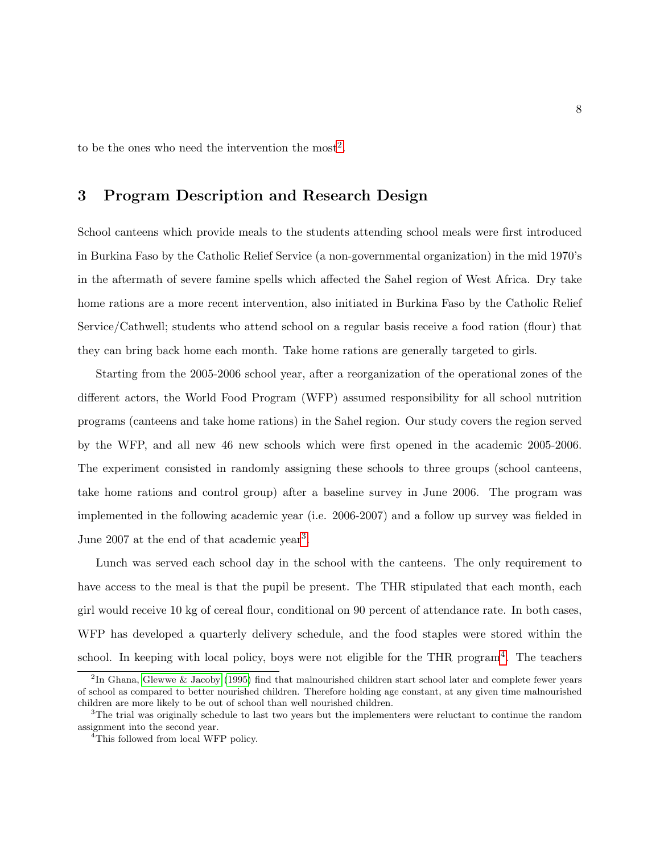to be the ones who need the intervention the most<sup>[2](#page-8-0)</sup>.

### 3 Program Description and Research Design

School canteens which provide meals to the students attending school meals were first introduced in Burkina Faso by the Catholic Relief Service (a non-governmental organization) in the mid 1970's in the aftermath of severe famine spells which affected the Sahel region of West Africa. Dry take home rations are a more recent intervention, also initiated in Burkina Faso by the Catholic Relief Service/Cathwell; students who attend school on a regular basis receive a food ration (flour) that they can bring back home each month. Take home rations are generally targeted to girls.

Starting from the 2005-2006 school year, after a reorganization of the operational zones of the different actors, the World Food Program (WFP) assumed responsibility for all school nutrition programs (canteens and take home rations) in the Sahel region. Our study covers the region served by the WFP, and all new 46 new schools which were first opened in the academic 2005-2006. The experiment consisted in randomly assigning these schools to three groups (school canteens, take home rations and control group) after a baseline survey in June 2006. The program was implemented in the following academic year (i.e. 2006-2007) and a follow up survey was fielded in June 2007 at the end of that academic year<sup>[3](#page-8-1)</sup>.

Lunch was served each school day in the school with the canteens. The only requirement to have access to the meal is that the pupil be present. The THR stipulated that each month, each girl would receive 10 kg of cereal flour, conditional on 90 percent of attendance rate. In both cases, WFP has developed a quarterly delivery schedule, and the food staples were stored within the school. In keeping with local policy, boys were not eligible for the THR program<sup>[4](#page-8-2)</sup>. The teachers

<span id="page-8-0"></span><sup>&</sup>lt;sup>2</sup>In Ghana, [Glewwe & Jacoby](#page-22-6) [\(1995\)](#page-22-6) find that malnourished children start school later and complete fewer years of school as compared to better nourished children. Therefore holding age constant, at any given time malnourished children are more likely to be out of school than well nourished children.

<span id="page-8-1"></span><sup>&</sup>lt;sup>3</sup>The trial was originally schedule to last two years but the implementers were reluctant to continue the random assignment into the second year.

<span id="page-8-2"></span><sup>&</sup>lt;sup>4</sup>This followed from local WFP policy.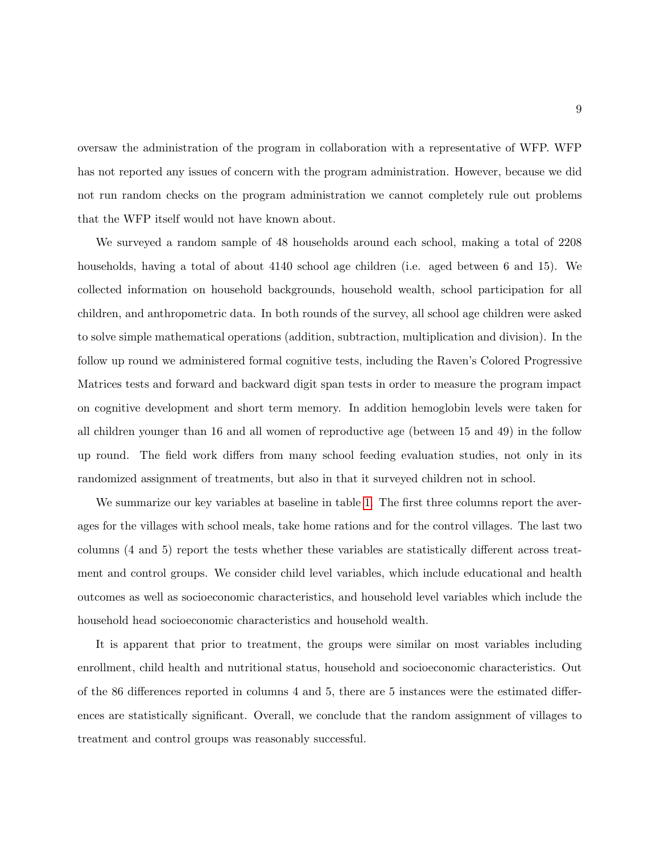oversaw the administration of the program in collaboration with a representative of WFP. WFP has not reported any issues of concern with the program administration. However, because we did not run random checks on the program administration we cannot completely rule out problems that the WFP itself would not have known about.

We surveyed a random sample of 48 households around each school, making a total of 2208 households, having a total of about 4140 school age children (i.e. aged between 6 and 15). We collected information on household backgrounds, household wealth, school participation for all children, and anthropometric data. In both rounds of the survey, all school age children were asked to solve simple mathematical operations (addition, subtraction, multiplication and division). In the follow up round we administered formal cognitive tests, including the Raven's Colored Progressive Matrices tests and forward and backward digit span tests in order to measure the program impact on cognitive development and short term memory. In addition hemoglobin levels were taken for all children younger than 16 and all women of reproductive age (between 15 and 49) in the follow up round. The field work differs from many school feeding evaluation studies, not only in its randomized assignment of treatments, but also in that it surveyed children not in school.

We summarize our key variables at baseline in table [1.](#page-25-0) The first three columns report the averages for the villages with school meals, take home rations and for the control villages. The last two columns (4 and 5) report the tests whether these variables are statistically different across treatment and control groups. We consider child level variables, which include educational and health outcomes as well as socioeconomic characteristics, and household level variables which include the household head socioeconomic characteristics and household wealth.

It is apparent that prior to treatment, the groups were similar on most variables including enrollment, child health and nutritional status, household and socioeconomic characteristics. Out of the 86 differences reported in columns 4 and 5, there are 5 instances were the estimated differences are statistically significant. Overall, we conclude that the random assignment of villages to treatment and control groups was reasonably successful.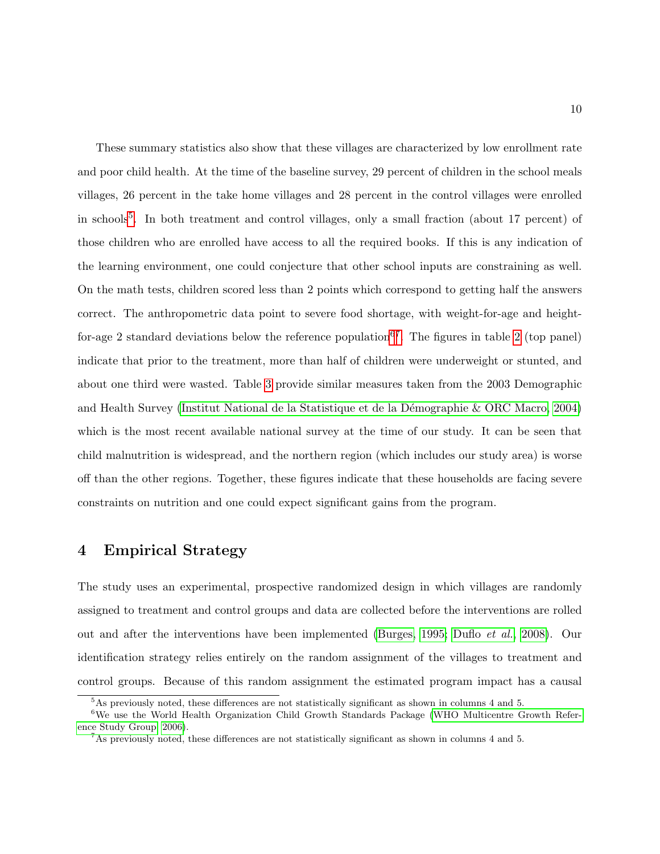These summary statistics also show that these villages are characterized by low enrollment rate and poor child health. At the time of the baseline survey, 29 percent of children in the school meals villages, 26 percent in the take home villages and 28 percent in the control villages were enrolled in schools<sup>[5](#page-10-0)</sup>. In both treatment and control villages, only a small fraction (about 17 percent) of those children who are enrolled have access to all the required books. If this is any indication of the learning environment, one could conjecture that other school inputs are constraining as well. On the math tests, children scored less than 2 points which correspond to getting half the answers correct. The anthropometric data point to severe food shortage, with weight-for-age and height-for-age 2 standard deviations below the reference population<sup>[6](#page-10-1)[7](#page-10-2)</sup>. The figures in table [2](#page-29-0) (top panel) indicate that prior to the treatment, more than half of children were underweight or stunted, and about one third were wasted. Table [3](#page-29-1) provide similar measures taken from the 2003 Demographic and Health Survey [\(Institut National de la Statistique et de la D´emographie & ORC Macro, 2004\)](#page-22-0) which is the most recent available national survey at the time of our study. It can be seen that child malnutrition is widespread, and the northern region (which includes our study area) is worse off than the other regions. Together, these figures indicate that these households are facing severe constraints on nutrition and one could expect significant gains from the program.

# 4 Empirical Strategy

The study uses an experimental, prospective randomized design in which villages are randomly assigned to treatment and control groups and data are collected before the interventions are rolled out and after the interventions have been implemented [\(Burges, 1995;](#page-21-6) [Duflo](#page-22-7) et al., [2008\)](#page-22-7). Our identification strategy relies entirely on the random assignment of the villages to treatment and control groups. Because of this random assignment the estimated program impact has a causal

<span id="page-10-1"></span><span id="page-10-0"></span> $5$ As previously noted, these differences are not statistically significant as shown in columns 4 and 5.

<sup>6</sup>We use the World Health Organization Child Growth Standards Package [\(WHO Multicentre Growth Refer](#page-23-5)[ence Study Group, 2006\)](#page-23-5).

<span id="page-10-2"></span><sup>7</sup>As previously noted, these differences are not statistically significant as shown in columns 4 and 5.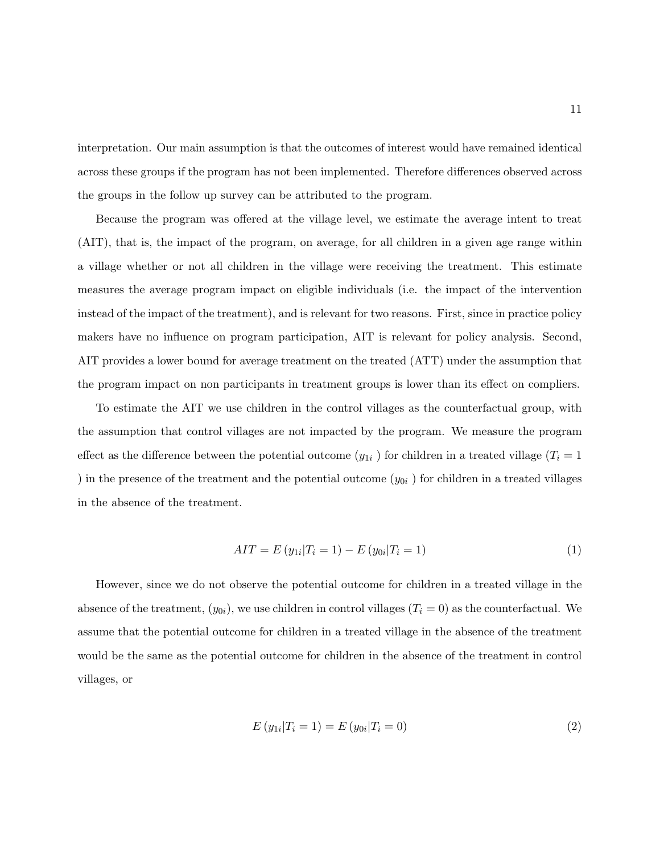interpretation. Our main assumption is that the outcomes of interest would have remained identical across these groups if the program has not been implemented. Therefore differences observed across the groups in the follow up survey can be attributed to the program.

Because the program was offered at the village level, we estimate the average intent to treat (AIT), that is, the impact of the program, on average, for all children in a given age range within a village whether or not all children in the village were receiving the treatment. This estimate measures the average program impact on eligible individuals (i.e. the impact of the intervention instead of the impact of the treatment), and is relevant for two reasons. First, since in practice policy makers have no influence on program participation, AIT is relevant for policy analysis. Second, AIT provides a lower bound for average treatment on the treated (ATT) under the assumption that the program impact on non participants in treatment groups is lower than its effect on compliers.

To estimate the AIT we use children in the control villages as the counterfactual group, with the assumption that control villages are not impacted by the program. We measure the program effect as the difference between the potential outcome  $(y_{1i})$  for children in a treated village  $(T_i = 1)$ ) in the presence of the treatment and the potential outcome  $(y_{0i})$  for children in a treated villages in the absence of the treatment.

$$
AIT = E (y_{1i} | T_i = 1) - E (y_{0i} | T_i = 1)
$$
\n(1)

However, since we do not observe the potential outcome for children in a treated village in the absence of the treatment,  $(y_{0i})$ , we use children in control villages  $(T_i = 0)$  as the counterfactual. We assume that the potential outcome for children in a treated village in the absence of the treatment would be the same as the potential outcome for children in the absence of the treatment in control villages, or

$$
E(y_{1i}|T_i = 1) = E(y_{0i}|T_i = 0)
$$
\n(2)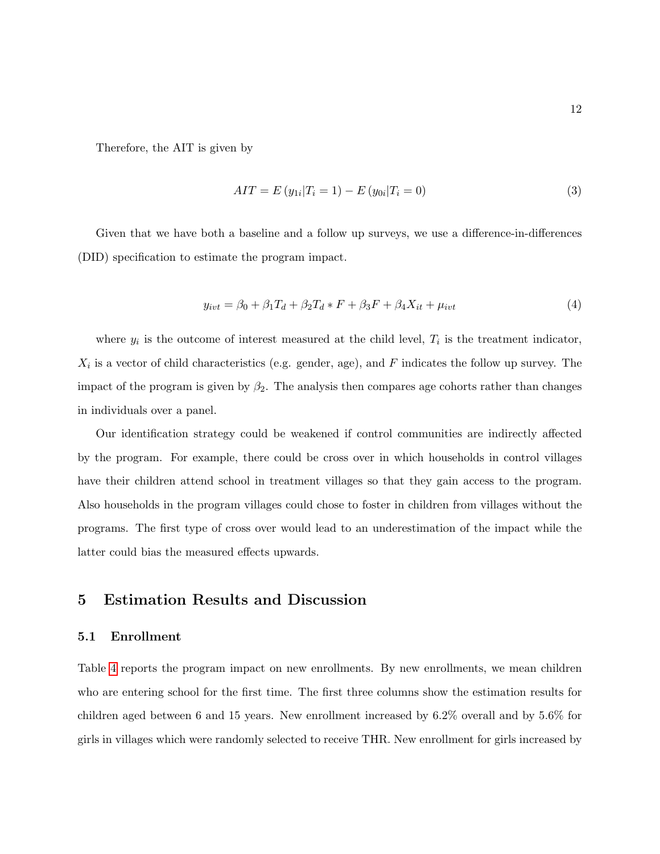Therefore, the AIT is given by

$$
AIT = E (y_{1i} | T_i = 1) - E (y_{0i} | T_i = 0)
$$
\n(3)

Given that we have both a baseline and a follow up surveys, we use a difference-in-differences (DID) specification to estimate the program impact.

$$
y_{ivt} = \beta_0 + \beta_1 T_d + \beta_2 T_d * F + \beta_3 F + \beta_4 X_{it} + \mu_{ivt}
$$
\n(4)

where  $y_i$  is the outcome of interest measured at the child level,  $T_i$  is the treatment indicator,  $X_i$  is a vector of child characteristics (e.g. gender, age), and F indicates the follow up survey. The impact of the program is given by  $\beta_2$ . The analysis then compares age cohorts rather than changes in individuals over a panel.

Our identification strategy could be weakened if control communities are indirectly affected by the program. For example, there could be cross over in which households in control villages have their children attend school in treatment villages so that they gain access to the program. Also households in the program villages could chose to foster in children from villages without the programs. The first type of cross over would lead to an underestimation of the impact while the latter could bias the measured effects upwards.

### 5 Estimation Results and Discussion

#### 5.1 Enrollment

Table [4](#page-30-0) reports the program impact on new enrollments. By new enrollments, we mean children who are entering school for the first time. The first three columns show the estimation results for children aged between 6 and 15 years. New enrollment increased by 6.2% overall and by 5.6% for girls in villages which were randomly selected to receive THR. New enrollment for girls increased by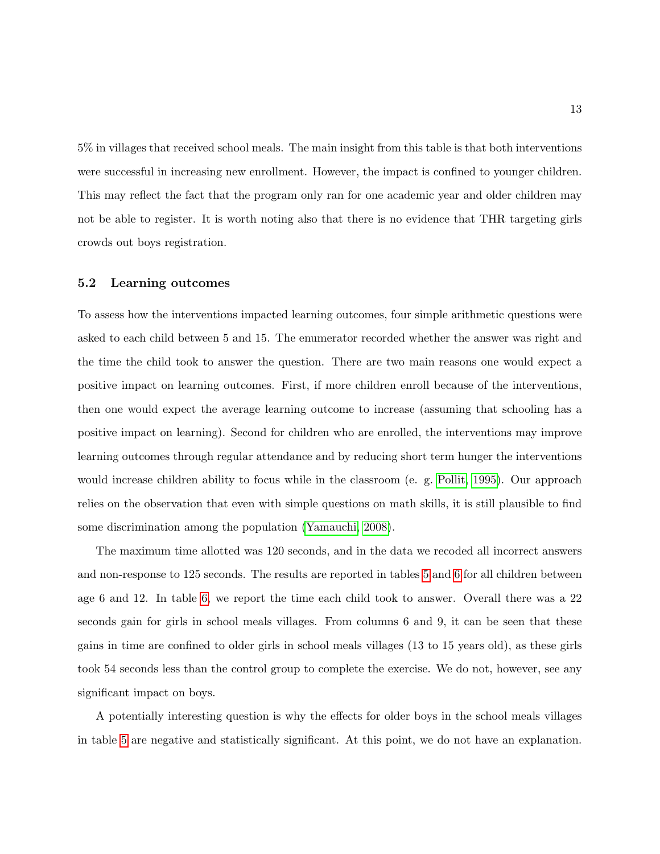5% in villages that received school meals. The main insight from this table is that both interventions were successful in increasing new enrollment. However, the impact is confined to younger children. This may reflect the fact that the program only ran for one academic year and older children may not be able to register. It is worth noting also that there is no evidence that THR targeting girls crowds out boys registration.

#### 5.2 Learning outcomes

To assess how the interventions impacted learning outcomes, four simple arithmetic questions were asked to each child between 5 and 15. The enumerator recorded whether the answer was right and the time the child took to answer the question. There are two main reasons one would expect a positive impact on learning outcomes. First, if more children enroll because of the interventions, then one would expect the average learning outcome to increase (assuming that schooling has a positive impact on learning). Second for children who are enrolled, the interventions may improve learning outcomes through regular attendance and by reducing short term hunger the interventions would increase children ability to focus while in the classroom (e. g. [Pollit, 1995\)](#page-23-6). Our approach relies on the observation that even with simple questions on math skills, it is still plausible to find some discrimination among the population [\(Yamauchi, 2008\)](#page-24-1).

The maximum time allotted was 120 seconds, and in the data we recoded all incorrect answers and non-response to 125 seconds. The results are reported in tables [5](#page-31-0) and [6](#page-32-0) for all children between age 6 and 12. In table [6,](#page-32-0) we report the time each child took to answer. Overall there was a 22 seconds gain for girls in school meals villages. From columns 6 and 9, it can be seen that these gains in time are confined to older girls in school meals villages (13 to 15 years old), as these girls took 54 seconds less than the control group to complete the exercise. We do not, however, see any significant impact on boys.

A potentially interesting question is why the effects for older boys in the school meals villages in table [5](#page-31-0) are negative and statistically significant. At this point, we do not have an explanation.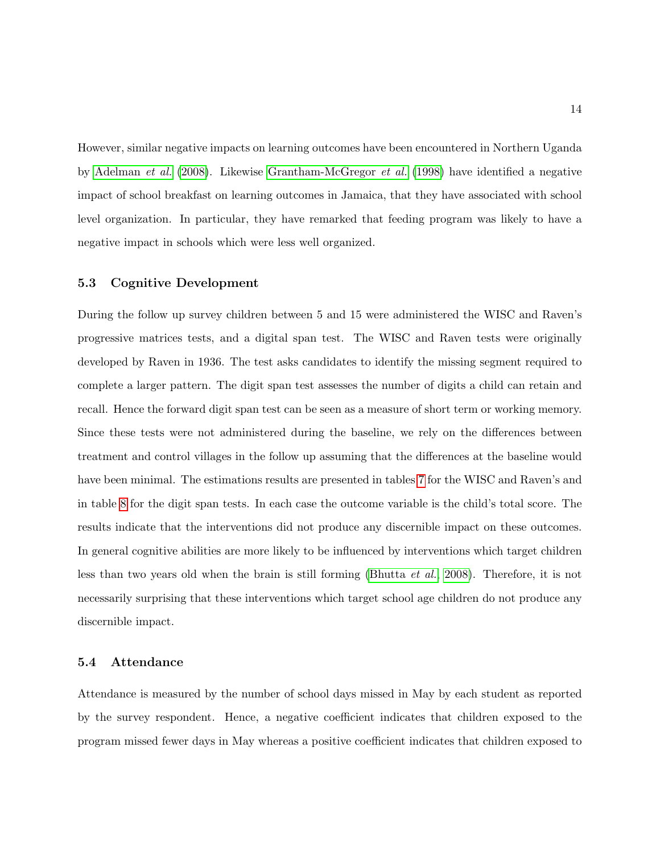However, similar negative impacts on learning outcomes have been encountered in Northern Uganda by [Adelman](#page-21-1) et al. [\(2008\)](#page-21-1). Likewise [Grantham-McGregor](#page-22-1) et al. [\(1998\)](#page-22-1) have identified a negative impact of school breakfast on learning outcomes in Jamaica, that they have associated with school level organization. In particular, they have remarked that feeding program was likely to have a negative impact in schools which were less well organized.

#### 5.3 Cognitive Development

During the follow up survey children between 5 and 15 were administered the WISC and Raven's progressive matrices tests, and a digital span test. The WISC and Raven tests were originally developed by Raven in 1936. The test asks candidates to identify the missing segment required to complete a larger pattern. The digit span test assesses the number of digits a child can retain and recall. Hence the forward digit span test can be seen as a measure of short term or working memory. Since these tests were not administered during the baseline, we rely on the differences between treatment and control villages in the follow up assuming that the differences at the baseline would have been minimal. The estimations results are presented in tables [7](#page-33-0) for the WISC and Raven's and in table [8](#page-34-0) for the digit span tests. In each case the outcome variable is the child's total score. The results indicate that the interventions did not produce any discernible impact on these outcomes. In general cognitive abilities are more likely to be influenced by interventions which target children less than two years old when the brain is still forming [\(Bhutta](#page-21-4) et al., [2008\)](#page-21-4). Therefore, it is not necessarily surprising that these interventions which target school age children do not produce any discernible impact.

#### 5.4 Attendance

Attendance is measured by the number of school days missed in May by each student as reported by the survey respondent. Hence, a negative coefficient indicates that children exposed to the program missed fewer days in May whereas a positive coefficient indicates that children exposed to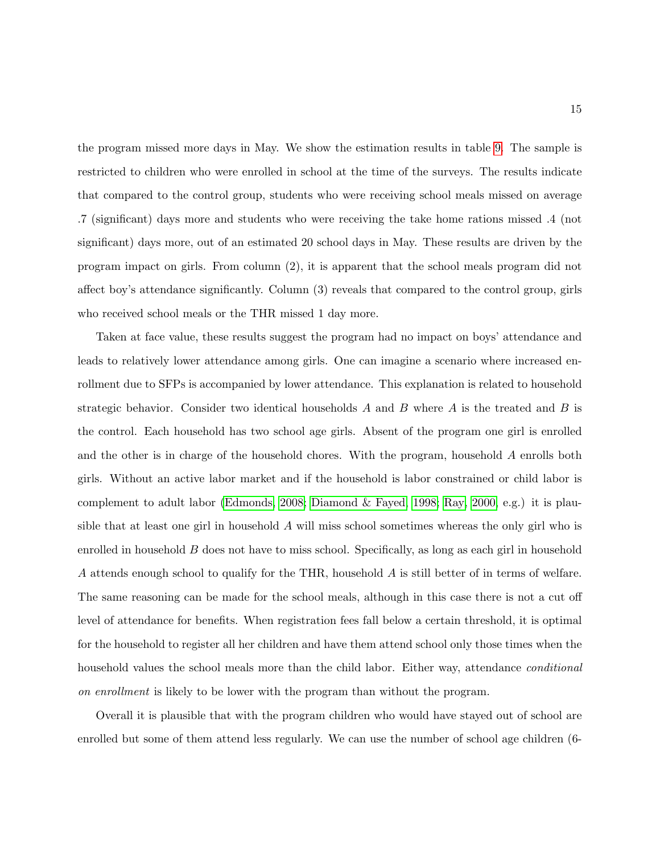the program missed more days in May. We show the estimation results in table [9.](#page-35-0) The sample is restricted to children who were enrolled in school at the time of the surveys. The results indicate that compared to the control group, students who were receiving school meals missed on average .7 (significant) days more and students who were receiving the take home rations missed .4 (not significant) days more, out of an estimated 20 school days in May. These results are driven by the program impact on girls. From column (2), it is apparent that the school meals program did not affect boy's attendance significantly. Column (3) reveals that compared to the control group, girls who received school meals or the THR missed 1 day more.

Taken at face value, these results suggest the program had no impact on boys' attendance and leads to relatively lower attendance among girls. One can imagine a scenario where increased enrollment due to SFPs is accompanied by lower attendance. This explanation is related to household strategic behavior. Consider two identical households  $A$  and  $B$  where  $A$  is the treated and  $B$  is the control. Each household has two school age girls. Absent of the program one girl is enrolled and the other is in charge of the household chores. With the program, household A enrolls both girls. Without an active labor market and if the household is labor constrained or child labor is complement to adult labor [\(Edmonds, 2008;](#page-22-8) [Diamond & Fayed, 1998;](#page-21-7) [Ray, 2000,](#page-23-7) e.g.) it is plausible that at least one girl in household A will miss school sometimes whereas the only girl who is enrolled in household  $B$  does not have to miss school. Specifically, as long as each girl in household A attends enough school to qualify for the THR, household A is still better of in terms of welfare. The same reasoning can be made for the school meals, although in this case there is not a cut off level of attendance for benefits. When registration fees fall below a certain threshold, it is optimal for the household to register all her children and have them attend school only those times when the household values the school meals more than the child labor. Either way, attendance *conditional* on enrollment is likely to be lower with the program than without the program.

Overall it is plausible that with the program children who would have stayed out of school are enrolled but some of them attend less regularly. We can use the number of school age children (6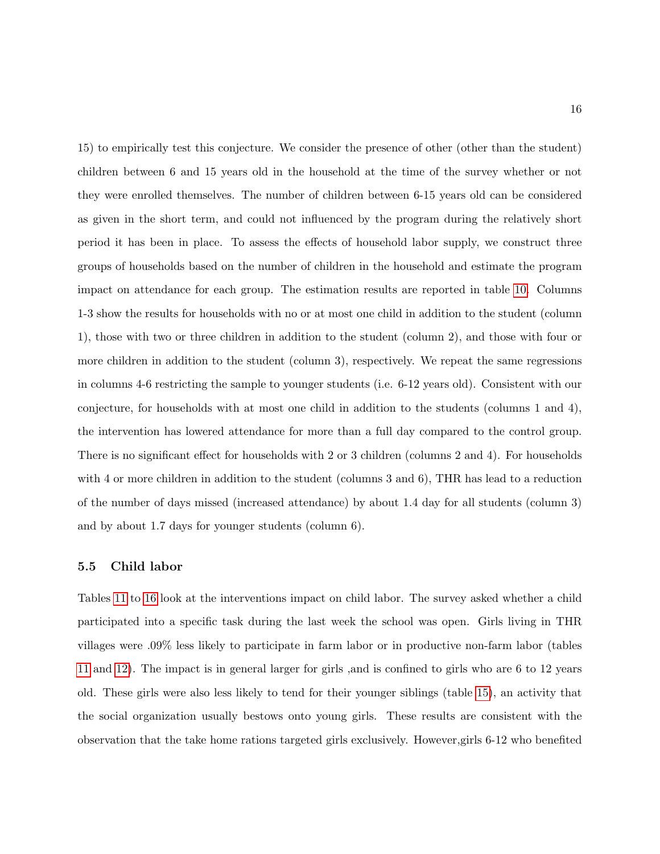15) to empirically test this conjecture. We consider the presence of other (other than the student) children between 6 and 15 years old in the household at the time of the survey whether or not they were enrolled themselves. The number of children between 6-15 years old can be considered as given in the short term, and could not influenced by the program during the relatively short period it has been in place. To assess the effects of household labor supply, we construct three groups of households based on the number of children in the household and estimate the program impact on attendance for each group. The estimation results are reported in table [10.](#page-36-0) Columns 1-3 show the results for households with no or at most one child in addition to the student (column 1), those with two or three children in addition to the student (column 2), and those with four or more children in addition to the student (column 3), respectively. We repeat the same regressions in columns 4-6 restricting the sample to younger students (i.e. 6-12 years old). Consistent with our conjecture, for households with at most one child in addition to the students (columns 1 and 4), the intervention has lowered attendance for more than a full day compared to the control group. There is no significant effect for households with 2 or 3 children (columns 2 and 4). For households with 4 or more children in addition to the student (columns 3 and 6), THR has lead to a reduction of the number of days missed (increased attendance) by about 1.4 day for all students (column 3) and by about 1.7 days for younger students (column 6).

#### 5.5 Child labor

Tables [11](#page-37-0) to [16](#page-42-0) look at the interventions impact on child labor. The survey asked whether a child participated into a specific task during the last week the school was open. Girls living in THR villages were .09% less likely to participate in farm labor or in productive non-farm labor (tables [11](#page-37-0) and [12\)](#page-38-0). The impact is in general larger for girls ,and is confined to girls who are 6 to 12 years old. These girls were also less likely to tend for their younger siblings (table [15\)](#page-41-0), an activity that the social organization usually bestows onto young girls. These results are consistent with the observation that the take home rations targeted girls exclusively. However,girls 6-12 who benefited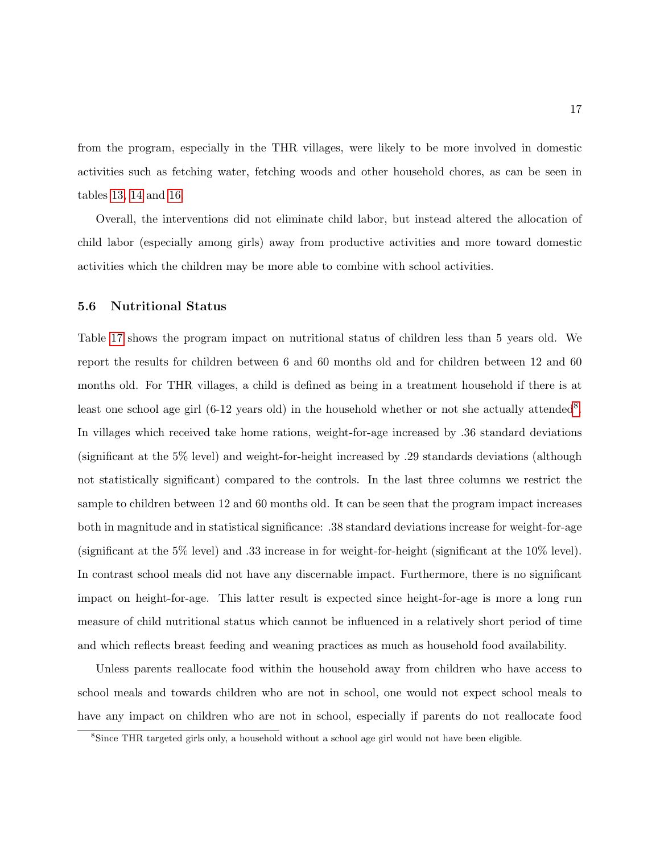from the program, especially in the THR villages, were likely to be more involved in domestic activities such as fetching water, fetching woods and other household chores, as can be seen in tables [13,](#page-39-0) [14](#page-40-0) and [16.](#page-42-0)

Overall, the interventions did not eliminate child labor, but instead altered the allocation of child labor (especially among girls) away from productive activities and more toward domestic activities which the children may be more able to combine with school activities.

#### 5.6 Nutritional Status

Table [17](#page-43-0) shows the program impact on nutritional status of children less than 5 years old. We report the results for children between 6 and 60 months old and for children between 12 and 60 months old. For THR villages, a child is defined as being in a treatment household if there is at least one school age girl  $(6-12 \text{ years old})$  in the household whether or not she actually attended<sup>[8](#page-17-0)</sup>. In villages which received take home rations, weight-for-age increased by .36 standard deviations (significant at the 5% level) and weight-for-height increased by .29 standards deviations (although not statistically significant) compared to the controls. In the last three columns we restrict the sample to children between 12 and 60 months old. It can be seen that the program impact increases both in magnitude and in statistical significance: .38 standard deviations increase for weight-for-age (significant at the 5% level) and .33 increase in for weight-for-height (significant at the 10% level). In contrast school meals did not have any discernable impact. Furthermore, there is no significant impact on height-for-age. This latter result is expected since height-for-age is more a long run measure of child nutritional status which cannot be influenced in a relatively short period of time and which reflects breast feeding and weaning practices as much as household food availability.

Unless parents reallocate food within the household away from children who have access to school meals and towards children who are not in school, one would not expect school meals to have any impact on children who are not in school, especially if parents do not reallocate food

<span id="page-17-0"></span><sup>&</sup>lt;sup>8</sup>Since THR targeted girls only, a household without a school age girl would not have been eligible.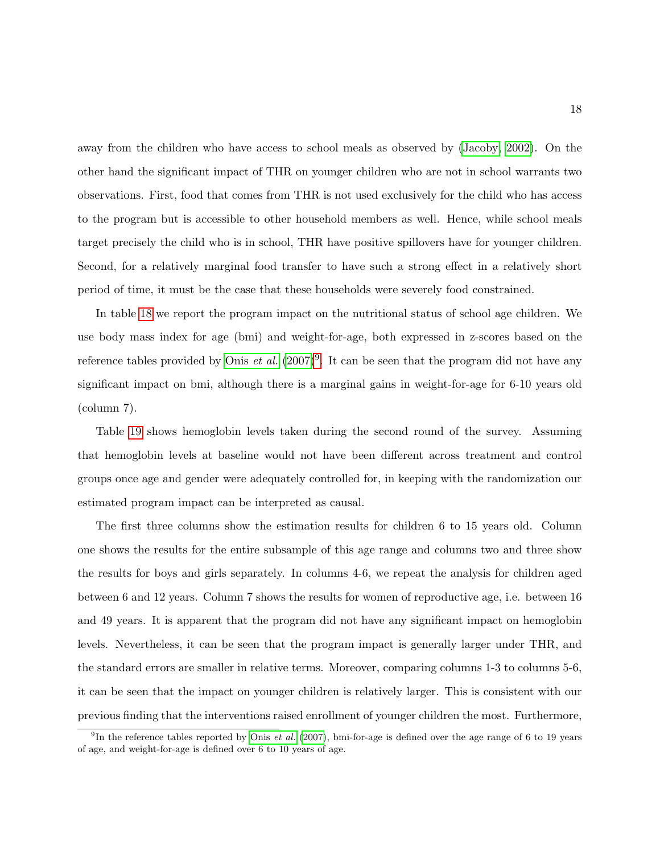away from the children who have access to school meals as observed by [\(Jacoby, 2002\)](#page-22-5). On the other hand the significant impact of THR on younger children who are not in school warrants two observations. First, food that comes from THR is not used exclusively for the child who has access to the program but is accessible to other household members as well. Hence, while school meals target precisely the child who is in school, THR have positive spillovers have for younger children. Second, for a relatively marginal food transfer to have such a strong effect in a relatively short period of time, it must be the case that these households were severely food constrained.

In table [18](#page-44-0) we report the program impact on the nutritional status of school age children. We use body mass index for age (bmi) and weight-for-age, both expressed in z-scores based on the reference tables provided by Onis *[et al.](#page-23-8)*  $(2007)^9$  $(2007)^9$  $(2007)^9$ . It can be seen that the program did not have any significant impact on bmi, although there is a marginal gains in weight-for-age for 6-10 years old (column 7).

Table [19](#page-45-0) shows hemoglobin levels taken during the second round of the survey. Assuming that hemoglobin levels at baseline would not have been different across treatment and control groups once age and gender were adequately controlled for, in keeping with the randomization our estimated program impact can be interpreted as causal.

The first three columns show the estimation results for children 6 to 15 years old. Column one shows the results for the entire subsample of this age range and columns two and three show the results for boys and girls separately. In columns 4-6, we repeat the analysis for children aged between 6 and 12 years. Column 7 shows the results for women of reproductive age, i.e. between 16 and 49 years. It is apparent that the program did not have any significant impact on hemoglobin levels. Nevertheless, it can be seen that the program impact is generally larger under THR, and the standard errors are smaller in relative terms. Moreover, comparing columns 1-3 to columns 5-6, it can be seen that the impact on younger children is relatively larger. This is consistent with our previous finding that the interventions raised enrollment of younger children the most. Furthermore,

<span id="page-18-0"></span><sup>&</sup>lt;sup>9</sup>In the reference tables reported by Onis *[et al.](#page-23-8)* [\(2007\)](#page-23-8), bmi-for-age is defined over the age range of 6 to 19 years of age, and weight-for-age is defined over 6 to 10 years of age.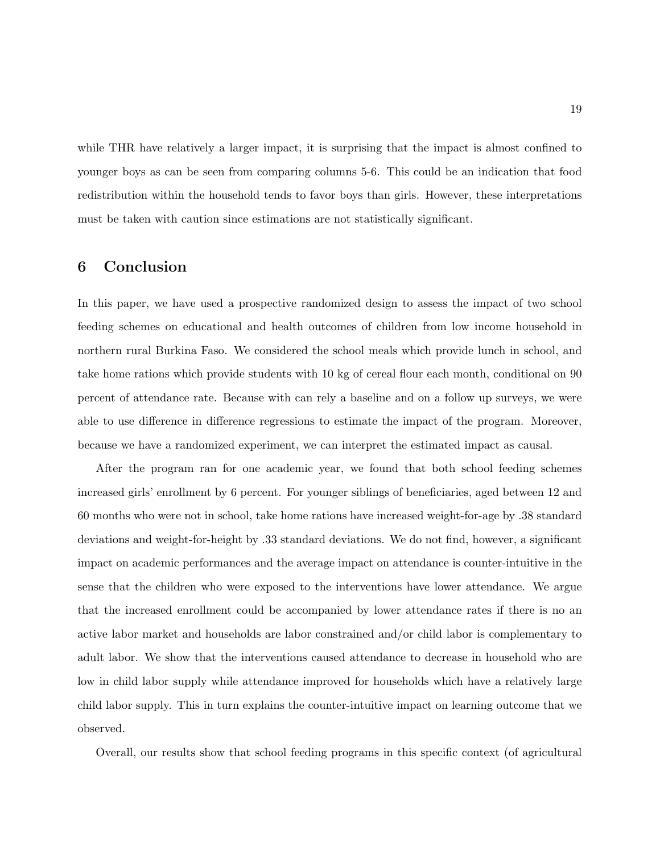while THR have relatively a larger impact, it is surprising that the impact is almost confined to younger boys as can be seen from comparing columns 5-6. This could be an indication that food redistribution within the household tends to favor boys than girls. However, these interpretations must be taken with caution since estimations are not statistically significant.

# 6 Conclusion

In this paper, we have used a prospective randomized design to assess the impact of two school feeding schemes on educational and health outcomes of children from low income household in northern rural Burkina Faso. We considered the school meals which provide lunch in school, and take home rations which provide students with 10 kg of cereal flour each month, conditional on 90 percent of attendance rate. Because with can rely a baseline and on a follow up surveys, we were able to use difference in difference regressions to estimate the impact of the program. Moreover, because we have a randomized experiment, we can interpret the estimated impact as causal.

After the program ran for one academic year, we found that both school feeding schemes increased girls' enrollment by 6 percent. For younger siblings of beneficiaries, aged between 12 and 60 months who were not in school, take home rations have increased weight-for-age by .38 standard deviations and weight-for-height by .33 standard deviations. We do not find, however, a significant impact on academic performances and the average impact on attendance is counter-intuitive in the sense that the children who were exposed to the interventions have lower attendance. We argue that the increased enrollment could be accompanied by lower attendance rates if there is no an active labor market and households are labor constrained and/or child labor is complementary to adult labor. We show that the interventions caused attendance to decrease in household who are low in child labor supply while attendance improved for households which have a relatively large child labor supply. This in turn explains the counter-intuitive impact on learning outcome that we observed.

Overall, our results show that school feeding programs in this specific context (of agricultural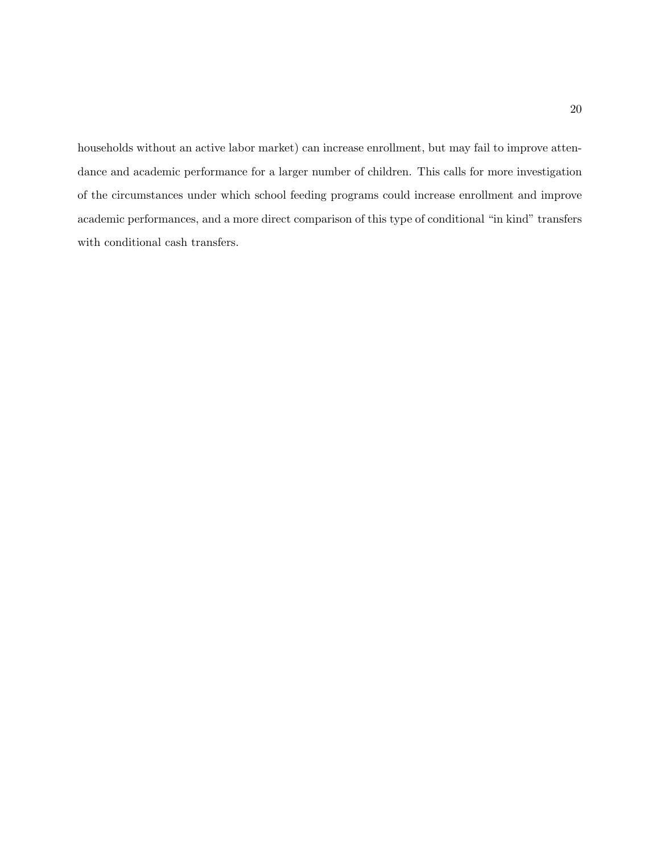households without an active labor market) can increase enrollment, but may fail to improve attendance and academic performance for a larger number of children. This calls for more investigation of the circumstances under which school feeding programs could increase enrollment and improve academic performances, and a more direct comparison of this type of conditional "in kind" transfers with conditional cash transfers.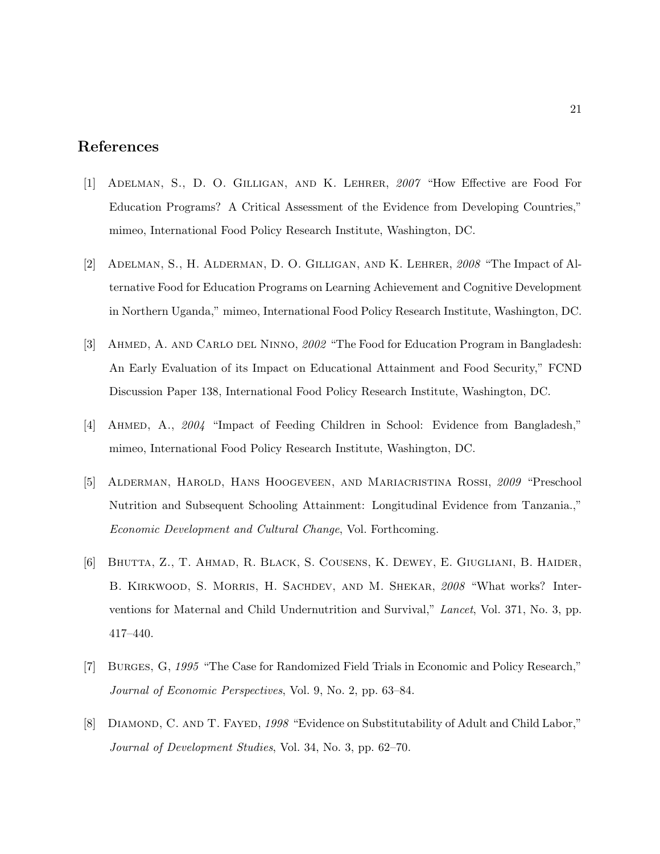# <span id="page-21-0"></span>References

- [1] Adelman, S., D. O. Gilligan, and K. Lehrer, 2007 "How Effective are Food For Education Programs? A Critical Assessment of the Evidence from Developing Countries," mimeo, International Food Policy Research Institute, Washington, DC.
- <span id="page-21-1"></span>[2] Adelman, S., H. Alderman, D. O. Gilligan, and K. Lehrer, 2008 "The Impact of Alternative Food for Education Programs on Learning Achievement and Cognitive Development in Northern Uganda," mimeo, International Food Policy Research Institute, Washington, DC.
- <span id="page-21-3"></span>[3] AHMED, A. AND CARLO DEL NINNO, 2002 "The Food for Education Program in Bangladesh: An Early Evaluation of its Impact on Educational Attainment and Food Security," FCND Discussion Paper 138, International Food Policy Research Institute, Washington, DC.
- <span id="page-21-2"></span>[4] Ahmed, A., 2004 "Impact of Feeding Children in School: Evidence from Bangladesh," mimeo, International Food Policy Research Institute, Washington, DC.
- <span id="page-21-5"></span>[5] Alderman, Harold, Hans Hoogeveen, and Mariacristina Rossi, 2009 "Preschool Nutrition and Subsequent Schooling Attainment: Longitudinal Evidence from Tanzania.," Economic Development and Cultural Change, Vol. Forthcoming.
- <span id="page-21-4"></span>[6] Bhutta, Z., T. Ahmad, R. Black, S. Cousens, K. Dewey, E. Giugliani, B. Haider, B. Kirkwood, S. Morris, H. Sachdev, and M. Shekar, 2008 "What works? Interventions for Maternal and Child Undernutrition and Survival," Lancet, Vol. 371, No. 3, pp. 417–440.
- <span id="page-21-6"></span>[7] Burges, G, 1995 "The Case for Randomized Field Trials in Economic and Policy Research," Journal of Economic Perspectives, Vol. 9, No. 2, pp. 63–84.
- <span id="page-21-7"></span>[8] DIAMOND, C. AND T. FAYED, 1998 "Evidence on Substitutability of Adult and Child Labor," Journal of Development Studies, Vol. 34, No. 3, pp. 62–70.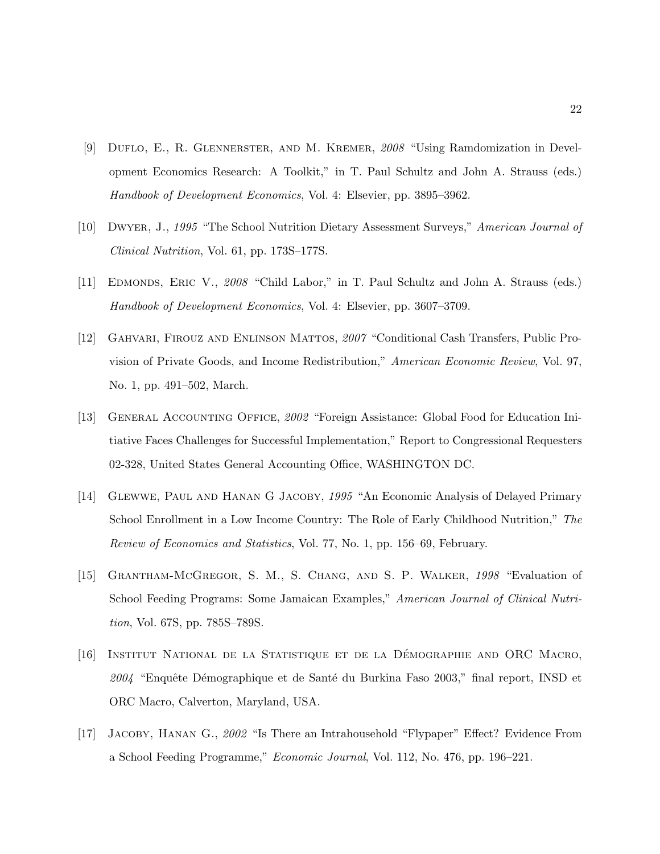- <span id="page-22-7"></span>[9] Duflo, E., R. Glennerster, and M. Kremer, 2008 "Using Ramdomization in Development Economics Research: A Toolkit," in T. Paul Schultz and John A. Strauss (eds.) Handbook of Development Economics, Vol. 4: Elsevier, pp. 3895–3962.
- <span id="page-22-2"></span>[10] Dwyer, J., 1995 "The School Nutrition Dietary Assessment Surveys," American Journal of Clinical Nutrition, Vol. 61, pp. 173S–177S.
- <span id="page-22-8"></span>[11] EDMONDS, ERIC V., 2008 "Child Labor," in T. Paul Schultz and John A. Strauss (eds.) Handbook of Development Economics, Vol. 4: Elsevier, pp. 3607–3709.
- <span id="page-22-4"></span>[12] Gahvari, Firouz and Enlinson Mattos, 2007 "Conditional Cash Transfers, Public Provision of Private Goods, and Income Redistribution," American Economic Review, Vol. 97, No. 1, pp. 491–502, March.
- <span id="page-22-3"></span>[13] General Accounting Office, 2002 "Foreign Assistance: Global Food for Education Initiative Faces Challenges for Successful Implementation," Report to Congressional Requesters 02-328, United States General Accounting Office, WASHINGTON DC.
- <span id="page-22-6"></span>[14] Glewwe, Paul and Hanan G Jacoby, 1995 "An Economic Analysis of Delayed Primary School Enrollment in a Low Income Country: The Role of Early Childhood Nutrition," The Review of Economics and Statistics, Vol. 77, No. 1, pp. 156–69, February.
- <span id="page-22-1"></span>[15] Grantham-McGregor, S. M., S. Chang, and S. P. Walker, 1998 "Evaluation of School Feeding Programs: Some Jamaican Examples," American Journal of Clinical Nutrition, Vol. 67S, pp. 785S-789S.
- <span id="page-22-0"></span>[16] INSTITUT NATIONAL DE LA STATISTIQUE ET DE LA DÉMOGRAPHIE AND ORC MACRO,  $2004$  "Enquête Démographique et de Santé du Burkina Faso 2003," final report, INSD et ORC Macro, Calverton, Maryland, USA.
- <span id="page-22-5"></span>[17] Jacoby, Hanan G., 2002 "Is There an Intrahousehold "Flypaper" Effect? Evidence From a School Feeding Programme," Economic Journal, Vol. 112, No. 476, pp. 196–221.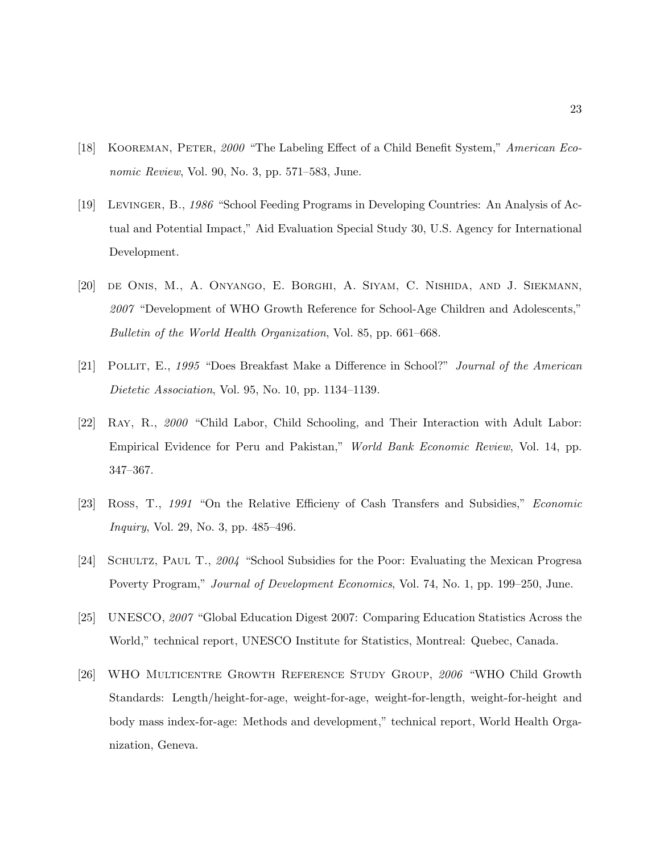- <span id="page-23-4"></span>[18] KOOREMAN, PETER, 2000 "The Labeling Effect of a Child Benefit System," American Economic Review, Vol. 90, No. 3, pp. 571–583, June.
- <span id="page-23-1"></span>[19] Levinger, B., 1986 "School Feeding Programs in Developing Countries: An Analysis of Actual and Potential Impact," Aid Evaluation Special Study 30, U.S. Agency for International Development.
- <span id="page-23-8"></span>[20] de Onis, M., A. Onyango, E. Borghi, A. Siyam, C. Nishida, and J. Siekmann, 2007 "Development of WHO Growth Reference for School-Age Children and Adolescents," Bulletin of the World Health Organization, Vol. 85, pp. 661–668.
- <span id="page-23-6"></span>[21] Pollit, E., 1995 "Does Breakfast Make a Difference in School?" Journal of the American Dietetic Association, Vol. 95, No. 10, pp. 1134–1139.
- <span id="page-23-7"></span>[22] Ray, R., 2000 "Child Labor, Child Schooling, and Their Interaction with Adult Labor: Empirical Evidence for Peru and Pakistan," World Bank Economic Review, Vol. 14, pp. 347–367.
- <span id="page-23-3"></span>[23] Ross, T., 1991 "On the Relative Efficieny of Cash Transfers and Subsidies," Economic Inquiry, Vol. 29, No. 3, pp. 485–496.
- <span id="page-23-2"></span>[24] Schultz, Paul T., 2004 "School Subsidies for the Poor: Evaluating the Mexican Progresa Poverty Program," Journal of Development Economics, Vol. 74, No. 1, pp. 199–250, June.
- <span id="page-23-0"></span>[25] UNESCO, 2007 "Global Education Digest 2007: Comparing Education Statistics Across the World," technical report, UNESCO Institute for Statistics, Montreal: Quebec, Canada.
- <span id="page-23-5"></span>[26] WHO Multicentre Growth Reference Study Group, 2006 "WHO Child Growth Standards: Length/height-for-age, weight-for-age, weight-for-length, weight-for-height and body mass index-for-age: Methods and development," technical report, World Health Organization, Geneva.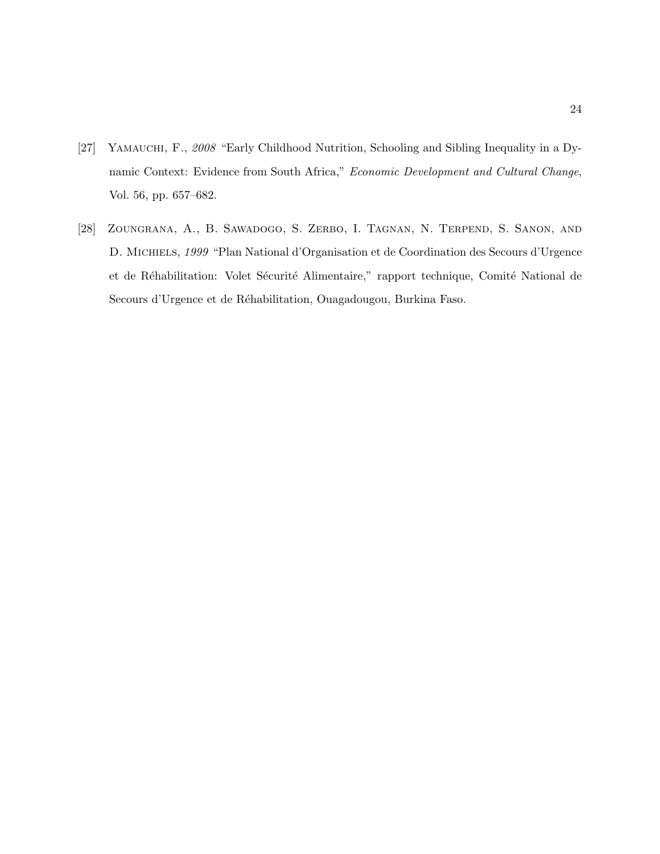- <span id="page-24-1"></span>[27] YAMAUCHI, F., 2008 "Early Childhood Nutrition, Schooling and Sibling Inequality in a Dynamic Context: Evidence from South Africa," Economic Development and Cultural Change, Vol. 56, pp. 657–682.
- <span id="page-24-0"></span>[28] Zoungrana, A., B. Sawadogo, S. Zerbo, I. Tagnan, N. Terpend, S. Sanon, and D. Michiels, 1999 "Plan National d'Organisation et de Coordination des Secours d'Urgence et de Réhabilitation: Volet Sécurité Alimentaire," rapport technique, Comité National de Secours d'Urgence et de Réhabilitation, Ouagadougou, Burkina Faso.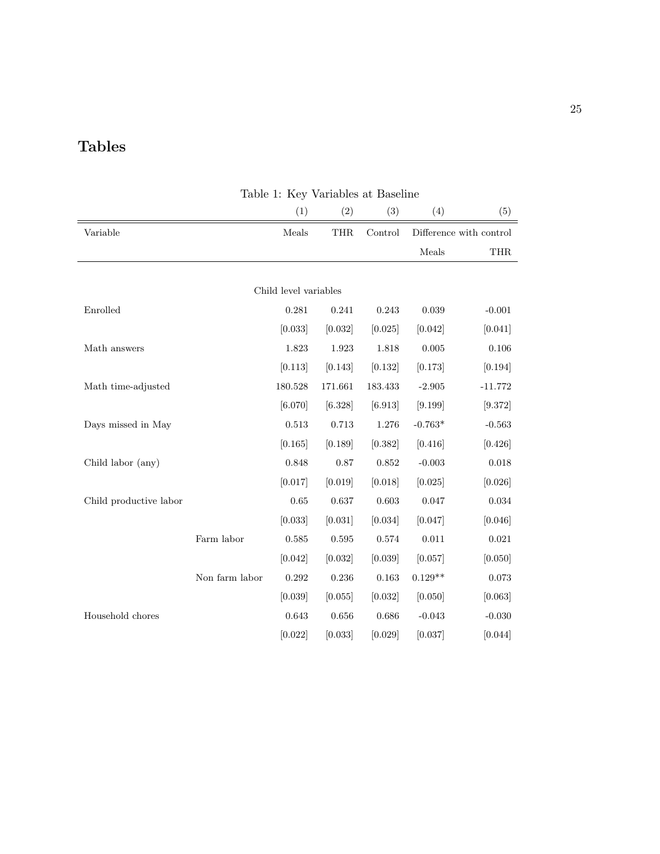# <span id="page-25-0"></span>Tables

|                        |                | (1)                   | (2)        | (3)       | (4)       | (5)                     |
|------------------------|----------------|-----------------------|------------|-----------|-----------|-------------------------|
| Variable               |                | Meals                 | <b>THR</b> | Control   |           | Difference with control |
|                        |                |                       |            |           | Meals     | <b>THR</b>              |
|                        |                |                       |            |           |           |                         |
|                        |                | Child level variables |            |           |           |                         |
| Enrolled               |                | 0.281                 | 0.241      | 0.243     | 0.039     | $-0.001$                |
|                        |                | [0.033]               | [0.032]    | [0.025]   | [0.042]   | [0.041]                 |
| Math answers           |                | 1.823                 | 1.923      | 1.818     | 0.005     | 0.106                   |
|                        |                | [0.113]               | [0.143]    | [0.132]   | [0.173]   | [0.194]                 |
| Math time-adjusted     |                | 180.528               | 171.661    | 183.433   | $-2.905$  | $-11.772$               |
|                        |                | [6.070]               | [6.328]    | [6.913]   | [9.199]   | [9.372]                 |
| Days missed in May     |                | 0.513                 | 0.713      | 1.276     | $-0.763*$ | $-0.563$                |
|                        |                | [0.165]               | [0.189]    | [0.382]   | [0.416]   | [0.426]                 |
| Child labor (any)      |                | 0.848                 | 0.87       | 0.852     | $-0.003$  | 0.018                   |
|                        |                | [0.017]               | [0.019]    | [0.018]   | [0.025]   | [0.026]                 |
| Child productive labor |                | 0.65                  | 0.637      | 0.603     | 0.047     | 0.034                   |
|                        |                | [0.033]               | [0.031]    | [0.034]   | [0.047]   | [0.046]                 |
|                        | Farm labor     | $\,0.585\,$           | 0.595      | $0.574\,$ | 0.011     | 0.021                   |
|                        |                | [0.042]               | [0.032]    | [0.039]   | [0.057]   | [0.050]                 |
|                        | Non farm labor | 0.292                 | 0.236      | 0.163     | $0.129**$ | $\,0.073\,$             |
|                        |                | [0.039]               | [0.055]    | [0.032]   | [0.050]   | [0.063]                 |
| Household chores       |                | 0.643                 | 0.656      | 0.686     | $-0.043$  | $-0.030$                |
|                        |                | [0.022]               | [0.033]    | [0.029]   | [0.037]   | [0.044]                 |

Table 1: Key Variables at Baseline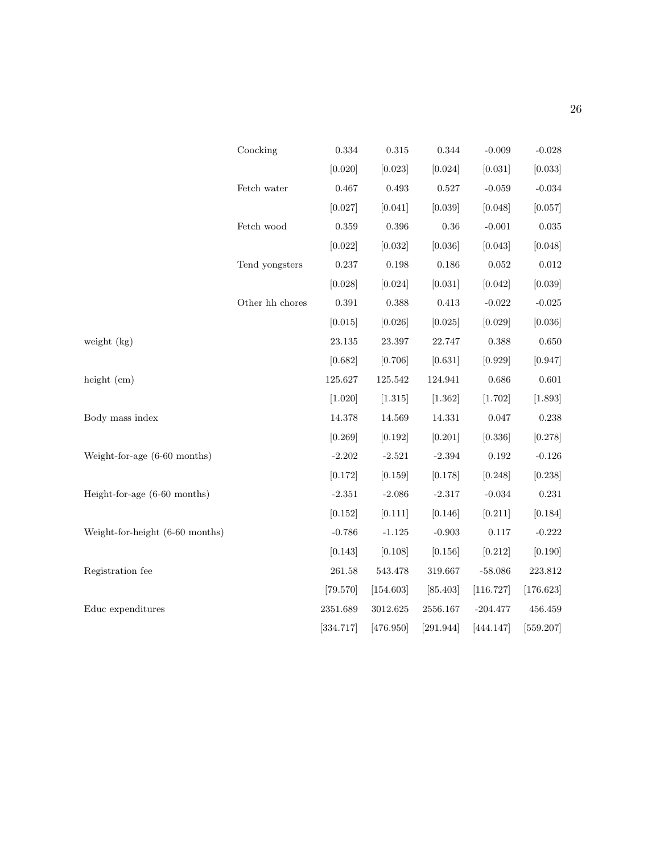|                                 | Coocking           | 0.334      | $0.315\,$   | 0.344      | $-0.009$        | $-0.028$    |
|---------------------------------|--------------------|------------|-------------|------------|-----------------|-------------|
|                                 |                    | [0.020]    | [0.023]     | [0.024]    | [0.031]         | [0.033]     |
|                                 | Fetch water        | 0.467      | $\,0.493\,$ | $0.527\,$  | $-0.059$        | $-0.034$    |
|                                 |                    | [0.027]    | [0.041]     | [0.039]    | [0.048]         | [0.057]     |
|                                 | ${\rm Fetch}$ wood | 0.359      | 0.396       | $0.36\,$   | $-0.001$        | $\,0.035\,$ |
|                                 |                    | [0.022]    | [0.032]     | [0.036]    | [0.043]         | [0.048]     |
|                                 | Tend yongsters     | 0.237      | $0.198\,$   | $0.186\,$  | $\,0.052\,$     | $\rm 0.012$ |
|                                 |                    | [0.028]    | [0.024]     | [0.031]    | [0.042]         | [0.039]     |
|                                 | Other hh chores    | 0.391      | 0.388       | 0.413      | $-0.022$        | $-0.025$    |
|                                 |                    | [0.015]    | [0.026]     | [0.025]    | [0.029]         | [0.036]     |
| weight (kg)                     |                    | $23.135\,$ | 23.397      | 22.747     | $0.388\,$       | $0.650\,$   |
|                                 |                    | [0.682]    | [0.706]     | [0.631]    | [0.929]         | [0.947]     |
| height (cm)                     |                    | 125.627    | 125.542     | 124.941    | 0.686           | $0.601\,$   |
|                                 |                    | [1.020]    | [1.315]     | [1.362]    | [1.702]         | [1.893]     |
| Body mass index                 |                    | 14.378     | $14.569\,$  | $14.331\,$ | $0.047\,$       | $0.238\,$   |
|                                 |                    | [0.269]    | [0.192]     | [0.201]    | [0.336]         | [0.278]     |
| Weight-for-age (6-60 months)    |                    | $-2.202$   | $-2.521$    | $-2.394$   | $\rm 0.192$     | $-0.126$    |
|                                 |                    | [0.172]    | [0.159]     | [0.178]    | [0.248]         | [0.238]     |
| Height-for-age (6-60 months)    |                    | $-2.351$   | $-2.086$    | $-2.317$   | $\text{-}0.034$ | $0.231\,$   |
|                                 |                    | [0.152]    | [0.111]     | [0.146]    | [0.211]         | [0.184]     |
| Weight-for-height (6-60 months) |                    | $-0.786$   | $-1.125$    | $-0.903$   | $0.117\,$       | $-0.222$    |
|                                 |                    | [0.143]    | [0.108]     | [0.156]    | [0.212]         | [0.190]     |
| Registration fee                |                    | $261.58\,$ | 543.478     | 319.667    | $-58.086$       | 223.812     |
|                                 |                    | [79.570]   | [154.603]   | [85.403]   | [116.727]       | [176.623]   |
| Educ expenditures               |                    | 2351.689   | 3012.625    | 2556.167   | $-204.477$      | $\!56.459$  |
|                                 |                    | [334.717]  | [476.950]   | [291.944]  | [444.147]       | [559.207]   |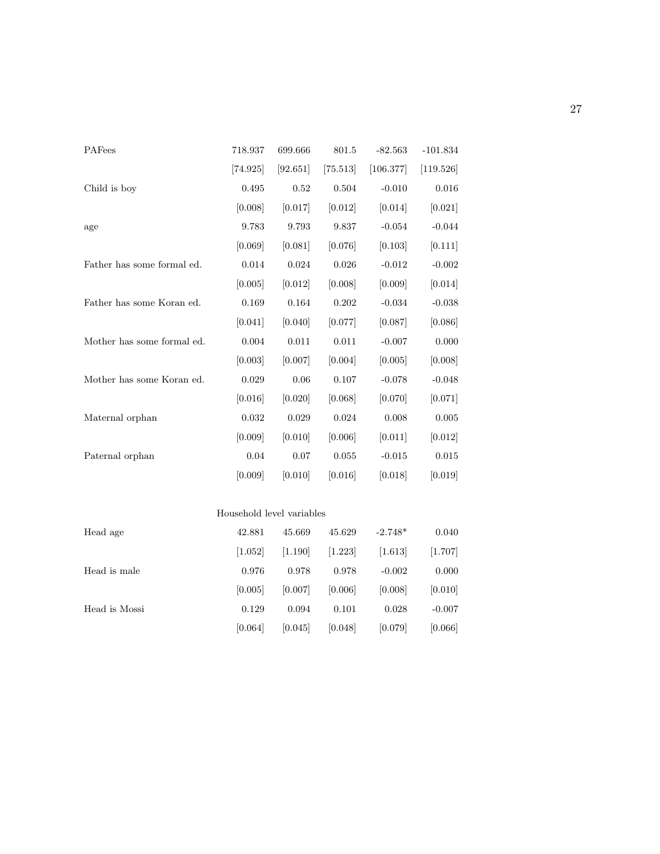| PAFees                     | 718.937    | 699.666  | 801.5    | $-82.563$ | $-101.834$ |
|----------------------------|------------|----------|----------|-----------|------------|
|                            | $[74.925]$ | [92.651] | [75.513] | [106.377] | [119.526]  |
| Child is boy               | 0.495      | 0.52     | 0.504    | $-0.010$  | 0.016      |
|                            | [0.008]    | [0.017]  | [0.012]  | [0.014]   | [0.021]    |
| age                        | 9.783      | 9.793    | 9.837    | $-0.054$  | $-0.044$   |
|                            | [0.069]    | [0.081]  | [0.076]  | [0.103]   | [0.111]    |
| Father has some formal ed. | 0.014      | 0.024    | 0.026    | $-0.012$  | $-0.002$   |
|                            | [0.005]    | [0.012]  | [0.008]  | [0.009]   | [0.014]    |
| Father has some Koran ed.  | 0.169      | 0.164    | 0.202    | $-0.034$  | $-0.038$   |
|                            | [0.041]    | [0.040]  | [0.077]  | [0.087]   | [0.086]    |
| Mother has some formal ed. | 0.004      | 0.011    | 0.011    | $-0.007$  | 0.000      |
|                            | [0.003]    | [0.007]  | [0.004]  | [0.005]   | [0.008]    |
| Mother has some Koran ed.  | 0.029      | 0.06     | 0.107    | $-0.078$  | $-0.048$   |
|                            | [0.016]    | [0.020]  | [0.068]  | [0.070]   | [0.071]    |
| Maternal orphan            | 0.032      | 0.029    | 0.024    | 0.008     | 0.005      |
|                            | [0.009]    | [0.010]  | [0.006]  | [0.011]   | [0.012]    |
| Paternal orphan            | 0.04       | 0.07     | 0.055    | $-0.015$  | 0.015      |
|                            | [0.009]    | [0.010]  | [0.016]  | [0.018]   | [0.019]    |
|                            |            |          |          |           |            |

### Household level variables

| Head age      | 42.881  | 45.669  | 45.629  | $-2.748*$ | 0.040     |
|---------------|---------|---------|---------|-----------|-----------|
|               | [1.052] | [1.190] | [1.223] | [1.613]   | $[1.707]$ |
| Head is male  | 0.976   | 0.978   | 0.978   | $-0.002$  | 0.000     |
|               | [0.005] | [0.007] | [0.006] | [0.008]   | [0.010]   |
| Head is Mossi | 0.129   | 0.094   | 0.101   | 0.028     | $-0.007$  |
|               | [0.064] | [0.045] | [0.048] | [0.079]   | [0.066]   |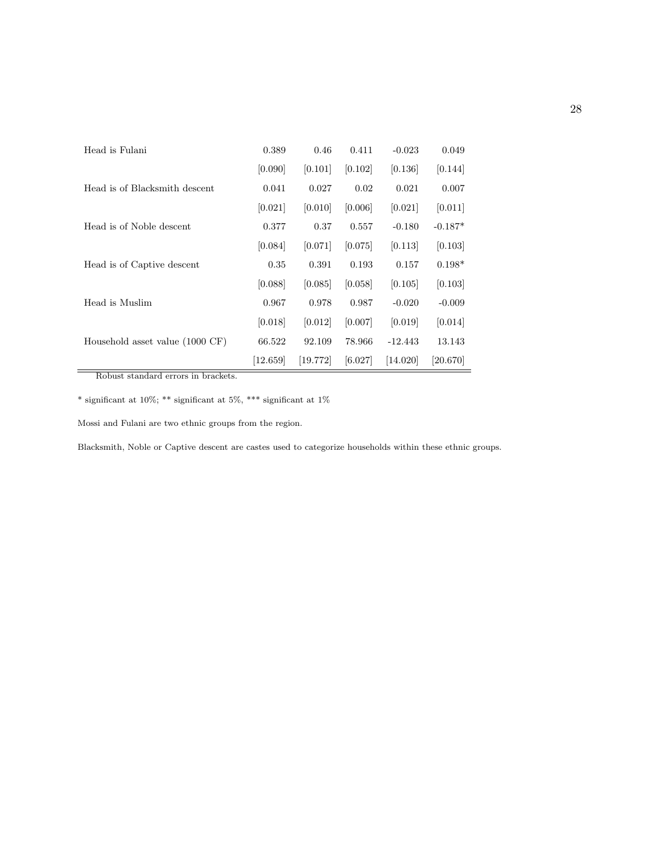| Head is Fulani                                                                                     | 0.389    | 0.46     | 0.411   | $-0.023$  | 0.049     |
|----------------------------------------------------------------------------------------------------|----------|----------|---------|-----------|-----------|
|                                                                                                    | [0.090]  | [0.101]  | [0.102] | [0.136]   | [0.144]   |
| Head is of Blacksmith descent                                                                      | 0.041    | 0.027    | 0.02    | 0.021     | 0.007     |
|                                                                                                    | [0.021]  | [0.010]  | [0.006] | [0.021]   | [0.011]   |
| Head is of Noble descent                                                                           | 0.377    | 0.37     | 0.557   | $-0.180$  | $-0.187*$ |
|                                                                                                    | [0.084]  | [0.071]  | [0.075] | [0.113]   | [0.103]   |
| Head is of Captive descent                                                                         | 0.35     | 0.391    | 0.193   | 0.157     | $0.198*$  |
|                                                                                                    | [0.088]  | [0.085]  | [0.058] | [0.105]   | [0.103]   |
| Head is Muslim                                                                                     | 0.967    | 0.978    | 0.987   | $-0.020$  | $-0.009$  |
|                                                                                                    | [0.018]  | [0.012]  | [0.007] | [0.019]   | [0.014]   |
| Household asset value (1000 CF)                                                                    | 66.522   | 92.109   | 78.966  | $-12.443$ | 13.143    |
|                                                                                                    | [12.659] | [19.772] | [6.027] | [14.020]  | [20.670]  |
| <del>. .</del><br>$\overline{\phantom{a}}$<br>$\overline{\phantom{a}}$<br>$\overline{\phantom{a}}$ |          |          |         |           |           |

Robust standard errors in brackets.

 $^*$  significant at 10%;  $^{**}$  significant at  $1\%$ 

Mossi and Fulani are two ethnic groups from the region.

Blacksmith, Noble or Captive descent are castes used to categorize households within these ethnic groups.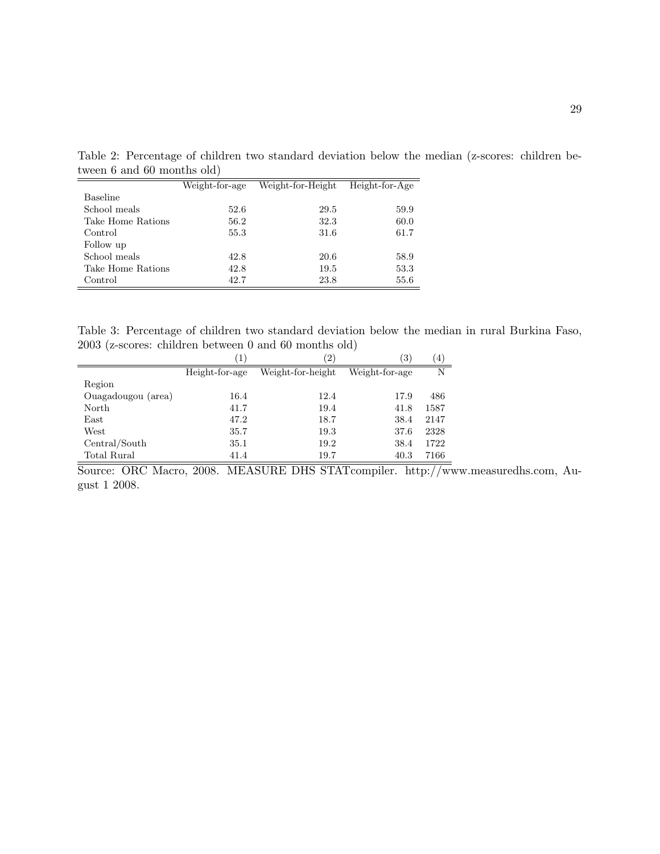<span id="page-29-0"></span>Table 2: Percentage of children two standard deviation below the median (z-scores: children between 6 and 60 months old)

|                   | Weight-for-age | Weight-for-Height | Height-for-Age |
|-------------------|----------------|-------------------|----------------|
| <b>Baseline</b>   |                |                   |                |
| School meals      | 52.6           | 29.5              | 59.9           |
| Take Home Rations | 56.2           | 32.3              | 60.0           |
| Control           | 55.3           | 31.6              | 61.7           |
| Follow up         |                |                   |                |
| School meals      | 42.8           | 20.6              | 58.9           |
| Take Home Rations | 42.8           | 19.5              | 53.3           |
| Control           | 42.7           | 23.8              | 55.6           |

<span id="page-29-1"></span>Table 3: Percentage of children two standard deviation below the median in rural Burkina Faso, 2003 (z-scores: children between 0 and 60 months old)

|                    | (1)            | $\left( 2\right)$ | $\left( 3\right)$ | $\left( 4\right)$ |
|--------------------|----------------|-------------------|-------------------|-------------------|
|                    | Height-for-age | Weight-for-height | Weight-for-age    | N                 |
| Region             |                |                   |                   |                   |
| Ouagadougou (area) | 16.4           | 12.4              | 17.9              | 486               |
| North              | 41.7           | 19.4              | 41.8              | 1587              |
| East               | 47.2           | 18.7              | 38.4              | 2147              |
| West               | 35.7           | 19.3              | 37.6              | 2328              |
| Central/South      | 35.1           | 19.2              | 38.4              | 1722              |
| Total Rural        | 41.4           | 19.7              | 40.3              | 7166              |

Source: ORC Macro, 2008. MEASURE DHS STATcompiler. http://www.measuredhs.com, August 1 2008.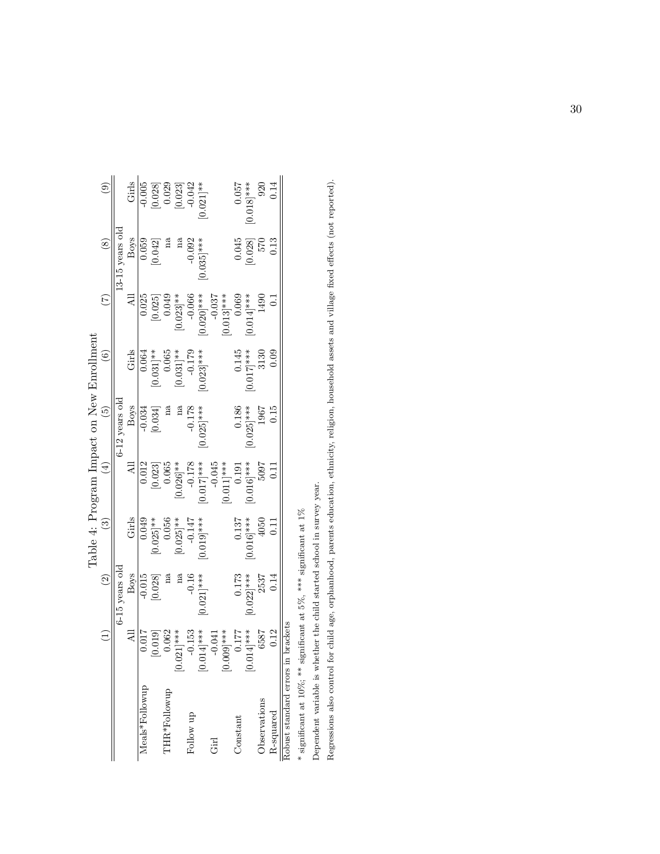<span id="page-30-0"></span>

|                           | $\begin{pmatrix} 1 \end{pmatrix}$                     | $\odot$                                                                            | $\left(3\right)$                                                                                                  | $(4)$                                                                                                                                                                                                                                      | $\left(\frac{5}{2}\right)$                                                                                                                                     | (6)                                                                                                          | $\left( \frac{1}{2} \right)$                                                                                                                                                                                                                                                                  | (8)                                                                                      | $\widehat{e}$                                                                                                                                         |
|---------------------------|-------------------------------------------------------|------------------------------------------------------------------------------------|-------------------------------------------------------------------------------------------------------------------|--------------------------------------------------------------------------------------------------------------------------------------------------------------------------------------------------------------------------------------------|----------------------------------------------------------------------------------------------------------------------------------------------------------------|--------------------------------------------------------------------------------------------------------------|-----------------------------------------------------------------------------------------------------------------------------------------------------------------------------------------------------------------------------------------------------------------------------------------------|------------------------------------------------------------------------------------------|-------------------------------------------------------------------------------------------------------------------------------------------------------|
|                           |                                                       | $6-15$ years old                                                                   |                                                                                                                   |                                                                                                                                                                                                                                            | $6-12$ years old                                                                                                                                               |                                                                                                              |                                                                                                                                                                                                                                                                                               | $13-15$ years old                                                                        |                                                                                                                                                       |
|                           |                                                       |                                                                                    | Girls                                                                                                             |                                                                                                                                                                                                                                            |                                                                                                                                                                | Girls                                                                                                        |                                                                                                                                                                                                                                                                                               |                                                                                          | Girls                                                                                                                                                 |
| Meals*Followup            | 710.0                                                 |                                                                                    |                                                                                                                   |                                                                                                                                                                                                                                            |                                                                                                                                                                |                                                                                                              |                                                                                                                                                                                                                                                                                               |                                                                                          |                                                                                                                                                       |
|                           | $[0.019]$<br>0.062<br>0.062<br>0.021]***              | $\begin{array}{r} \text{Boys} \\ \hline 0.015 \\ [0.028] \\ \text{ma} \end{array}$ | $\begin{array}{c} 0.049 \\ 0.025] { }^{**} \\ 0.056 \\ 0.056 \\ 0.025] { }^{**} \\ 0.07 \\ 0.0147 \\ \end{array}$ | $[0.012] \begin{array}{r} 0.012 \\ [0.023] \\ [0.026] \\ [0.026] \\ [0.017] \\ [0.017] \\ [0.014] \\ [0.018] \\ [0.019] \\ [0.019] \\ [0.018] \\ [0.019] \\ [0.019] \\ [0.019] \\ [0.019] \\ [0.019] \\ [0.019] \\ [0.019] \\ \end{array}$ | $\begin{tabular}{c} \bf \textit{Boys} \\ \hline -0.034 \\ \hline 0.034] \\ \textit{in} \\ \textit{na} \\ \textit{na} \\ 0.178 \\ \textit{on} \\ \end{tabular}$ | $\begin{bmatrix} 0.064 \\ 0.031]^{**} \\ 0.065 \\ 0.031]^{**} \\ 0.031 \\ -0.179 \\ -0.179 \\ \end{bmatrix}$ | $[0.025\n0.023]^{***} \t(2.020) ^{***} \t(2.021) ^{***} \t(2.020) ^{***} \t(2.021) ^{***} \t(2.021) ^{***} \t(2.021) ^{***} \t(2.021) ^{***} \t(2.021) ^{***} \t(2.021) ^{***} \t(2.021) ^{***} \t(2.021) ^{***} \t(2.021) ^{***} \t(2.021) ^{***} \t(2.021) ^{***} \t(2.021) ^{***} \t(2.02$ | $\begin{array}{r} \text{Boys} \\ \hline 0.059 \\ \text{[}0.042] \\ \text{[} \end{array}$ | $\begin{array}{r} \hline -0.005 \\ [0.028] \\ [0.029] \\ [0.023] \\ [0.023] \\ [0.023] \\ [0.021] ^* \\ [0.021] \\ [0.021] \\ [0.021] ^* \end{array}$ |
| <b>THR*Followup</b>       |                                                       |                                                                                    |                                                                                                                   |                                                                                                                                                                                                                                            |                                                                                                                                                                |                                                                                                              |                                                                                                                                                                                                                                                                                               |                                                                                          |                                                                                                                                                       |
|                           |                                                       |                                                                                    |                                                                                                                   |                                                                                                                                                                                                                                            |                                                                                                                                                                |                                                                                                              |                                                                                                                                                                                                                                                                                               |                                                                                          |                                                                                                                                                       |
| Follow up                 |                                                       |                                                                                    |                                                                                                                   |                                                                                                                                                                                                                                            |                                                                                                                                                                |                                                                                                              |                                                                                                                                                                                                                                                                                               |                                                                                          |                                                                                                                                                       |
|                           | $-0.153$<br>$14$ ***<br>$-0.041$<br>$\overline{0.01}$ | na<br>0.16<br>[0.021]***                                                           |                                                                                                                   |                                                                                                                                                                                                                                            |                                                                                                                                                                |                                                                                                              |                                                                                                                                                                                                                                                                                               | na<br>10.092<br>*** [10.035]                                                             |                                                                                                                                                       |
| Girl                      |                                                       |                                                                                    |                                                                                                                   |                                                                                                                                                                                                                                            |                                                                                                                                                                |                                                                                                              |                                                                                                                                                                                                                                                                                               |                                                                                          |                                                                                                                                                       |
|                           | $777$<br>0.177<br>0.00                                |                                                                                    |                                                                                                                   |                                                                                                                                                                                                                                            |                                                                                                                                                                |                                                                                                              |                                                                                                                                                                                                                                                                                               |                                                                                          |                                                                                                                                                       |
| Constant                  |                                                       |                                                                                    |                                                                                                                   |                                                                                                                                                                                                                                            |                                                                                                                                                                |                                                                                                              |                                                                                                                                                                                                                                                                                               |                                                                                          |                                                                                                                                                       |
|                           | $4***$<br>[0.01]                                      | $\begin{array}{c} 0.173 \\ 0.022]^{***} \\ 2537 \\ 0.14 \end{array}$               | $\begin{array}{c} 0.137 \\ 0.016]^{***} \\ 4050 \\ 4050 \end{array}$                                              |                                                                                                                                                                                                                                            | $[0.025]$ ***<br>1967<br>1967<br>1967                                                                                                                          | $\begin{array}{c} 0.145 \\ 0.017]^{***} \\ 3130 \\ 0.09 \end{array}$                                         |                                                                                                                                                                                                                                                                                               | $\begin{array}{c} 0.045 \\ 0.028 \\ 570 \\ 0.13 \end{array}$                             | $0.018$<br>***<br>820<br>0.29<br>0.3<br>0.14                                                                                                          |
| Observations              | 6587                                                  |                                                                                    |                                                                                                                   |                                                                                                                                                                                                                                            |                                                                                                                                                                |                                                                                                              |                                                                                                                                                                                                                                                                                               |                                                                                          |                                                                                                                                                       |
| $R$ -squared              | 0.12                                                  |                                                                                    |                                                                                                                   |                                                                                                                                                                                                                                            |                                                                                                                                                                |                                                                                                              |                                                                                                                                                                                                                                                                                               |                                                                                          |                                                                                                                                                       |
| Robust standard errors in | orackets                                              |                                                                                    |                                                                                                                   |                                                                                                                                                                                                                                            |                                                                                                                                                                |                                                                                                              |                                                                                                                                                                                                                                                                                               |                                                                                          |                                                                                                                                                       |

Table 4: Program Impact on New Enrollment Table 4: Program Impact on New Enrollment

 $^*$  significant at 10%;  $^{**}$  significant at 5%,  $^{***}$  significant at 1%  $*$  significant at 10%;  $**$  significant at 5%,  $***$  significant at 1%

Dependent variable is whether the child started school in survey year. Dependent variable is whether the child started school in survey year.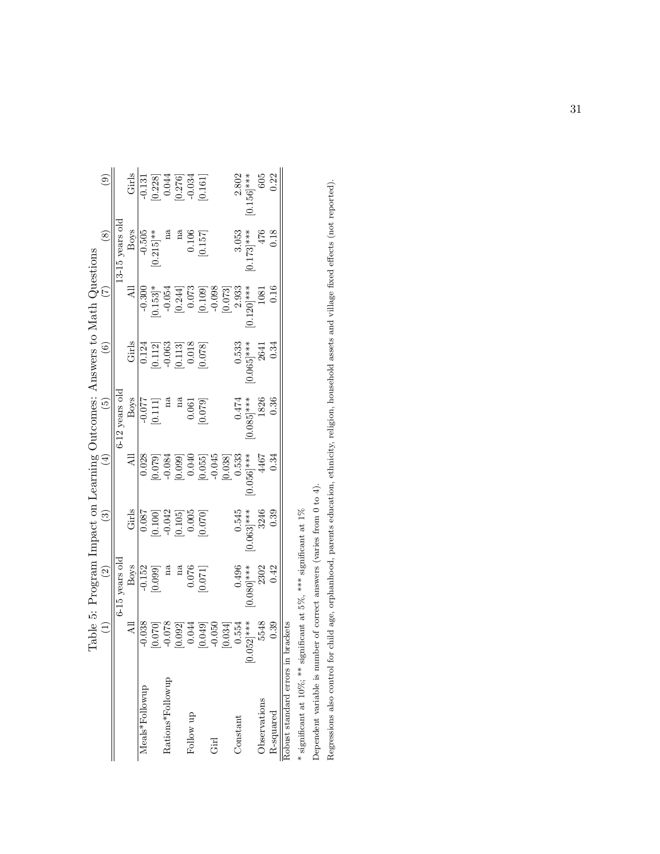<span id="page-31-0"></span>

|                              |                                         | Table 5: Program Impact on Learning |                                                                            |                                                                                                                       |                        |                                                                           | Outcomes: Answers to Math Questions                                                                    |                        |                                                                            |
|------------------------------|-----------------------------------------|-------------------------------------|----------------------------------------------------------------------------|-----------------------------------------------------------------------------------------------------------------------|------------------------|---------------------------------------------------------------------------|--------------------------------------------------------------------------------------------------------|------------------------|----------------------------------------------------------------------------|
|                              | $\bigoplus$                             | $\widehat{c}$                       | $\widehat{\mathcal{E}}$                                                    | $\left( \frac{1}{2} \right)$                                                                                          | $\widetilde{5}$        | $\odot$                                                                   | (7)                                                                                                    | $\circledast$          | $\odot$                                                                    |
|                              |                                         | $6-15$ years old                    |                                                                            |                                                                                                                       | $6-12$ years old       |                                                                           |                                                                                                        | $13-15$ years old      |                                                                            |
|                              | $\mathop{\rm All}\nolimits$             | Boys                                | Girls                                                                      | $\hbox{Al}$                                                                                                           | Boys                   | Girls                                                                     |                                                                                                        | <b>Boys</b>            | Girls                                                                      |
| Meals*Followup               | $-0.038$                                |                                     | 0.087                                                                      | 0.028                                                                                                                 |                        | 0.124                                                                     | $-0.300$                                                                                               | $-0.505$               | 0.131                                                                      |
|                              | 0.070                                   | $-0.152$<br>[0.099]                 | $\begin{array}{c} 0.100 \\ -0.042 \\ 0.105 \\ 0.005 \\ 0.0070 \end{array}$ |                                                                                                                       | $\frac{1}{2}$<br>111.0 | $\begin{array}{c} 0.112 \\ -0.063 \\ 0.113 \\ 0.018 \\ 0.008 \end{array}$ | $0.153]$ *                                                                                             | $[0.215]$ **           | $\begin{array}{c} 0.228 \\ 0.044 \\ 0.276 \\ -0.034 \\ \hline \end{array}$ |
| Rations*Followup             | $-0.078$                                | na                                  |                                                                            |                                                                                                                       | na                     |                                                                           |                                                                                                        | na                     |                                                                            |
|                              | [0.092]                                 | $\mathbf{a}$                        |                                                                            |                                                                                                                       | $\mathbf{a}$           |                                                                           |                                                                                                        | $\mathbf{a}$           |                                                                            |
| Follow up                    | 0.044                                   |                                     |                                                                            |                                                                                                                       | 0.061                  |                                                                           |                                                                                                        |                        |                                                                            |
|                              | 0.049                                   | [120.0]                             |                                                                            |                                                                                                                       | [620.0]                |                                                                           |                                                                                                        | [0.157]                |                                                                            |
| Girl                         | $-0.050$                                |                                     |                                                                            |                                                                                                                       |                        |                                                                           |                                                                                                        |                        |                                                                            |
|                              | 0.034]                                  |                                     |                                                                            | $\begin{array}{c} [0.079] \\ -0.084 \\ 0.099] \\ 0.040 \\ 0.040 \\ 0.055] \\ [0.055] \\ -0.045 \\ 0.038] \end{array}$ |                        |                                                                           | $\begin{array}{c} -0.054 \\ [0.244] \\ 0.073 \\ [0.109] \\ -0.098 \\ [0.073] \\ -0.098 \\ \end{array}$ |                        |                                                                            |
| Constant                     | 0.554                                   |                                     |                                                                            |                                                                                                                       |                        |                                                                           |                                                                                                        | 3.053                  |                                                                            |
|                              | $52$ <sup>***</sup><br>$\overline{0.0}$ | $0.0801***$                         | $0.545$<br>$0.063$ <sup>***</sup>                                          | $0.056$ <sup>***</sup>                                                                                                | $0.085$ <sup>***</sup> | $0.533$<br>$0.065$ ]***                                                   | $0.120$ <sup>***</sup>                                                                                 | $0.173$ <sup>***</sup> | $2.802$<br>[0.156]***                                                      |
| Observations                 | 5548                                    | 2302                                | 3246                                                                       | 4467                                                                                                                  | 1826                   | 2641                                                                      | 108                                                                                                    | 476                    | 605                                                                        |
| R-squared                    | 0.39                                    | 0.42                                | 0.39                                                                       | 0.34                                                                                                                  | 0.36                   | 0.34                                                                      | 0.16                                                                                                   | 0.18                   | 1.22                                                                       |
| Robust standard errors in br | ackets                                  |                                     |                                                                            |                                                                                                                       |                        |                                                                           |                                                                                                        |                        |                                                                            |

 $^*$  significant at 10%;  $^{**}$  significant at 5%,  $^{***}$  significant at 1%

Dependent variable is number of correct answers (varies from 0 to 4). Dependent variable is number of correct answers (varies from 0 to 4).  $*$  significant at 10%;  $**$  significant at 5%,  $***$  significant at 1%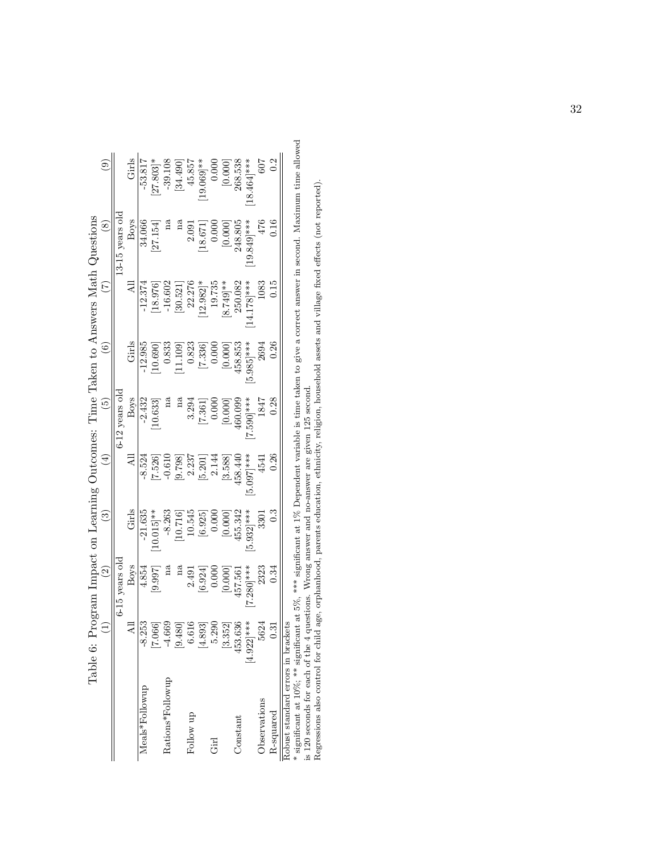|                                    | Table 6:             | Program Impact on Learning |                                                                                                   | )utcomes:                                      |                                               |                                                  | Time Taken to Answers Math $\theta$ | duestions                                       |                        |
|------------------------------------|----------------------|----------------------------|---------------------------------------------------------------------------------------------------|------------------------------------------------|-----------------------------------------------|--------------------------------------------------|-------------------------------------|-------------------------------------------------|------------------------|
|                                    |                      | $\odot$                    | $\binom{3}{2}$                                                                                    | $\left( 4\right)$                              | $\widetilde{5}$                               | $\odot$                                          | (7)                                 | $\circledast$                                   | ම                      |
|                                    |                      | 6-15 years ol              |                                                                                                   |                                                | 6-12 years old                                |                                                  |                                     | $13-15$ years old                               |                        |
|                                    |                      | Boys                       | Girls                                                                                             |                                                | Boys                                          | Girls                                            |                                     | Boys                                            | Girls                  |
| Meals*Followup                     | $-8.253$             | 4.854                      | $-21.635$                                                                                         | $-8.524$                                       | $-2.432$                                      | 12.985                                           | $-12.374$                           | 34.066                                          | $-53.817$              |
|                                    | [.0907]              | [760.9]                    | $10.015$ <sup>**</sup>                                                                            |                                                | [10.633]                                      |                                                  | [18.976]                            | [27.154]                                        | $27.803$ <sup>*</sup>  |
| Rations*Followup                   | $-4.669$             | $\mathbb{R}^n$             |                                                                                                   | [7.526]                                        |                                               | $\begin{bmatrix} 10.690 \ 0.833 \end{bmatrix}$   | $-16.602$                           |                                                 | $-39.108$              |
|                                    | $[9.480] \\ 6.616$   |                            |                                                                                                   | [8.798]                                        |                                               | [11.109]                                         | $\left[30.521\right]$               |                                                 | [34.490]               |
| Follow up                          |                      | 2.491                      |                                                                                                   | 2.237                                          | 3.294                                         | 0.823                                            | 22.276                              | 2.091                                           | 45.857                 |
|                                    | $[4.893] \\ 5.290$   | [6.924]                    |                                                                                                   | $\begin{bmatrix} 5.201 \\ 2.144 \end{bmatrix}$ | $\begin{bmatrix} 7.361 \ 0.000 \end{bmatrix}$ | $\begin{bmatrix} 0.0000 \\ 0.0000 \end{bmatrix}$ | $[12.982]$ *                        | $\begin{bmatrix} 18.671 \\ 0.000 \end{bmatrix}$ | $19.069$ <sup>**</sup> |
| Girl                               |                      | 0.000                      |                                                                                                   |                                                |                                               |                                                  | 19.735                              |                                                 |                        |
|                                    | $[3.352] \\ 453.636$ | [0.000]                    | $\begin{bmatrix} -8.263 \\ 10.716 \\ 10.545 \\ 6.925 \\ 0.000 \\ 0.000 \\ 0.000 \\ \end{bmatrix}$ | [3.588]                                        | [0.000]                                       |                                                  | $[8.749]$ **                        | [0.000]                                         | [0.000]                |
| Constant                           |                      | 457.561                    | 455.342                                                                                           | 458.44                                         | 160.099                                       | 458.853                                          | 250.082                             | 248.805                                         | 268.538                |
|                                    | $***$<br>4.922       | $7.280$ <sup>***</sup>     | 5.932 ***                                                                                         | **** 260'>                                     | $7.590$ <sup>***</sup>                        | $5.985$ <sup>***</sup>                           | $4.178$ <sup>***</sup>              | $9.849$ <sup>***</sup>                          | $8.464$ <sup>***</sup> |
| Observations                       | 5624                 | 2323                       | 330                                                                                               | 454                                            | 1847                                          | 269                                              |                                     | 476                                             | 607                    |
| R-squared                          | 0.31                 | 0.34                       |                                                                                                   | 0.26                                           | 0.28                                          | 0.26                                             |                                     |                                                 |                        |
| Robust standard errors in brackets |                      |                            |                                                                                                   |                                                |                                               |                                                  |                                     |                                                 |                        |

Robust standard errors in brackets

<span id="page-32-0"></span>\* significant at 10%; \*\* significant at 5%, \*\*\* significant at 1% Dependent variable is time taken to give a correct answer in second. Maximum time allowed is 120 seconds for each of the 4 questions. Wrong answer and no-a \* significant at 10%; \*\* significant at 5%, \*\*\* significant at 1% Dependent variable is time taken to give a correct answer in second. Maximum time allowed is 120 seconds for each of the 4 questions. Wrong answer and no-answer are given 125 second.

Regressions also control for child age, orphanhood, parents education, ethnicity, religion, household assets and village fixed effects (not reported).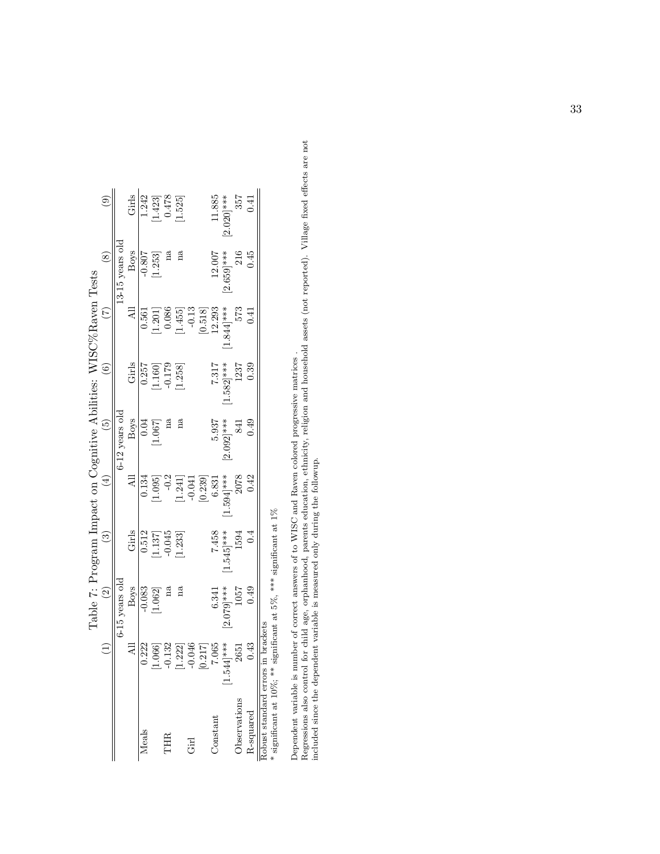|                                        |               |                       | Table 7: Program Impact on Cognitive Abilities: WISC%Raven Tests |                                                                                        |                      |                                                 |                                                          |                      |                                                         |
|----------------------------------------|---------------|-----------------------|------------------------------------------------------------------|----------------------------------------------------------------------------------------|----------------------|-------------------------------------------------|----------------------------------------------------------|----------------------|---------------------------------------------------------|
|                                        |               | $\widetilde{c}$       | $\binom{3}{2}$                                                   | $\left( 4\right)$                                                                      | $\widetilde{5}$      | $\widehat{6}$                                   | $\widetilde{C}$                                          | $\circledast$        | $\odot$                                                 |
|                                        |               | $6-15$ years old      |                                                                  |                                                                                        | $6-12$ years old     |                                                 |                                                          | $13-15$ years old    |                                                         |
|                                        | Ę             | Boys                  | Girls                                                            |                                                                                        | Boys                 | Girls                                           |                                                          | Boys                 | Girls                                                   |
| <b>Meals</b>                           | 0.222         | $-0.083$              | 0.512                                                            | 0.134                                                                                  | 0.04                 | 0.257                                           | 0.561                                                    | $-0.807$             | 1.242                                                   |
|                                        | [1.066]       | $1.062]$              | $\begin{bmatrix} 1.137 \\ -0.045 \end{bmatrix}$                  | $\begin{array}{c} [1.095] \\ -0.2 \\ 1.241] \\ -0.041 \\ 0.239] \\ \hline \end{array}$ | $[1.067]$            | $\begin{bmatrix} 1.160 \\ -0.179 \end{bmatrix}$ | $\begin{bmatrix} 1.201 \\ 0.086 \end{bmatrix}$           | [1.253]              | $\begin{bmatrix} 1.423 \\ 0.478 \\ 1.525 \end{bmatrix}$ |
| <b>THR</b>                             | 0.132         | na                    |                                                                  |                                                                                        | $^{\rm na}$          |                                                 |                                                          | na                   |                                                         |
|                                        | [1.222]       | na                    | [1.233]                                                          |                                                                                        | na                   | [1.258]                                         | [1.455]                                                  | na                   |                                                         |
| Girl                                   | 0.046         |                       |                                                                  |                                                                                        |                      |                                                 |                                                          |                      |                                                         |
|                                        | [0.217]       |                       |                                                                  |                                                                                        |                      |                                                 | $\begin{bmatrix} -0.13 \\ 0.518 \end{bmatrix}$<br>12.293 |                      |                                                         |
| Constant                               | 7.065         | 6.341                 | 7.458                                                            |                                                                                        | 5.937                | 7.317                                           |                                                          | 12.007               | 11.885                                                  |
|                                        | $4**$<br>1.54 | $[2.079]$ ***<br>1057 | $1.545]***$                                                      |                                                                                        | $[2.092]$ ***<br>841 | $1.582]***$                                     | $.844$ <sup>***</sup>                                    | $[2.659]$ ***<br>216 | $2.020$ <sup>***</sup>                                  |
| Observations                           | 2651          |                       | 1594                                                             | $1.594$ <sup>***</sup><br>2078                                                         |                      | 1237                                            | 573                                                      |                      | 357                                                     |
| R-squared                              | 0.43          | 0.49                  | $\ddot{0}.4$                                                     | 0.42                                                                                   | 0.49                 | 0.39                                            | $\ddot{0}$ .                                             | 0.45                 | 14 <sub>1</sub>                                         |
| Robust standard errors<br>ネネ ここ こここ メネ | in brackets   |                       |                                                                  | $\frac{1}{1}$                                                                          |                      |                                                 |                                                          |                      |                                                         |

 $*$  significant at 10%;  $^{**}$  significant at 5%,  $^{***}$  significant at 1%  $*$  significant at 10%;  $**$  significant at 5%,  $***$  significant at 1%

Dependent variable is number of correct answers of to WISC and Raven colored progressive matrices .

<span id="page-33-0"></span>Dependent variable is number of correct answers of to WISC and Raven colored progressive matrices .<br>Regressions also control for child age, orphanhood, parents education, ethnicity, religion and household assets (not repor Regressions also control for child age, orphanhood, parents education, ethnicity, religion and household assets (not reported). Village fixed effects are not included since the dependent variable is measured only during the followup.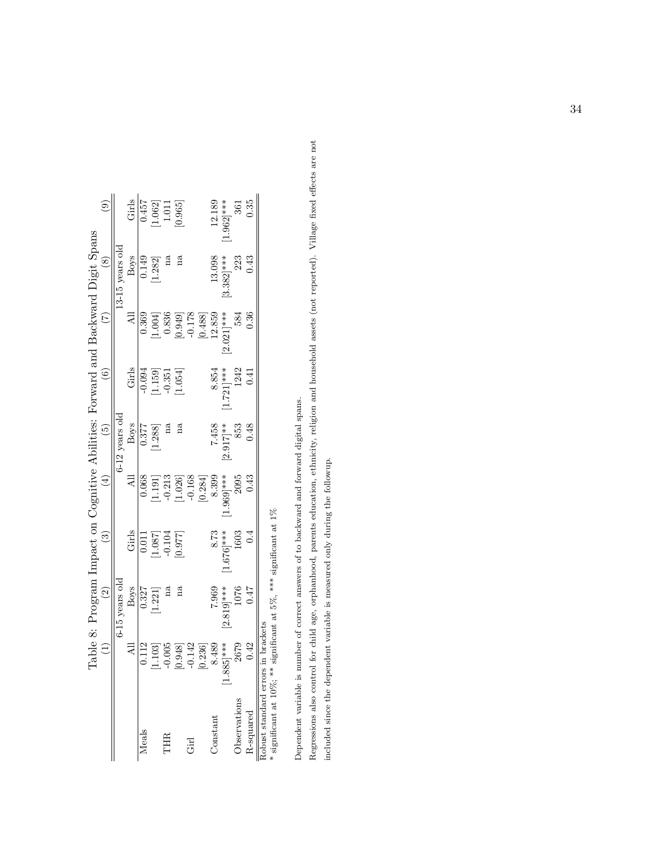|                                   |                                                          |                        |                              |                                                                                                                 |                       |                                                          |                                                                                       | Table 8: Program Impact on Cognitive Abilities: Forward and Backward Digit Spans |                                                         |
|-----------------------------------|----------------------------------------------------------|------------------------|------------------------------|-----------------------------------------------------------------------------------------------------------------|-----------------------|----------------------------------------------------------|---------------------------------------------------------------------------------------|----------------------------------------------------------------------------------|---------------------------------------------------------|
|                                   |                                                          | (2)                    | $\left( \frac{3}{2} \right)$ | $\bigoplus$                                                                                                     | $\widetilde{5}$       | (6)                                                      | (7)                                                                                   | $\circledS$                                                                      | $\widehat{e}$                                           |
|                                   |                                                          | $6-15$ years old       |                              |                                                                                                                 | 6-12 years old        |                                                          |                                                                                       | $13-15$ years old                                                                |                                                         |
|                                   | $\Xi$                                                    | Boys                   | Girls                        |                                                                                                                 | Boys                  | Girls                                                    |                                                                                       | Boys                                                                             | Girls                                                   |
| Meals                             | 0.112                                                    | 0.327                  | 0.011                        | 0.068                                                                                                           | 0.377                 | $-0.094$                                                 | 0.369                                                                                 | 0.149                                                                            | 0.457                                                   |
|                                   | $\begin{bmatrix} 1.103 \\ -0.005 \\ 0.948 \end{bmatrix}$ | 1.221]                 |                              | $\begin{array}{c} [1.191] \\ -0.213 \\ -0.168 \\ -0.168 \\ \hline 0.284] \\ 0.284 \\ \hline 0.3399 \end{array}$ | 1.288                 |                                                          |                                                                                       | [1.282]                                                                          | $\begin{bmatrix} 1.062 \\ 1.011 \\ 0.965 \end{bmatrix}$ |
| THR                               |                                                          | na                     |                              |                                                                                                                 | na                    |                                                          |                                                                                       | na                                                                               |                                                         |
|                                   |                                                          | na                     | [1.087]<br>0.104<br>0.977]   |                                                                                                                 | na                    | $\begin{bmatrix} 1.159 \\ -0.351 \\ 1.054 \end{bmatrix}$ | $\begin{array}{c} [1.004] \\ 0.836 \\ 0.949] \\ 0.178 \\ 0.178 \\ \hline \end{array}$ |                                                                                  |                                                         |
| Girl                              | 0.142                                                    |                        |                              |                                                                                                                 |                       |                                                          |                                                                                       |                                                                                  |                                                         |
|                                   | [0.236]                                                  |                        |                              |                                                                                                                 |                       |                                                          |                                                                                       |                                                                                  |                                                         |
| Constant                          | 8.489                                                    | 7.969                  | 8.73                         |                                                                                                                 | 7.458                 | 8.854                                                    | 12.859                                                                                | 13.098                                                                           | 12.189                                                  |
|                                   | 885 <sup>***</sup>                                       | $2.819$ <sup>***</sup> | $1.676$ <sup>***</sup>       | ****06                                                                                                          | $[2.917]^{**}$<br>853 | $1.721$ <sup>***</sup>                                   | $2.021$ ***                                                                           | $3.382$ <sup>***</sup>                                                           | $1.962$ <sup>***</sup>                                  |
| Observations                      | 2679                                                     | 1076<br>0.47           | 1603                         | 2095                                                                                                            |                       | 1242                                                     | 584                                                                                   | 223                                                                              | 361                                                     |
| R-squared                         | 0.42                                                     |                        |                              |                                                                                                                 | 0.48                  | (4)<br>0.4                                               | 0.36                                                                                  | 0.43                                                                             | 0.35                                                    |
| Robust standard error<br>$\vdots$ | s in brackets                                            | フィナル                   |                              | š,                                                                                                              |                       |                                                          |                                                                                       |                                                                                  |                                                         |

 $\ast$  significant at 10%;  $\ast\ast$  significant at 5%,  $\ast\ast\ast$  significant at 1%  $*$  significant at 10%;  $**$  significant at 5%,  $***$  significant at 1% Dependent variable is number of correct answers of to backward and forward digital spans. Dependent variable is number of correct answers of to backward and forward digital spans.

<span id="page-34-0"></span>Regressions also control for child age, orphanhood, parents education, ethnicity, religion and household assets (not reported). Village fixed effects are not Regressions also control for child age, orphanhood, parents education, ethnicity, religion and household assets (not reported). Village fixed effects are not included since the dependent variable is measured only during the followup.

included since the dependent variable is measured only during the followup.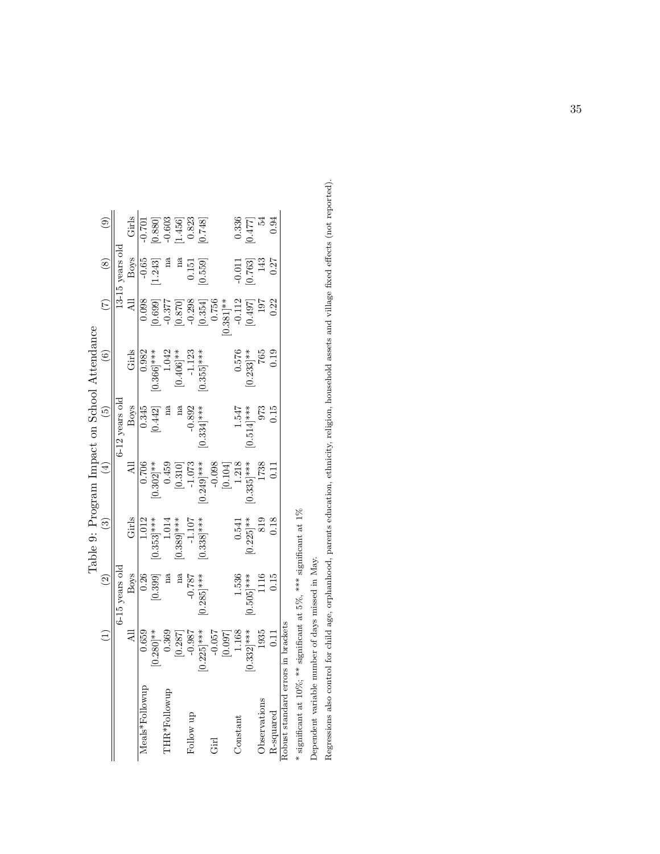<span id="page-35-0"></span>

|                                    |                                                                 | $\widetilde{c}$                                             | $\binom{3}{2}$                                                        | $\bigoplus$                                                                                                                                                                                                         | $\binom{5}{2}$                   | $\odot$                           | $\widetilde{C}$                                                                                                                                                                                | $\circledast$                                         | $\odot$                                                                                |
|------------------------------------|-----------------------------------------------------------------|-------------------------------------------------------------|-----------------------------------------------------------------------|---------------------------------------------------------------------------------------------------------------------------------------------------------------------------------------------------------------------|----------------------------------|-----------------------------------|------------------------------------------------------------------------------------------------------------------------------------------------------------------------------------------------|-------------------------------------------------------|----------------------------------------------------------------------------------------|
|                                    |                                                                 | $6-15$ years old                                            |                                                                       |                                                                                                                                                                                                                     | 6-12 years ol                    |                                   |                                                                                                                                                                                                | $13-15$ years old                                     |                                                                                        |
|                                    |                                                                 | Boys                                                        | Girls                                                                 |                                                                                                                                                                                                                     | <b>Boys</b>                      | Girls                             |                                                                                                                                                                                                | Boys                                                  | Girls                                                                                  |
| Meals*Followup                     | 0.659                                                           | 0.26                                                        | 1.012                                                                 | 0.706                                                                                                                                                                                                               | 0.345                            | 0.982                             | 0.098                                                                                                                                                                                          | $-0.65$                                               |                                                                                        |
|                                    |                                                                 | [0.399]                                                     |                                                                       | $\begin{array}{c} \text{0.302} \text{**} \\ 0.459 \\ 0.310 \\ -1.073 \\ \text{0.249} \text{**} \\ -0.098 \\ -0.098 \\ 0.104 \\ 1.218 \\ \text{0.104} \\ 1.218 \\ \text{0.104} \\ 1.218 \\ \text{0.105} \end{array}$ | $\left[ 0.442\right]$            | $[0.366]$ ***<br>1.042            |                                                                                                                                                                                                | $1.243\,$                                             | $\begin{array}{c} -0.701 \\ -0.880] \\ -0.603 \\ 1.456] \\ 0.823 \\ 0.033 \end{array}$ |
| HR*Followup                        |                                                                 | na                                                          |                                                                       |                                                                                                                                                                                                                     | na                               |                                   |                                                                                                                                                                                                |                                                       |                                                                                        |
|                                    | $\begin{array}{c} 0.280 \\ 0.369 \\ 0.369 \\ 0.287 \end{array}$ | na                                                          |                                                                       |                                                                                                                                                                                                                     |                                  | $[0.406]^{**}$ -1.123             |                                                                                                                                                                                                |                                                       |                                                                                        |
| Follow up                          |                                                                 | $-0.787$                                                    |                                                                       |                                                                                                                                                                                                                     | $-0.892$                         |                                   |                                                                                                                                                                                                |                                                       |                                                                                        |
|                                    |                                                                 | $0.285]***$                                                 | $[0.353]^{***}$<br>1.014<br>0.389<br>1.107<br>1.107<br>1.107<br>1.107 |                                                                                                                                                                                                                     | $0.334]***$                      | $[0.355]$ ***                     |                                                                                                                                                                                                | $\begin{bmatrix} 0.151 \\ 0.559 \end{bmatrix}$        |                                                                                        |
| Firi                               |                                                                 |                                                             |                                                                       |                                                                                                                                                                                                                     |                                  |                                   |                                                                                                                                                                                                |                                                       |                                                                                        |
|                                    | $[0.225]$ ***<br>-0.057<br>[0.097]<br>1.168                     |                                                             |                                                                       |                                                                                                                                                                                                                     |                                  |                                   | 161<br>161 - 1820<br>1820 - 1820<br>1752 - 1820<br>1831 - 1830<br>1831 - 1830<br>1840 - 1830 - 1830 - 1830 - 1830 - 1830 - 1930 - 1930 - 1930 - 1930 - 1930 - 1930 - 1930 - 1930 - 1930 - 1930 |                                                       |                                                                                        |
| Constant                           |                                                                 |                                                             |                                                                       |                                                                                                                                                                                                                     |                                  |                                   |                                                                                                                                                                                                |                                                       |                                                                                        |
|                                    | $0.332]***$                                                     | $\begin{array}{c} 1.536 \\ 0.505] {***} \\ 116 \end{array}$ | $[0.541$<br>$[0.225]$ **<br>819                                       |                                                                                                                                                                                                                     | $1.547$<br>$(0.514)***$<br>$973$ | $[0.576$<br>$[0.233]^{**}$<br>765 |                                                                                                                                                                                                | $\begin{bmatrix} 0.011 \\ 0.763 \end{bmatrix}$<br>143 | $\frac{0.336}{0.477}$                                                                  |
| Observations                       | 1935                                                            |                                                             |                                                                       |                                                                                                                                                                                                                     |                                  |                                   |                                                                                                                                                                                                |                                                       |                                                                                        |
| R-squared                          |                                                                 | 0.15                                                        | 0.18                                                                  |                                                                                                                                                                                                                     |                                  |                                   | 0.22                                                                                                                                                                                           | 0.27                                                  | <b>1.94</b>                                                                            |
| Robust standard errors in brackets |                                                                 |                                                             |                                                                       |                                                                                                                                                                                                                     |                                  |                                   |                                                                                                                                                                                                |                                                       |                                                                                        |
|                                    |                                                                 |                                                             |                                                                       |                                                                                                                                                                                                                     |                                  |                                   |                                                                                                                                                                                                |                                                       |                                                                                        |

Table 9: Program Impact on School Attendance Table 9: Program Impact on School Attendance

 $^*$  significant at 10%;  $^{**}$  significant at 5%,  $^{***}$  significant at 1%  $*$  significant at 10%;  $**$  significant at 5%,  $***$  significant at 1%

Dependent variable number of days missed in May. Dependent variable number of days missed in May.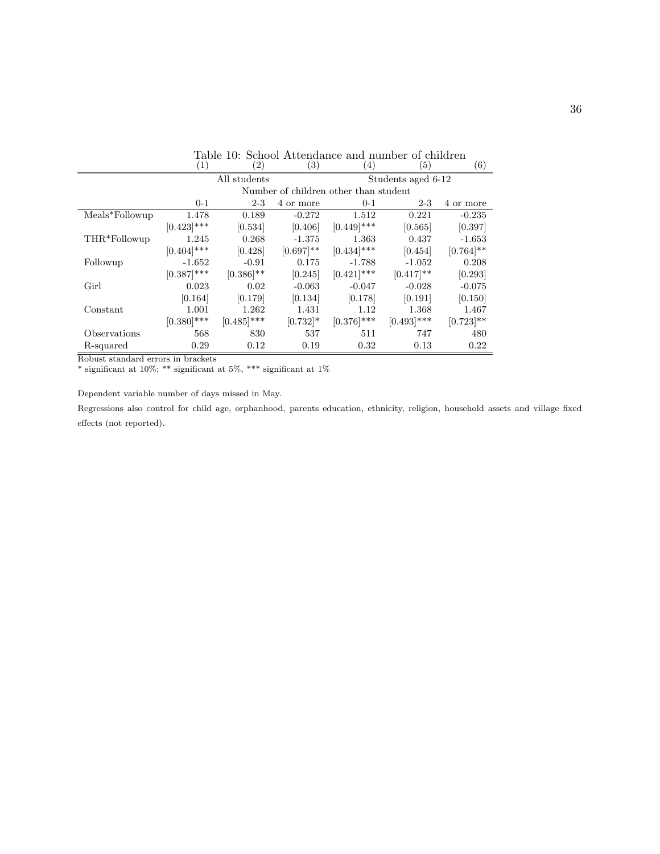| All students<br>Students aged 6-12<br>Number of children other than student<br>$2 - 3$<br>$0 - 1$<br>$2 - 3$<br>$0 - 1$<br>4 or more<br>Meals*Followup<br>1.478<br>0.189<br>1.512<br>0.221<br>$-0.272$<br>$[0.449]$ ***<br>$[0.423]$ ***<br>[0.534]<br>[0.406]<br>[0.565]<br>THR*Followup<br>1.245<br>0.268<br>$-1.375$<br>1.363<br>0.437<br>$[0.404]$ ***<br>$[0.434]$ ***<br>$[0.697]$ **<br>[0.428]<br>[0.454]<br>$-1.652$<br>$-0.91$<br>0.175<br>$-1.788$<br>$-1.052$<br>Followup | , 1. j | 4) | $\cdot$ | (土 | $\cup$ | (V)          |
|---------------------------------------------------------------------------------------------------------------------------------------------------------------------------------------------------------------------------------------------------------------------------------------------------------------------------------------------------------------------------------------------------------------------------------------------------------------------------------------|--------|----|---------|----|--------|--------------|
|                                                                                                                                                                                                                                                                                                                                                                                                                                                                                       |        |    |         |    |        |              |
|                                                                                                                                                                                                                                                                                                                                                                                                                                                                                       |        |    |         |    |        |              |
|                                                                                                                                                                                                                                                                                                                                                                                                                                                                                       |        |    |         |    |        | 4 or more    |
|                                                                                                                                                                                                                                                                                                                                                                                                                                                                                       |        |    |         |    |        | $-0.235$     |
|                                                                                                                                                                                                                                                                                                                                                                                                                                                                                       |        |    |         |    |        | [0.397]      |
|                                                                                                                                                                                                                                                                                                                                                                                                                                                                                       |        |    |         |    |        | $-1.653$     |
|                                                                                                                                                                                                                                                                                                                                                                                                                                                                                       |        |    |         |    |        | $[0.764]$ ** |
|                                                                                                                                                                                                                                                                                                                                                                                                                                                                                       |        |    |         |    |        | 0.208        |
| $[0.387]$ ***<br>$[0.386]$ **<br>$[0.421]$ ***<br>$[0.417]$ **<br>[0.245]                                                                                                                                                                                                                                                                                                                                                                                                             |        |    |         |    |        | [0.293]      |
| Girl<br>0.02<br>0.023<br>$-0.063$<br>$-0.047$<br>$-0.028$                                                                                                                                                                                                                                                                                                                                                                                                                             |        |    |         |    |        | $-0.075$     |
| [0.164]<br>[0.179]<br>[0.134]<br>[0.178]<br>[0.191]                                                                                                                                                                                                                                                                                                                                                                                                                                   |        |    |         |    |        | [0.150]      |
| 1.001<br>1.431<br>Constant<br>1.262<br>1.12<br>1.368                                                                                                                                                                                                                                                                                                                                                                                                                                  |        |    |         |    |        | 1.467        |
| $[0.380]$ ***<br>$[0.485]$ ***<br>$[0.376]$ ***<br>$[0.493]$ ***<br>$[0.732]$ *                                                                                                                                                                                                                                                                                                                                                                                                       |        |    |         |    |        | $[0.723]$ ** |
| Observations<br>568<br>830<br>537<br>747<br>511                                                                                                                                                                                                                                                                                                                                                                                                                                       |        |    |         |    |        | 480          |
| R-squared<br>0.29<br>0.12<br>0.19<br>0.32<br>0.13<br>$\overline{D}$ $\overline{D}$ $\overline{D}$ $\overline{D}$ $\overline{D}$ $\overline{D}$ $\overline{D}$ $\overline{D}$ $\overline{D}$ $\overline{D}$ $\overline{D}$ $\overline{D}$ $\overline{D}$ $\overline{D}$ $\overline{D}$ $\overline{D}$ $\overline{D}$ $\overline{D}$ $\overline{D}$ $\overline{D}$ $\overline{D}$ $\overline{D}$ $\overline{D}$ $\overline{D}$ $\overline{$<br>$\cdot$ $\cdot$ $\cdot$<br>$\mathbf{1}$  |        |    |         |    |        | 0.22         |

<span id="page-36-0"></span>Table 10: School Attendance and number of children  $(1)$   $(2)$   $(3)$   $(4)$   $(5)$   $(6)$ 

Robust standard errors in brackets

 $^*$  significant at 10%;  $^{**}$  significant at  $1\%$ 

Dependent variable number of days missed in May.

Regressions also control for child age, orphanhood, parents education, ethnicity, religion, household assets and village fixed effects (not reported).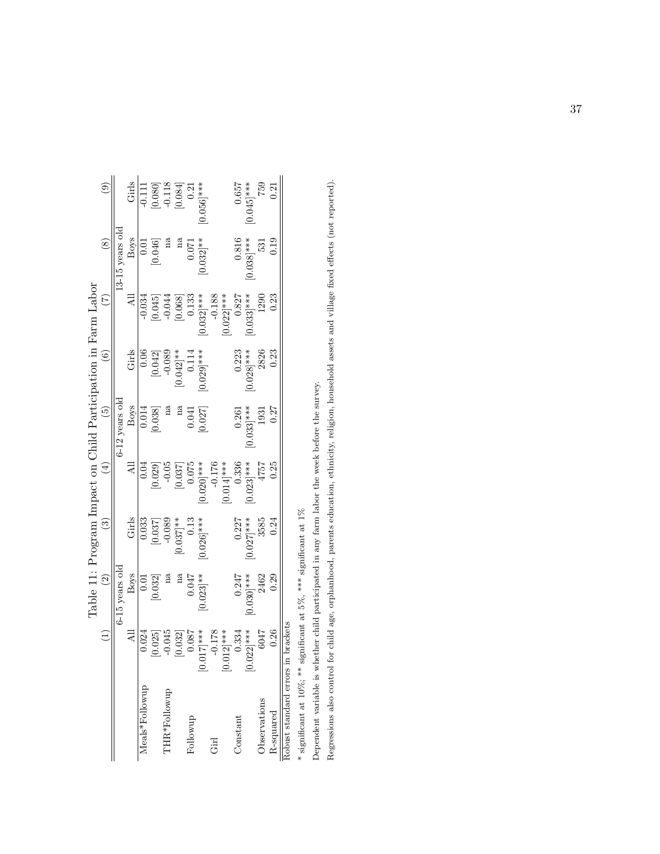<span id="page-37-0"></span>

|                           |                                        |                                            |                                                                                                       |                                       |                                                              |                                                                                                                                                            | where the most model with a consequence of the consequence of the consequence of the consequence of the consequence of the consequence of the consequence of the consequence of the consequence of the consequence of the cons                                                                                             |                               |                                                                             |
|---------------------------|----------------------------------------|--------------------------------------------|-------------------------------------------------------------------------------------------------------|---------------------------------------|--------------------------------------------------------------|------------------------------------------------------------------------------------------------------------------------------------------------------------|----------------------------------------------------------------------------------------------------------------------------------------------------------------------------------------------------------------------------------------------------------------------------------------------------------------------------|-------------------------------|-----------------------------------------------------------------------------|
|                           |                                        | $\binom{2}{3}$                             | (3)                                                                                                   | $\left( \frac{1}{2} \right)$          | $\binom{6}{2}$                                               | (6)                                                                                                                                                        | $(7)$                                                                                                                                                                                                                                                                                                                      | $\circledast$                 |                                                                             |
|                           |                                        | $6-15$ years old                           |                                                                                                       |                                       | $6-12$ years old                                             |                                                                                                                                                            |                                                                                                                                                                                                                                                                                                                            | $13-15$ years old             |                                                                             |
|                           |                                        | <b>Boys</b>                                | Girls                                                                                                 |                                       | Boys                                                         | Girls                                                                                                                                                      |                                                                                                                                                                                                                                                                                                                            | <b>Boys</b>                   | Girls                                                                       |
| Meals*Followup            | 0.024                                  |                                            |                                                                                                       |                                       |                                                              |                                                                                                                                                            |                                                                                                                                                                                                                                                                                                                            |                               |                                                                             |
|                           | [0.025]                                | $[0.032]$                                  | $\begin{bmatrix} 0.033 \\ 0.037 \\ 0.089 \\ 0.089 \\ 0.089 \\ 0.037 \\ 0.13 \\ 0.13 \\ \end{bmatrix}$ |                                       | $[0.014$<br>$[0.038]$                                        | $[0.068] \begin{tabular}{c} 0.066 \\[-4pt] 0.042] \\[-4pt] 0.089 \\[-4pt] 0.089 \\[-4pt] 0.01 \\[-4pt] 0.114 \\[-4pt] 0.114 \\[-4pt] 0.020] \end{tabular}$ | $\begin{array}{c} 1.034 \\[-4pt] 0.045 \\[-4pt] 0.045 \\[-4pt] 0.068 \\[-4pt] 0.068 \\[-4pt] 0.03 \\[-4pt] 0.133 \\[-4pt] 0.188 \\[-4pt] 0.02]^{***} \\[-4pt] 0.188 \\[-4pt] 0.02 \\[-4pt] 0.02 \\[-4pt] 0.03 \\[-4pt] 0.03 \\[-4pt] 0.03 \\[-4pt] 0.03 \\[-4pt] 0.03 \\[-4pt] 0.03 \\[-4pt] 0.03 \\[-4pt] 0.03 \\[-4pt] $ | $[0.046]$ na                  | $\begin{array}{c} -0.111 \\ 0.080] \\ -0.118 \\ 0.084] \\ 0.21 \end{array}$ |
| 'HR*Followup              | $-0.045$                               | na                                         |                                                                                                       |                                       |                                                              |                                                                                                                                                            |                                                                                                                                                                                                                                                                                                                            |                               |                                                                             |
|                           | [0.032]                                |                                            |                                                                                                       |                                       | na                                                           |                                                                                                                                                            |                                                                                                                                                                                                                                                                                                                            | na                            |                                                                             |
| Followup                  | 780.0                                  |                                            |                                                                                                       |                                       |                                                              |                                                                                                                                                            |                                                                                                                                                                                                                                                                                                                            |                               |                                                                             |
|                           | $17$ ***<br>-0.178<br>12 ***<br>[0.01] | $0.047$<br>$(0.023)**$                     |                                                                                                       |                                       | $[0.041$ $[0.027]$                                           |                                                                                                                                                            |                                                                                                                                                                                                                                                                                                                            | $0.071$<br>$(0.032]$ **       | $0.056$ <sup>***</sup>                                                      |
| Girl                      |                                        |                                            |                                                                                                       |                                       |                                                              |                                                                                                                                                            |                                                                                                                                                                                                                                                                                                                            |                               |                                                                             |
|                           | [0.01]                                 |                                            |                                                                                                       |                                       |                                                              |                                                                                                                                                            |                                                                                                                                                                                                                                                                                                                            |                               |                                                                             |
| Constant                  | 0.334                                  |                                            |                                                                                                       |                                       |                                                              |                                                                                                                                                            |                                                                                                                                                                                                                                                                                                                            | 0.816                         | 0.657                                                                       |
|                           | $22$ <sup>***</sup><br>[0.02]          | $0.247$<br>$0.030$ ***<br>$2462$<br>$2462$ | $0.227$<br>$[0.027]***$<br>$3585$<br>$3585$                                                           | $0.336$<br>$4757$<br>$4757$<br>$4757$ | $\begin{array}{c} 0.261 \\ 0.033]^{***} \\ 1931 \end{array}$ | $0.223$<br>$0.028$ ]***                                                                                                                                    | $0.827$<br>0.033]***                                                                                                                                                                                                                                                                                                       | $0.038$ <sup>***</sup><br>531 | $[0.045]$ ***<br>759                                                        |
| Observations              | 7109                                   |                                            |                                                                                                       |                                       |                                                              | 2826<br>0.23                                                                                                                                               | 1290                                                                                                                                                                                                                                                                                                                       |                               |                                                                             |
| $R$ -squared              | 0.26                                   |                                            |                                                                                                       |                                       | 0.27                                                         |                                                                                                                                                            | 0.23                                                                                                                                                                                                                                                                                                                       | 0.19                          | 0.21                                                                        |
| Robust standard errors in | prackets                               |                                            |                                                                                                       |                                       |                                                              |                                                                                                                                                            |                                                                                                                                                                                                                                                                                                                            |                               |                                                                             |

Table 11: Program Impact on Child Participation in Farm Labor Table 11: Program Impact on Child Participation in Farm Labor

 $^*$  significant at 10%;  $^{**}$  significant at 5%,  $^{***}$  significant at 1%  $*$  significant at 10%;  $**$  significant at 5%,  $***$  significant at 1%

Dependent variable is whether child participated in any farm labor the week before the survey. Dependent variable is whether child participated in any farm labor the week before the survey.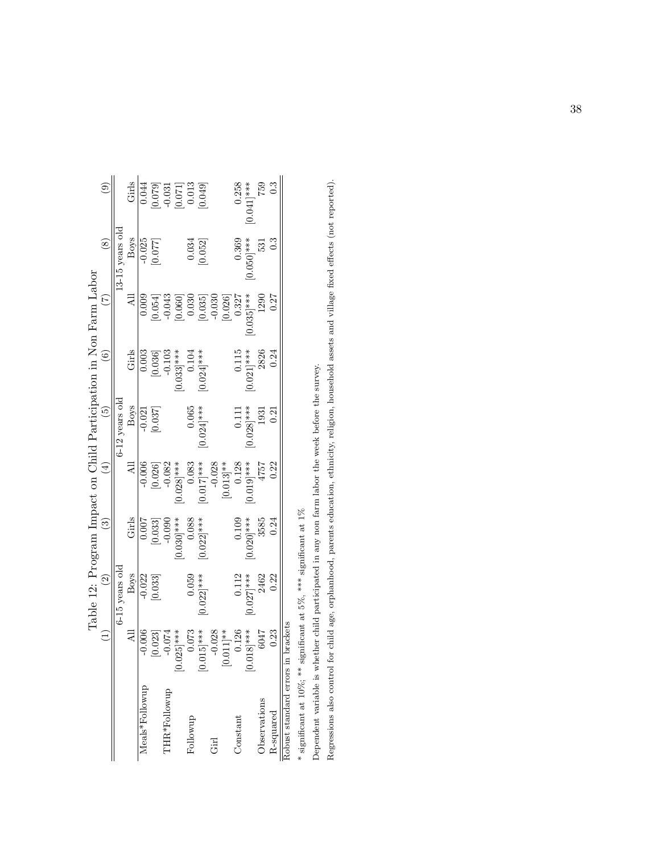<span id="page-38-0"></span>

|                           |                                                                                   | $\odot$                         | $\overline{3}$                                                                                                                     | $\left( \pm \right)$                                                                                                                                                                                     | $\int_{1}^{1}$                                               | $\odot$                                                        | (7)                                                                                                                                                                                                                                                                                              | $\circled{s}$                                               | $\widehat{\odot}$                                                                                                        |
|---------------------------|-----------------------------------------------------------------------------------|---------------------------------|------------------------------------------------------------------------------------------------------------------------------------|----------------------------------------------------------------------------------------------------------------------------------------------------------------------------------------------------------|--------------------------------------------------------------|----------------------------------------------------------------|--------------------------------------------------------------------------------------------------------------------------------------------------------------------------------------------------------------------------------------------------------------------------------------------------|-------------------------------------------------------------|--------------------------------------------------------------------------------------------------------------------------|
|                           |                                                                                   | 6-15 years old                  |                                                                                                                                    |                                                                                                                                                                                                          | 6-12 years old                                               |                                                                |                                                                                                                                                                                                                                                                                                  | $13-15$ years old                                           |                                                                                                                          |
|                           |                                                                                   | Boys                            | Girls                                                                                                                              |                                                                                                                                                                                                          | Boys                                                         | Girls                                                          |                                                                                                                                                                                                                                                                                                  | Boys                                                        | Girls                                                                                                                    |
| Meals*Followup            | $-0.006$                                                                          |                                 |                                                                                                                                    |                                                                                                                                                                                                          |                                                              | 0.003                                                          |                                                                                                                                                                                                                                                                                                  |                                                             |                                                                                                                          |
|                           |                                                                                   | $-0.022$<br>$0.033$ ]           | $\begin{bmatrix} 0.007 \\ [0.033] \\ -0.030 \\ [0.030] ^{***} \\ [0.030] ^{***} \\ [0.030] ^{***} \\ [0.030] ^{***} \end{bmatrix}$ | $\begin{array}{r} -0.006 \\ [0.026] \\ [0.028]^{***} \\ [0.028]^{***} \\ [0.03]^{***} \\ [0.017]^{***} \\ [0.013]^{***} \\ [0.013]^{***} \\ [0.013]^{***} \\ [0.019]^{***} \\ [0.019]^{***} \end{array}$ | $-0.021$<br>$[0.037]$                                        | $\begin{bmatrix} 0.036 \\ -0.103 \\ 0.033 \end{bmatrix}^{***}$ | $\begin{array}{l} 0.009\\[-4pt] 0.054\\[-4pt] 0.043\\[-4pt] 0.060\\[-4pt] 0.030\\[-4pt] 0.030\\[-4pt] 0.030\\[-4pt] 0.030\\[-4pt] 0.030\\[-4pt] 0.327\\[-4pt] 0.327\\[-4pt] 0.320\\[-4pt] 0.320\\[-4pt] 0.320\\[-4pt] 0.320\\[-4pt] 0.320\\[-4pt] 0.320\\[-4pt] 0.320\\[-4pt] 0.320\\[-4pt] 0.3$ | $-0.025$<br>[0.077]                                         | $\begin{array}{c} 0.044 \\[-4pt] 0.079 \\[-4pt] 0.031 \\[-4pt] 0.071 \\[-4pt] 0.013 \\[-4pt] 0.013 \\[-4pt] \end{array}$ |
| "HR*Followup              | $[0.023]$<br>$-0.074$<br>$25$ ***                                                 |                                 |                                                                                                                                    |                                                                                                                                                                                                          |                                                              |                                                                |                                                                                                                                                                                                                                                                                                  |                                                             |                                                                                                                          |
|                           | [0.02]                                                                            |                                 |                                                                                                                                    |                                                                                                                                                                                                          |                                                              |                                                                |                                                                                                                                                                                                                                                                                                  |                                                             |                                                                                                                          |
| Followup                  |                                                                                   |                                 |                                                                                                                                    |                                                                                                                                                                                                          |                                                              |                                                                |                                                                                                                                                                                                                                                                                                  |                                                             |                                                                                                                          |
|                           | $\begin{array}{c} 0.073 \\ 15 ^{**} \\ -0.028 \\ 011 ^{**} \end{array}$<br>[0.01] | $0.059$<br>0.022]***            |                                                                                                                                    |                                                                                                                                                                                                          | $0.065$<br>0.024]***                                         | $0.104$<br>$0.024$<br>***                                      |                                                                                                                                                                                                                                                                                                  | [0.034                                                      |                                                                                                                          |
| Girl                      |                                                                                   |                                 |                                                                                                                                    |                                                                                                                                                                                                          |                                                              |                                                                |                                                                                                                                                                                                                                                                                                  |                                                             |                                                                                                                          |
|                           |                                                                                   |                                 |                                                                                                                                    |                                                                                                                                                                                                          |                                                              |                                                                |                                                                                                                                                                                                                                                                                                  |                                                             |                                                                                                                          |
| Constant                  |                                                                                   |                                 |                                                                                                                                    |                                                                                                                                                                                                          |                                                              |                                                                |                                                                                                                                                                                                                                                                                                  |                                                             | 0.258                                                                                                                    |
|                           | $\frac{0.126}{8}$<br>$\overline{0.0}$                                             |                                 | $0.109$<br>$(0.020)***$                                                                                                            |                                                                                                                                                                                                          |                                                              | $0.115$<br>$0.021]***$                                         |                                                                                                                                                                                                                                                                                                  | $\begin{array}{c} 0.369 \\ 0.050] {***} \\ 531 \end{array}$ | $0.041$ <sup>***</sup>                                                                                                   |
| Observations              | 6047                                                                              | $0.112$<br>$0.027$ ]***<br>2462 | $3585$<br>$0.24$                                                                                                                   |                                                                                                                                                                                                          | $\begin{array}{c} 0.111 \\ 0.028] {***} \\ 1931 \end{array}$ | 2826<br>0.24                                                   | 1290                                                                                                                                                                                                                                                                                             |                                                             | 759                                                                                                                      |
| $R$ -squared              | 0.23                                                                              | 0.22                            |                                                                                                                                    | 0.22                                                                                                                                                                                                     | 0.21                                                         |                                                                | 0.27                                                                                                                                                                                                                                                                                             |                                                             | 9.3                                                                                                                      |
| Robust standard errors in | prackets                                                                          |                                 |                                                                                                                                    |                                                                                                                                                                                                          |                                                              |                                                                |                                                                                                                                                                                                                                                                                                  |                                                             |                                                                                                                          |

Table 12: Program Impact on Child Participation in Non Farm Labor Table 12: Program Impact on Child Participation in Non Farm Labor

 $^*$  significant at 10%;  $^{**}$  significant at 5%,  $^{***}$  significant at 1%  $*$  significant at 10%;  $**$  significant at 5%,  $***$  significant at 1%

Dependent variable is whether child participated in any non farm labor the week before the survey. Dependent variable is whether child participated in any non farm labor the week before the survey.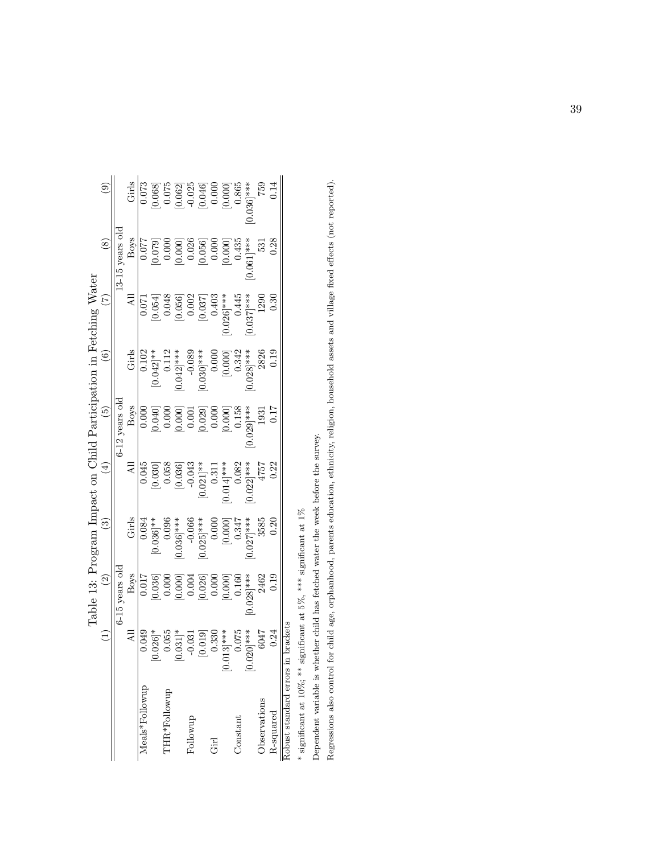<span id="page-39-0"></span>

| Table 13: Program Impact on Child<br>$\binom{3}{2}$<br>Girls<br>$\begin{array}{c} \text{(0.036)}\text{*} \\\text{(0.036)}\text{*} \\\text{(0.036)}\text{*} \\\text{(0.036)}\text{*} \\\text{(0.036)}\text{*} \\\text{(0.000)}\text{(0.000)}\text{(0.000)}\text{(0.000)}\end{array}$<br>3585<br>0.084<br>0.2 <sub>0</sub><br>years ol<br>Boys<br>$\bigcirc$<br>$\begin{bmatrix} 0.017 \\ 0.036 \\ 0.000 \\ 0.000 \\ 0.000 \\ 0.000 \\ 0.000 \\ 0.000 \\ 0.000 \\ 0.160 \\ 0.000 \\ 0.000 \\ 0.000 \\ 0.000 \\ 0.000 \\ \end{bmatrix}^{**}$<br>0.19<br>2462<br>615<br>$\begin{array}{c} -0.031 \\ [0.019] \\ [0.330] \\ [0.39] \\ [0.075] \\ [0.075] \\ [0.075] \\ [0.078] \\ [0.075] \end{array}$<br>$0.026$ <sup>*</sup><br>0.049<br>0.055<br>0.24<br>$(0.031]$ *<br>604 |
|--------------------------------------------------------------------------------------------------------------------------------------------------------------------------------------------------------------------------------------------------------------------------------------------------------------------------------------------------------------------------------------------------------------------------------------------------------------------------------------------------------------------------------------------------------------------------------------------------------------------------------------------------------------------------------------------------------------------------------------------------------------------------|
| Robust standard errors in                                                                                                                                                                                                                                                                                                                                                                                                                                                                                                                                                                                                                                                                                                                                                |

 $^*$  significant at 10%;  $^{**}$  significant at 5%,  $^{***}$  significant at 1%  $*$  significant at 10%;  $**$  significant at 5%,  $***$  significant at 1%

Dependent variable is whether child has fetched water the week before the survey. Dependent variable is whether child has fetched water the week before the survey.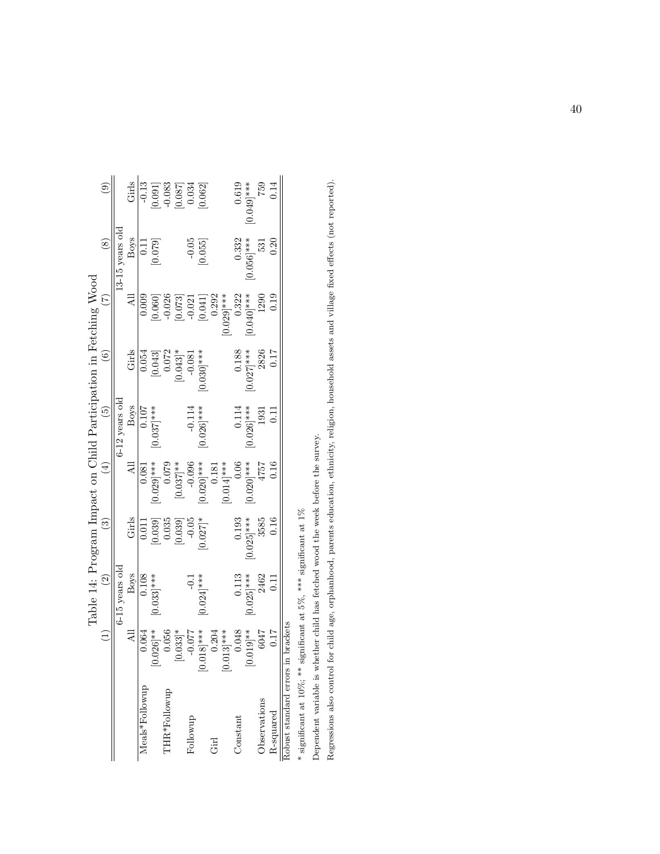<span id="page-40-0"></span>

|                           |                                                                                                                                                                                                                                                                                                              | (2)                    | $\binom{3}{2}$                                                                     | (4)                                                                                                                                                                                                                    | community and the community of the community of the community of the community of the community of the community of the community of the community of the community of the community of the community of the community of the<br>$\left(5\right)$ | $\odot$                                                                                | (7)                                                                                                               | $\circledast$       | $\widehat{e}$                                                                 |
|---------------------------|--------------------------------------------------------------------------------------------------------------------------------------------------------------------------------------------------------------------------------------------------------------------------------------------------------------|------------------------|------------------------------------------------------------------------------------|------------------------------------------------------------------------------------------------------------------------------------------------------------------------------------------------------------------------|---------------------------------------------------------------------------------------------------------------------------------------------------------------------------------------------------------------------------------------------------|----------------------------------------------------------------------------------------|-------------------------------------------------------------------------------------------------------------------|---------------------|-------------------------------------------------------------------------------|
|                           |                                                                                                                                                                                                                                                                                                              | $6-15$ years old       |                                                                                    |                                                                                                                                                                                                                        | $6-12$ years old                                                                                                                                                                                                                                  |                                                                                        |                                                                                                                   | $13-15$ years old   |                                                                               |
|                           |                                                                                                                                                                                                                                                                                                              | Boys                   | Girls                                                                              |                                                                                                                                                                                                                        | Boys                                                                                                                                                                                                                                              | Girls                                                                                  |                                                                                                                   | Boys                | Girls                                                                         |
| Meals*Followup            | 0.064                                                                                                                                                                                                                                                                                                        | 0.108                  | 0.011                                                                              | 0.081                                                                                                                                                                                                                  | 0.107                                                                                                                                                                                                                                             | 0.054                                                                                  |                                                                                                                   |                     | $-0.13$                                                                       |
|                           | $026]$ **                                                                                                                                                                                                                                                                                                    | $0.033]$ ***           | $\begin{array}{c} [0.039] \\ 0.035 \\ 0.035 \\ 0.039 \\ -0.05 \\ 0.07 \end{array}$ |                                                                                                                                                                                                                        | $[0.037]$ ***                                                                                                                                                                                                                                     | $\begin{bmatrix} 0.043 \\ 0.072 \\ 0.072 \\ 0.043 \\ -0.081 \\ -0.081 \end{bmatrix}^*$ | $\begin{array}{c} 0.009 \\ [0.066] \\ [0.060] \\ [0.073] \\ [0.073] \\ [0.041] \\ [0.041] \\ [0.041] \end{array}$ | 0.11<br>[0.079]     |                                                                               |
| HR*Followup               | 0.056                                                                                                                                                                                                                                                                                                        |                        |                                                                                    |                                                                                                                                                                                                                        |                                                                                                                                                                                                                                                   |                                                                                        |                                                                                                                   |                     |                                                                               |
|                           | $0.033$ <sup>*</sup>                                                                                                                                                                                                                                                                                         |                        |                                                                                    | $[0.029]^{***} \nonumber \\ [0.079]^{0.079}_{0.077} \nonumber \\ [0.037]^{**} \nonumber \\ [0.037]^{0.078}_{0.007} \nonumber \\ [0.014]^{0.078}_{0.007} \nonumber \\ [0.014]^{0.078}_{0.007} \nonumber \\ \end{array}$ |                                                                                                                                                                                                                                                   |                                                                                        |                                                                                                                   |                     | $\begin{bmatrix} 0.091 \\ -0.083 \\ 0.087 \\ 0.034 \\ 0.034 \\ \end{bmatrix}$ |
| Followup                  |                                                                                                                                                                                                                                                                                                              |                        |                                                                                    |                                                                                                                                                                                                                        |                                                                                                                                                                                                                                                   |                                                                                        |                                                                                                                   |                     |                                                                               |
|                           | $-0.077$<br>$-8$ $+8$<br>$-0.204$<br>$-18$ $+8$<br>$-18$<br>$-18$<br>$-18$<br>$-18$<br>$-18$<br>$-18$<br>$-18$<br>$-18$<br>$-18$<br>$-18$<br>$-18$<br>$-18$<br>$-18$<br>$-18$<br>$-18$<br>$-18$<br>$-18$<br>$-18$<br>$-18$<br>$-18$<br>$-18$<br>$-18$<br>$-18$<br>$-18$<br>$-18$<br>$-1$<br>$\overline{0}.0$ | $-0.1$<br>$(0.024)***$ |                                                                                    |                                                                                                                                                                                                                        | $-0.114$<br>[0.026]***                                                                                                                                                                                                                            |                                                                                        |                                                                                                                   | $-0.05$<br>[0.055]  |                                                                               |
| Girl                      |                                                                                                                                                                                                                                                                                                              |                        |                                                                                    |                                                                                                                                                                                                                        |                                                                                                                                                                                                                                                   |                                                                                        |                                                                                                                   |                     |                                                                               |
|                           | [0.01]                                                                                                                                                                                                                                                                                                       |                        |                                                                                    |                                                                                                                                                                                                                        |                                                                                                                                                                                                                                                   |                                                                                        | $0.029$ <sup>***</sup>                                                                                            |                     |                                                                               |
| Constant                  | 0.048                                                                                                                                                                                                                                                                                                        | 0.113                  |                                                                                    | 0.06                                                                                                                                                                                                                   | 0.114                                                                                                                                                                                                                                             |                                                                                        | 0.322                                                                                                             | 0.332               | 0.619                                                                         |
|                           | $019$ <sup>**</sup>                                                                                                                                                                                                                                                                                          | $0.025$ ]***<br>2462   | $0.193$<br>$(0.025]$ ***                                                           | $0.020$ <sup>***</sup>                                                                                                                                                                                                 | $0.026$ ]***<br>1931                                                                                                                                                                                                                              | $0.188$<br>0.027]***                                                                   | $0.040$ <sup>***</sup>                                                                                            | $0.056$ ]***<br>531 | $0.049$ <sup>***</sup>                                                        |
| Observations              | 6047                                                                                                                                                                                                                                                                                                         |                        | 3585                                                                               | 4757                                                                                                                                                                                                                   |                                                                                                                                                                                                                                                   | 2826<br>0.17                                                                           | 1290                                                                                                              |                     | $759\,$                                                                       |
| $R$ -squared              | 0.17                                                                                                                                                                                                                                                                                                         | $\overline{0.11}$      | 0.16                                                                               | 0.16                                                                                                                                                                                                                   | Ξ.                                                                                                                                                                                                                                                |                                                                                        | 0.19                                                                                                              | 0.20                | 114                                                                           |
| Robust standard errors in | brackets                                                                                                                                                                                                                                                                                                     |                        |                                                                                    |                                                                                                                                                                                                                        |                                                                                                                                                                                                                                                   |                                                                                        |                                                                                                                   |                     |                                                                               |

Table 14: Program Impact on Child Participation in Fetching Wood Table 14: Program Impact on Child Participation in Fetching Wood

 $^*$  significant at 10%;  $^{**}$  significant at 5%,  $^{***}$  significant at 1%  $*$  significant at 10%;  $**$  significant at 5%,  $***$  significant at 1%

Dependent variable is whether child has fetched wood the week before the survey. Dependent variable is whether child has fetched wood the week before the survey.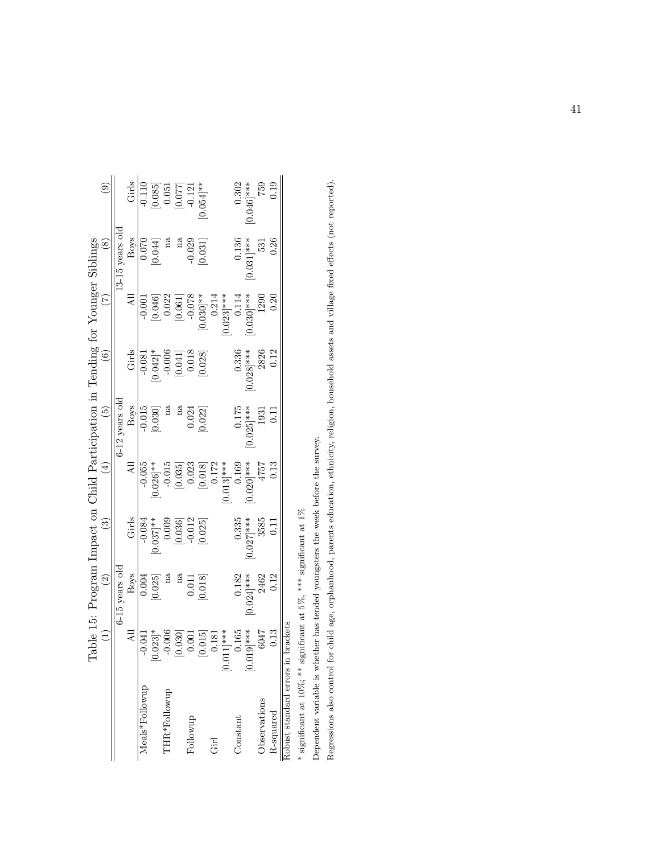<span id="page-41-0"></span>

|                           |                                                |                                               |                                                                                                   |                                                                                                                                                                                                                                                                                                                                                                                    |                                   |                                                                                           | Table 15: Program Impact on Child Participation in Tending for Younger                       |                                                             |                                                                                               |
|---------------------------|------------------------------------------------|-----------------------------------------------|---------------------------------------------------------------------------------------------------|------------------------------------------------------------------------------------------------------------------------------------------------------------------------------------------------------------------------------------------------------------------------------------------------------------------------------------------------------------------------------------|-----------------------------------|-------------------------------------------------------------------------------------------|----------------------------------------------------------------------------------------------|-------------------------------------------------------------|-----------------------------------------------------------------------------------------------|
|                           | $\bigoplus$                                    | $\odot$                                       | $\binom{3}{2}$                                                                                    | $\bigoplus$                                                                                                                                                                                                                                                                                                                                                                        | $\binom{5}{2}$                    | (6)                                                                                       | (7)                                                                                          | Siblings<br>(8)                                             | $\odot$                                                                                       |
|                           |                                                | $6-15$ years old                              |                                                                                                   |                                                                                                                                                                                                                                                                                                                                                                                    | $6-12$ years old                  |                                                                                           |                                                                                              | $13-15$ years old                                           |                                                                                               |
|                           |                                                | Boys                                          | Girls                                                                                             |                                                                                                                                                                                                                                                                                                                                                                                    | Boys                              | Girls                                                                                     |                                                                                              | Boys                                                        | Girls                                                                                         |
| Meals*Followup            | 0.041                                          |                                               |                                                                                                   | $-0.055$                                                                                                                                                                                                                                                                                                                                                                           |                                   |                                                                                           | $-0.001$                                                                                     |                                                             | $-0.110$                                                                                      |
|                           | $.023$ <sup>*</sup><br><u>ਂ</u>                | $0.004$<br>$0.025$ ]                          | $\begin{array}{r} -0.084 \\ -0.037] {}^{**} \\ 0.009 \\ 0.009 \\ 0.036] \\ -0.012 \\ \end{array}$ | $[0.026]^{**} \\ -0.015 \\ -0.015 \\ 0.023 \\ 0.023 \\ -0.023 \\ 0.018 \\ -0.172 \\ \cdots \\ 0.169 \\ 0.03 \\ \cdots \\ 0.03 \\ \cdots \\ 0.03 \\ \cdots \\ 0.03 \\ \cdots \\ 0.03 \\ \cdots \\ 0.03 \\ \cdots \\ 0.03 \\ \cdots \\ 0.03 \\ \cdots \\ 0.03 \\ \cdots \\ 0.03 \\ \cdots \\ 0.03 \\ \cdots \\ 0.03 \\ \cdots \\ 0.03 \\ \cdots \\ 0.03 \\ \cdots \\ 0.03 \\ \cdots$ | $-0.015$<br>[0.030]               | $\begin{array}{r} -0.081 \\ 0.042]^{*} \\ -0.006 \\ 0.041] \\ 0.018 \\ 0.018 \end{array}$ | $[0.046] \atop [0.022] \phantom{00} 0.023$ $[0.061] \atop [0.06] \phantom{0} 0.078$ $-0.078$ | [0.070]                                                     | $\begin{array}{c} [0.085] \\ 0.051 \\ [0.077] \\ -0.121 \\ -0.121 \\ 0.054]^{**} \end{array}$ |
| <b>FHR*Followup</b>       | 0.006                                          | na                                            |                                                                                                   |                                                                                                                                                                                                                                                                                                                                                                                    | na                                |                                                                                           |                                                                                              | na                                                          |                                                                                               |
|                           | [0.030]                                        | $\mathbf{a}$                                  |                                                                                                   |                                                                                                                                                                                                                                                                                                                                                                                    | na                                |                                                                                           |                                                                                              | $\mathbf{a}$                                                |                                                                                               |
| Followup                  | 0.001                                          |                                               |                                                                                                   |                                                                                                                                                                                                                                                                                                                                                                                    |                                   |                                                                                           |                                                                                              |                                                             |                                                                                               |
|                           | $\begin{bmatrix} 0.015 \\ 0.181 \end{bmatrix}$ | $\begin{array}{c} 0.011 \\ 0.018 \end{array}$ |                                                                                                   |                                                                                                                                                                                                                                                                                                                                                                                    | $0.024$<br>$0.022$                |                                                                                           |                                                                                              | $0.029$<br>$0.031]$                                         |                                                                                               |
| Girl                      |                                                |                                               |                                                                                                   |                                                                                                                                                                                                                                                                                                                                                                                    |                                   |                                                                                           |                                                                                              |                                                             |                                                                                               |
|                           | $(1)^{***}$<br>$\overline{0.0}$                |                                               |                                                                                                   |                                                                                                                                                                                                                                                                                                                                                                                    |                                   |                                                                                           | $[0.023]$ ***                                                                                |                                                             |                                                                                               |
| Constant                  | 0.165                                          |                                               |                                                                                                   |                                                                                                                                                                                                                                                                                                                                                                                    |                                   |                                                                                           |                                                                                              |                                                             |                                                                                               |
|                           | $9$ <sup>***</sup><br>[0.01]                   | $0.182$<br>$0.024$ ***                        | $0.335$<br>$0.027$ ]***                                                                           |                                                                                                                                                                                                                                                                                                                                                                                    | $0.175$<br>$(0.025)***$<br>$1931$ | $0.336$<br>$0.028$ ***                                                                    | $0.114$<br>$0.030$ ***                                                                       | $\begin{array}{c} 0.136 \\ 0.031] {***} \\ 531 \end{array}$ | $0.302$<br>$[0.046]***$                                                                       |
| Observations              | 7109                                           | 2462                                          | 3585                                                                                              | 4757                                                                                                                                                                                                                                                                                                                                                                               |                                   | 2826                                                                                      | 1290                                                                                         |                                                             | 759                                                                                           |
| $_{\rm R-squared}$        | 0.13                                           | 0.12                                          | $\overline{C}$                                                                                    | 0.13                                                                                                                                                                                                                                                                                                                                                                               |                                   | 0.12                                                                                      | 0.20                                                                                         | 0.26                                                        | 0.19                                                                                          |
| Robust standard errors in | orackets                                       |                                               |                                                                                                   |                                                                                                                                                                                                                                                                                                                                                                                    |                                   |                                                                                           |                                                                                              |                                                             |                                                                                               |

 $^*$  significant at 10%;  $^{**}$  significant at 5%,  $^{***}$  significant at 1%  $*$  significant at 10%;  $**$  significant at 5%,  $***$  significant at 1%

Dependent variable is whether has tended youngsters the week before the survey. Dependent variable is whether has tended youngsters the week before the survey.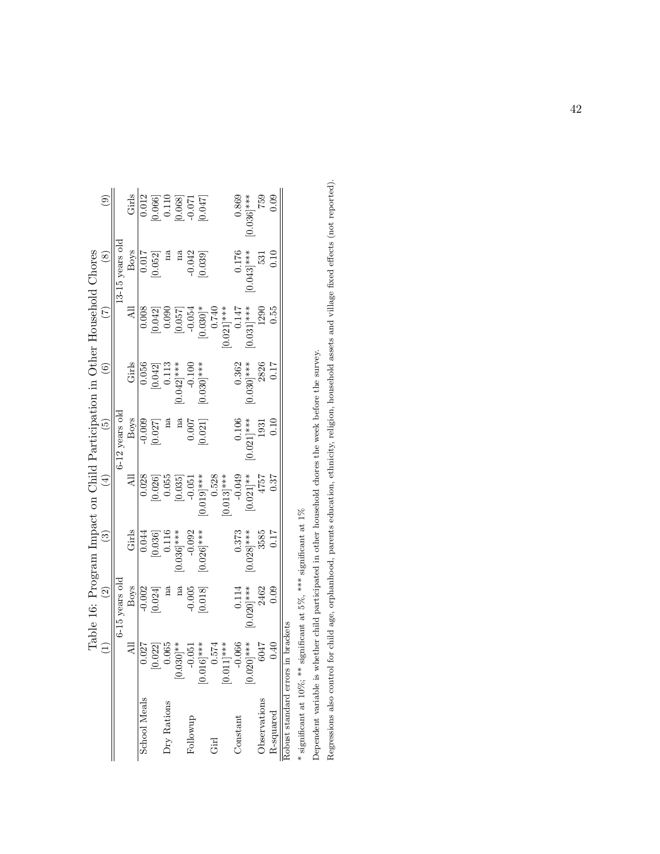| 0.869<br>$\begin{array}{c} 0.012 \\ 0.066] \\ 0.110 \\ 0.0110 \\ 0.008] \\ 0.071 \\ \end{array}$<br>759<br>0.09<br>$0.036$ <sup>***</sup><br>$13-15$ years old<br>Boys<br>$0.176$<br>0.043 ***<br>$\mathbf{a}$<br>$\mathbf{a}$<br>$[0.017$<br>$[0.052]$<br>$-0.042$<br>$0.039$<br>0.10<br>531<br>$\begin{array}{c} \text{3.4\textwidth} \begin{tabular}{c} 0.008 \\ 0.0042 \\ 0.000 \\ 0.000 \\ 0.000 \\ 0.000 \\ 0.000 \\ 0.000 \\ 0.000 \\ 0.000 \\ 0.000 \\ 0.000 \\ 0.000 \\ 0.000 \\ \end{tabular} } \end{array}$<br>0.55<br>1290<br>Girls<br>$0.362$<br>0.030]***<br>0.056<br>$\left[0.042\right]0.113$<br>$0.042$ ]***<br>-0.100<br>-0.100<br>0.030]***<br>2826<br>0.17<br>years old<br>Boys<br>$\begin{array}{c} 0.106 \\ 0.021]^{***} \\ 1931 \end{array}$<br>$-0.009$<br>[0.027]<br>$\mathbf{a}$<br>na<br>$0.007$<br>$0.021$<br>0.10<br>$6-12$<br>$[0.019] {***} \\ [0.013] {***} \\ [0.013] {***} \\ [0.049] \\ [0.021] {**} \\ [0.021]$<br>0.028<br>$[0.026] 0.055$<br>$[0.035]$<br>0.37<br>$-0.051$<br>Girls<br>$0.373$<br>$0.028$ ]***<br>$-0.092$<br>0.026]***<br>3585<br>$\begin{bmatrix} 0.036 \\ 0.116 \end{bmatrix}$<br>$0.036]$ ***<br>0.17<br>0.044<br>$6-15$ years old<br>Boys<br>$0.114$<br>$0.020$ ***<br>$-0.005$<br>$0.018$ ]<br>na<br>$\mathbf{a}$<br>0.09<br>$-0.002$<br>0.024]<br>2462<br>$11$ <sup>***</sup><br>$-0.066$<br>$20$ <sup>***</sup><br>$\frac{161}{16}$<br>***<br>0.574<br>0.027<br>$0.022$<br>$0.065$<br>$030$ <sup>**</sup><br>6047<br>0.40<br>School Meals<br>Observations<br>Dry Rations<br>R-squared<br>Followup<br>Constant |  |               | Table 16: Program Impact on ( |                   |                |               | Child Participation in Other Household | Chores         |               |
|-----------------------------------------------------------------------------------------------------------------------------------------------------------------------------------------------------------------------------------------------------------------------------------------------------------------------------------------------------------------------------------------------------------------------------------------------------------------------------------------------------------------------------------------------------------------------------------------------------------------------------------------------------------------------------------------------------------------------------------------------------------------------------------------------------------------------------------------------------------------------------------------------------------------------------------------------------------------------------------------------------------------------------------------------------------------------------------------------------------------------------------------------------------------------------------------------------------------------------------------------------------------------------------------------------------------------------------------------------------------------------------------------------------------------------------------------------------------------------------------------------------------------------------------------------------------------------|--|---------------|-------------------------------|-------------------|----------------|---------------|----------------------------------------|----------------|---------------|
|                                                                                                                                                                                                                                                                                                                                                                                                                                                                                                                                                                                                                                                                                                                                                                                                                                                                                                                                                                                                                                                                                                                                                                                                                                                                                                                                                                                                                                                                                                                                                                             |  | $\widehat{c}$ | $\binom{3}{2}$                | $\left( 4\right)$ | $\binom{5}{2}$ | $\widehat{6}$ | (7)                                    | $\circledcirc$ | $\widehat{e}$ |
|                                                                                                                                                                                                                                                                                                                                                                                                                                                                                                                                                                                                                                                                                                                                                                                                                                                                                                                                                                                                                                                                                                                                                                                                                                                                                                                                                                                                                                                                                                                                                                             |  |               |                               |                   |                |               |                                        |                |               |
|                                                                                                                                                                                                                                                                                                                                                                                                                                                                                                                                                                                                                                                                                                                                                                                                                                                                                                                                                                                                                                                                                                                                                                                                                                                                                                                                                                                                                                                                                                                                                                             |  |               |                               |                   |                |               |                                        |                | Girls         |
|                                                                                                                                                                                                                                                                                                                                                                                                                                                                                                                                                                                                                                                                                                                                                                                                                                                                                                                                                                                                                                                                                                                                                                                                                                                                                                                                                                                                                                                                                                                                                                             |  |               |                               |                   |                |               |                                        |                |               |
|                                                                                                                                                                                                                                                                                                                                                                                                                                                                                                                                                                                                                                                                                                                                                                                                                                                                                                                                                                                                                                                                                                                                                                                                                                                                                                                                                                                                                                                                                                                                                                             |  |               |                               |                   |                |               |                                        |                |               |
|                                                                                                                                                                                                                                                                                                                                                                                                                                                                                                                                                                                                                                                                                                                                                                                                                                                                                                                                                                                                                                                                                                                                                                                                                                                                                                                                                                                                                                                                                                                                                                             |  |               |                               |                   |                |               |                                        |                |               |
|                                                                                                                                                                                                                                                                                                                                                                                                                                                                                                                                                                                                                                                                                                                                                                                                                                                                                                                                                                                                                                                                                                                                                                                                                                                                                                                                                                                                                                                                                                                                                                             |  |               |                               |                   |                |               |                                        |                |               |
|                                                                                                                                                                                                                                                                                                                                                                                                                                                                                                                                                                                                                                                                                                                                                                                                                                                                                                                                                                                                                                                                                                                                                                                                                                                                                                                                                                                                                                                                                                                                                                             |  |               |                               |                   |                |               |                                        |                |               |
|                                                                                                                                                                                                                                                                                                                                                                                                                                                                                                                                                                                                                                                                                                                                                                                                                                                                                                                                                                                                                                                                                                                                                                                                                                                                                                                                                                                                                                                                                                                                                                             |  |               |                               |                   |                |               |                                        |                |               |
|                                                                                                                                                                                                                                                                                                                                                                                                                                                                                                                                                                                                                                                                                                                                                                                                                                                                                                                                                                                                                                                                                                                                                                                                                                                                                                                                                                                                                                                                                                                                                                             |  |               |                               |                   |                |               |                                        |                |               |
|                                                                                                                                                                                                                                                                                                                                                                                                                                                                                                                                                                                                                                                                                                                                                                                                                                                                                                                                                                                                                                                                                                                                                                                                                                                                                                                                                                                                                                                                                                                                                                             |  |               |                               |                   |                |               |                                        |                |               |
|                                                                                                                                                                                                                                                                                                                                                                                                                                                                                                                                                                                                                                                                                                                                                                                                                                                                                                                                                                                                                                                                                                                                                                                                                                                                                                                                                                                                                                                                                                                                                                             |  |               |                               |                   |                |               |                                        |                |               |
|                                                                                                                                                                                                                                                                                                                                                                                                                                                                                                                                                                                                                                                                                                                                                                                                                                                                                                                                                                                                                                                                                                                                                                                                                                                                                                                                                                                                                                                                                                                                                                             |  |               |                               |                   |                |               |                                        |                |               |
|                                                                                                                                                                                                                                                                                                                                                                                                                                                                                                                                                                                                                                                                                                                                                                                                                                                                                                                                                                                                                                                                                                                                                                                                                                                                                                                                                                                                                                                                                                                                                                             |  |               |                               |                   |                |               |                                        |                |               |
|                                                                                                                                                                                                                                                                                                                                                                                                                                                                                                                                                                                                                                                                                                                                                                                                                                                                                                                                                                                                                                                                                                                                                                                                                                                                                                                                                                                                                                                                                                                                                                             |  |               |                               |                   |                |               |                                        |                |               |

<span id="page-42-0"></span> $^*$  significant at 10%;  $^{**}$  significant at 5%,  $^{***}$  significant at 1%

Dependent variable is whether child participated in other household chores the week before the survey. Dependent variable is whether child participated in other household chores the week before the survey.  $*$  significant at 10%;  $**$  significant at 5%,  $***$  significant at 1%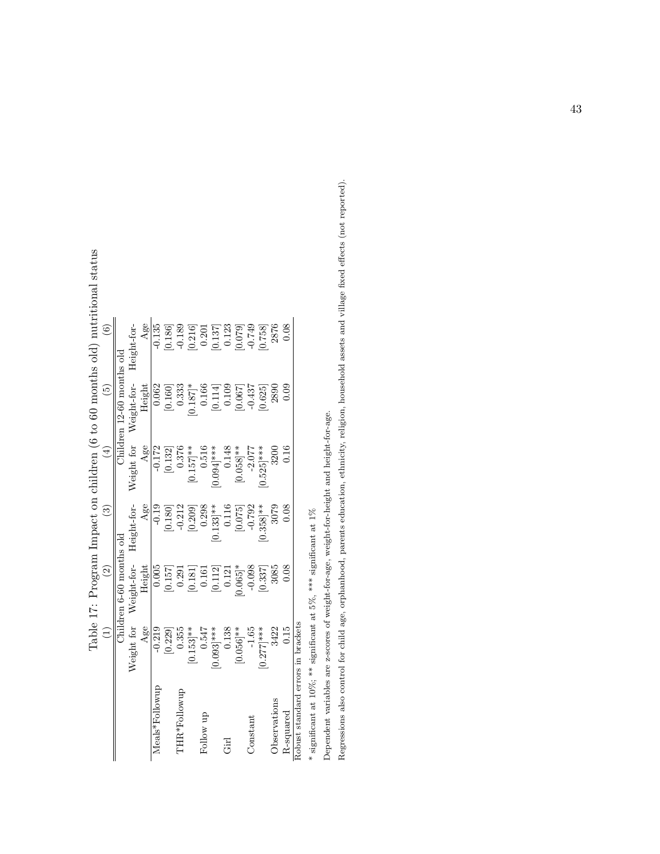|                                    |                        |                                                |                       |                              |                                 | Tepical I is a life of the control of the control of the control of the control of the control of the control of the control of the control of the control of the control of the control of the control of the control of the |  |
|------------------------------------|------------------------|------------------------------------------------|-----------------------|------------------------------|---------------------------------|-------------------------------------------------------------------------------------------------------------------------------------------------------------------------------------------------------------------------------|--|
|                                    | $\widehat{\Xi}$        | $\widehat{c}$                                  | $\widehat{3}$         | $\left( \frac{1}{2} \right)$ | $\widetilde{5}$                 | $\widehat{\circ}$                                                                                                                                                                                                             |  |
|                                    |                        | Children 6-60 months old                       |                       |                              | Children 12-60 months old       |                                                                                                                                                                                                                               |  |
|                                    | Weight for             | Weight-for-                                    | Height-for-           | Veight for                   | Weight-for-                     | Height-for-                                                                                                                                                                                                                   |  |
|                                    | Age                    | Height                                         | Age                   | Age                          | Height                          | Age                                                                                                                                                                                                                           |  |
| Meals*Followup                     | $-0.219$               | 0.005                                          | $-0.19$               | $-0.172$                     | 0.062                           | $-0.135$                                                                                                                                                                                                                      |  |
|                                    | [0.229]                | $\begin{bmatrix} 0.157 \\ 0.291 \end{bmatrix}$ | [0.180]               | [0.132]                      | $\left[0.160\right]$ $0.333$    | [0.186]                                                                                                                                                                                                                       |  |
| THR*Followup                       | 0.355                  |                                                |                       | 0.376                        |                                 | $-0.189$                                                                                                                                                                                                                      |  |
|                                    | $(0.153)**$            | [0.181]                                        | [0.209]               | $[0.157]$ **                 | $0.187$ <sup>*</sup><br>[781.0] | $\begin{array}{c} 0.216 \\ 0.201 \end{array}$                                                                                                                                                                                 |  |
| Follow up                          | 0.547                  | $\,0.161\,$                                    | 0.298                 | 0.516                        |                                 |                                                                                                                                                                                                                               |  |
|                                    | $0.093$ <sup>***</sup> | $\left[0.112\right]$                           | $0.133]$ **           | $0.094$ ***                  | 0.114]                          |                                                                                                                                                                                                                               |  |
| Ē                                  | 0.138                  | 0.121                                          | 0.116                 | 0.148                        | 0.109                           |                                                                                                                                                                                                                               |  |
|                                    | $[0.056]$ **           | $0.065$ <sup>*</sup>                           | [0.075]               | $0.058$ <sup>**</sup>        | [790.0]                         | $\begin{bmatrix} 0.137 \\ 0.123 \\ 0.079 \\ \end{bmatrix}$                                                                                                                                                                    |  |
| Constant                           | $-1.65$                | $-0.098$                                       | $-0.792$              | $-2.077$                     | 0.437                           | 0.749                                                                                                                                                                                                                         |  |
|                                    | $0.277$ <sup>***</sup> | [0.337]                                        | $0.358$ <sup>**</sup> | $0.525$ <sup>***</sup>       | 0.625                           | [892.0]                                                                                                                                                                                                                       |  |
| Observations                       | 3422                   | 3085                                           | 3079                  | 3200                         | 2890                            | 2876                                                                                                                                                                                                                          |  |
| R-squared                          | 0.15                   | 0.08                                           | 0.08                  | 0.16                         | 0.09                            | 0.08                                                                                                                                                                                                                          |  |
| Robust standard errors in brackets |                        |                                                |                       |                              |                                 |                                                                                                                                                                                                                               |  |

<span id="page-43-0"></span>Table 17: Program Impact on children (6 to 60 months old) nutritional status Table 17: Program Impact on children (6 to 60 months old) nutritional status

 $^*$  significant at 10%;  $^{**}$  significant at 5%,  $^{***}$  significant at 1%  $*$  significant at 10%;  $**$  significant at 5%,  $***$  significant at 1%

Dependent variables are z-scores of weight-for-age, weight-for-height and height-for-age. Dependent variables are z-scores of weight-for-age, weight-for-height and height-for-age.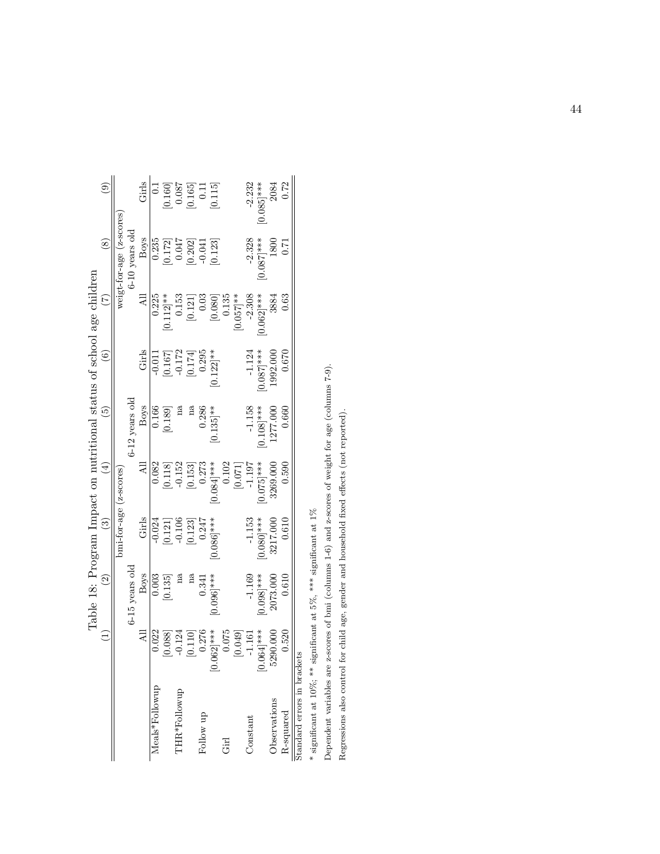<span id="page-44-0"></span>

|                            | $\begin{pmatrix} 1 \end{pmatrix}$ | $\widetilde{S}$       | $\widehat{\mathbb{G}}$                                    | $\bigoplus$                                                                                                                                                                                                                                                                                                            | $\widetilde{5}$        | $\widehat{\circ}$                                                                                 | E                                                                        | $\circled{s}$                                                    | $\widehat{\odot}$                                               |
|----------------------------|-----------------------------------|-----------------------|-----------------------------------------------------------|------------------------------------------------------------------------------------------------------------------------------------------------------------------------------------------------------------------------------------------------------------------------------------------------------------------------|------------------------|---------------------------------------------------------------------------------------------------|--------------------------------------------------------------------------|------------------------------------------------------------------|-----------------------------------------------------------------|
|                            |                                   |                       | omi-for-age (z-scores)                                    |                                                                                                                                                                                                                                                                                                                        |                        |                                                                                                   |                                                                          | weigt-for-age (z-scores                                          |                                                                 |
|                            |                                   | 6-15 years olo        |                                                           |                                                                                                                                                                                                                                                                                                                        | years old<br>$6 - 12$  |                                                                                                   |                                                                          | $6-10$ years old                                                 |                                                                 |
|                            |                                   | Boys                  | Girls                                                     |                                                                                                                                                                                                                                                                                                                        | Boys                   | Girls                                                                                             |                                                                          | Boys                                                             | Girls                                                           |
| Meals*Followup             | 0.022                             |                       |                                                           |                                                                                                                                                                                                                                                                                                                        |                        |                                                                                                   | 0.225                                                                    | 0.235                                                            | $\overline{0}$                                                  |
|                            | [0.088]                           | [0.135]               | $-0.024$<br>$[0.121]$<br>$-0.106$<br>$[0.123]$<br>$0.247$ | $\begin{array}{c} 0.082 \\[-4pt] 0.118 \\[-4pt] 0.118 \\[-4pt] 0.152 \\[-4pt] 0.153 \\[-4pt] 0.084]^{***} \\[-4pt] 0.02 \\[-4pt] 0.02 \\[-4pt] 0.02 \\[-4pt] 0.071 \\[-4pt] 0.071 \\[-4pt] 0.071 \\[-4pt] 0.071 \\[-4pt] 0.071 \\[-4pt] 0.071 \\[-4pt] 0.071 \\[-4pt] 0.071 \\[-4pt] 0.071 \\[-4pt] 0.071 \\[-4pt] 0.$ | [0.166]                | $\begin{bmatrix} 0.011 \\ 0.167 \\ -0.172 \\ 0.174 \\ 0.295 \\ 0.295 \\ 0.122 \end{bmatrix}^{**}$ | $[0.112]^{**} \\ [0.153 \\ [0.121] \\ [0.03] \\ [0.080] \\ [0.057]^{**}$ | $\begin{array}{c} 0.172 \\ 0.047 \\ 0.202 \\ -0.041 \end{array}$ | $\begin{array}{c} 0.160 \\ 0.087 \\ 0.165 \\ 0.165 \end{array}$ |
| THR*Followup               |                                   | $\mathbb{a}$          |                                                           |                                                                                                                                                                                                                                                                                                                        | $\mathbf{a}$           |                                                                                                   |                                                                          |                                                                  |                                                                 |
|                            | $[0.110]$<br>$0.276$              |                       |                                                           |                                                                                                                                                                                                                                                                                                                        |                        |                                                                                                   |                                                                          |                                                                  |                                                                 |
| Follow up                  |                                   |                       |                                                           |                                                                                                                                                                                                                                                                                                                        |                        |                                                                                                   |                                                                          |                                                                  |                                                                 |
|                            | $62]***$<br>0.075<br>[0.049]      | $0.341$<br>0.096]***  | $10.086$ <sup>***</sup>                                   |                                                                                                                                                                                                                                                                                                                        | $0.286$<br>$0.135]***$ |                                                                                                   |                                                                          | [0.123]                                                          | 0.115                                                           |
| Girl                       |                                   |                       |                                                           |                                                                                                                                                                                                                                                                                                                        |                        |                                                                                                   |                                                                          |                                                                  |                                                                 |
|                            |                                   |                       |                                                           |                                                                                                                                                                                                                                                                                                                        |                        |                                                                                                   |                                                                          |                                                                  |                                                                 |
| Constant                   | $-1.161$                          |                       |                                                           |                                                                                                                                                                                                                                                                                                                        |                        |                                                                                                   | $-2.308$                                                                 |                                                                  | $-2.232$                                                        |
|                            | $^{164}$ ***<br>$\frac{1}{2}$     | $-1.169$<br>0.098 *** | $-1.153$<br>0.080]***                                     | $0.075$ <sup>***</sup>                                                                                                                                                                                                                                                                                                 | $-1.158$<br>0.108 ***  | $-1.124$<br>0.087 ***                                                                             | $0.062$ <sup>***</sup>                                                   | $-2.328$<br>0.087 ***                                            | $0.085$ <sup>***</sup>                                          |
| Observations               | 90.00<br>S                        | 2073.000              | 3217.000                                                  | 3269.000                                                                                                                                                                                                                                                                                                               | 1277.000               | 1992.000                                                                                          | 3884                                                                     | 1800                                                             | 2084                                                            |
| R-squared                  | 0.520                             | 0.610                 | $0.61$ <sup><math>\cap</math></sup>                       | 0.590                                                                                                                                                                                                                                                                                                                  | 0.660                  | 0.670                                                                                             | 0.63                                                                     | $\overline{C}$                                                   | 0.72                                                            |
| Standard errors in bracket | S,                                |                       |                                                           |                                                                                                                                                                                                                                                                                                                        |                        |                                                                                                   |                                                                          |                                                                  |                                                                 |

Table 18: Program Impact on nutritional status of school age children Table 18: Program Impact on nutritional status of school age children

 $^*$  significant at 10%;  $^{**}$  significant at 5%,  $^{***}$  significant at 1%  $*$  significant at 10%;  $**$  significant at 5%,  $***$  significant at 1%

Dependent variables are z-scores of bmi (columns 1-6) and z-scores of weight for age (columns 7-9). Dependent variables are z-scores of bmi (columns 1-6) and z-scores of weight for age (columns 7-9).

Regressions also control for child age, gender and household fixed effects (not reported). Regressions also control for child age, gender and household fixed effects (not reported).